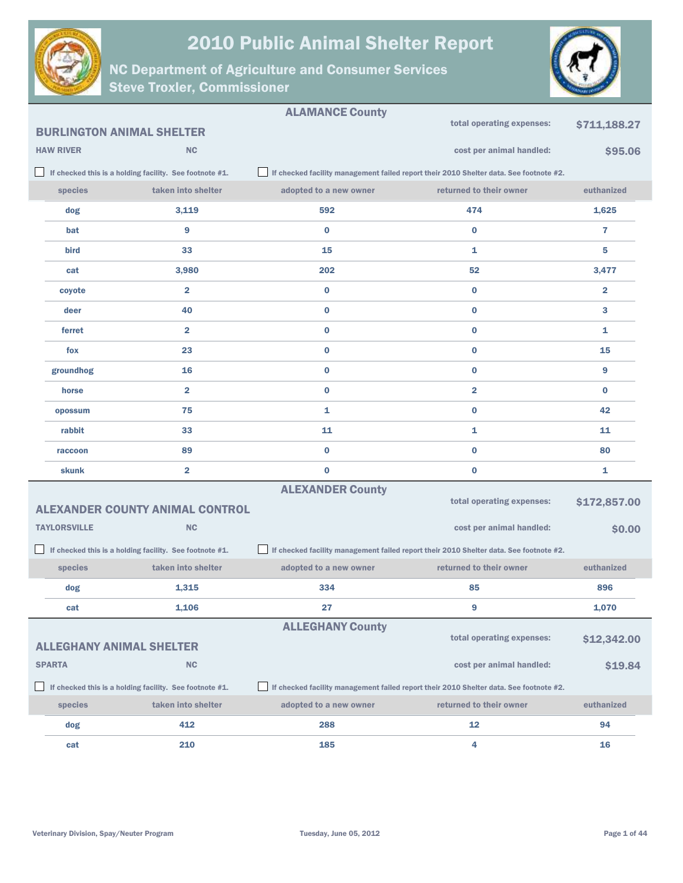



|                                                                               |                     |                                                         | <b>ALAMANCE County</b>  |                                                                                        |                |
|-------------------------------------------------------------------------------|---------------------|---------------------------------------------------------|-------------------------|----------------------------------------------------------------------------------------|----------------|
| total operating expenses:<br>\$711,188.27<br><b>BURLINGTON ANIMAL SHELTER</b> |                     |                                                         |                         |                                                                                        |                |
|                                                                               | <b>HAW RIVER</b>    | <b>NC</b>                                               |                         | cost per animal handled:                                                               | \$95.06        |
|                                                                               |                     | If checked this is a holding facility. See footnote #1. |                         | If checked facility management failed report their 2010 Shelter data. See footnote #2. |                |
|                                                                               | species             | taken into shelter                                      | adopted to a new owner  | returned to their owner                                                                | euthanized     |
|                                                                               | dog                 | 3,119                                                   | 592                     | 474                                                                                    | 1,625          |
|                                                                               | bat                 | 9                                                       | $\bf{0}$                | $\bf{0}$                                                                               | $\overline{7}$ |
|                                                                               | <b>bird</b>         | 33                                                      | 15                      | 1                                                                                      | 5              |
|                                                                               | cat                 | 3,980                                                   | 202                     | 52                                                                                     | 3,477          |
|                                                                               | coyote              | $\overline{2}$                                          | $\bf{0}$                | $\bf{0}$                                                                               | $\overline{2}$ |
|                                                                               | deer                | 40                                                      | $\bf{0}$                | $\bf{0}$                                                                               | 3              |
|                                                                               | ferret              | $\overline{2}$                                          | $\bf{0}$                | $\bf{0}$                                                                               | 1              |
|                                                                               | fox                 | 23                                                      | $\bf{0}$                | $\bf{0}$                                                                               | 15             |
|                                                                               | groundhog           | 16                                                      | $\bf{0}$                | $\bf{0}$                                                                               | 9              |
|                                                                               | horse               | $\overline{\mathbf{2}}$                                 | $\bf{0}$                | $\overline{2}$                                                                         | $\bf{0}$       |
|                                                                               | opossum             | 75                                                      | 1                       | $\bf{0}$                                                                               | 42             |
|                                                                               | rabbit              | 33                                                      | 11                      | 1                                                                                      | 11             |
|                                                                               | raccoon             | 89                                                      | $\bf{0}$                | $\bf{0}$                                                                               | 80             |
|                                                                               | skunk               | $\overline{\mathbf{2}}$                                 | $\bf{0}$                | $\bf{0}$                                                                               | 1              |
|                                                                               |                     |                                                         | <b>ALEXANDER County</b> |                                                                                        |                |
|                                                                               |                     | <b>ALEXANDER COUNTY ANIMAL CONTROL</b>                  |                         | total operating expenses:                                                              | \$172,857.00   |
|                                                                               | <b>TAYLORSVILLE</b> | <b>NC</b>                                               |                         | cost per animal handled:                                                               | \$0.00         |
|                                                                               |                     | If checked this is a holding facility. See footnote #1. |                         | If checked facility management failed report their 2010 Shelter data. See footnote #2. |                |
|                                                                               | species             | taken into shelter                                      | adopted to a new owner  | returned to their owner                                                                | euthanized     |
|                                                                               | dog                 | 1,315                                                   | 334                     | 85                                                                                     | 896            |
|                                                                               | cat                 | 1,106                                                   | 27                      | 9                                                                                      | 1,070          |
|                                                                               |                     |                                                         | <b>ALLEGHANY County</b> |                                                                                        |                |
| <b>ALLEGHANY ANIMAL SHELTER</b>                                               |                     |                                                         |                         | total operating expenses:                                                              | \$12,342.00    |
|                                                                               | <b>SPARTA</b>       | <b>NC</b>                                               |                         | cost per animal handled:                                                               | \$19.84        |
|                                                                               |                     | If checked this is a holding facility. See footnote #1. |                         | If checked facility management failed report their 2010 Shelter data. See footnote #2. |                |
|                                                                               | species             | taken into shelter                                      | adopted to a new owner  | returned to their owner                                                                | euthanized     |
|                                                                               | dog                 | 412                                                     | 288                     | 12                                                                                     | 94             |
|                                                                               | cat                 | 210                                                     | 185                     | 4                                                                                      | 16             |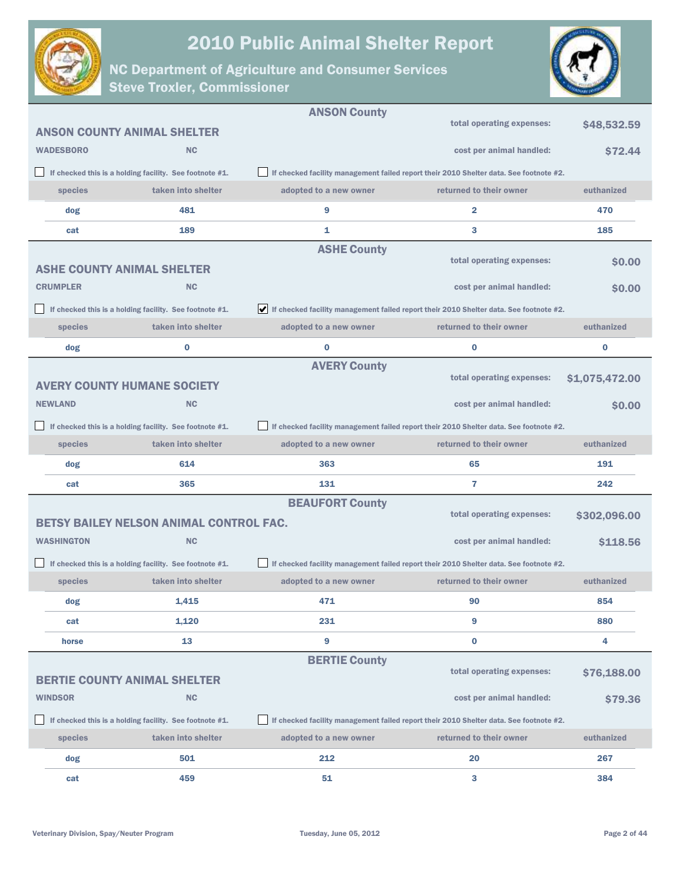



|                                     |                                                         | <b>ANSON County</b>                                                                    |                                                                                        |                |
|-------------------------------------|---------------------------------------------------------|----------------------------------------------------------------------------------------|----------------------------------------------------------------------------------------|----------------|
| <b>ANSON COUNTY ANIMAL SHELTER</b>  |                                                         |                                                                                        | total operating expenses:                                                              | \$48,532.59    |
| <b>WADESBORO</b>                    | <b>NC</b>                                               |                                                                                        | cost per animal handled:                                                               | <b>\$72.44</b> |
|                                     | If checked this is a holding facility. See footnote #1. |                                                                                        | If checked facility management failed report their 2010 Shelter data. See footnote #2. |                |
| species                             | taken into shelter                                      | adopted to a new owner                                                                 | returned to their owner                                                                | euthanized     |
| dog                                 | 481                                                     | 9                                                                                      | 2                                                                                      | 470            |
| cat                                 | 189                                                     | 1                                                                                      | 3                                                                                      | 185            |
|                                     |                                                         | <b>ASHE County</b>                                                                     |                                                                                        |                |
| <b>ASHE COUNTY ANIMAL SHELTER</b>   |                                                         |                                                                                        | total operating expenses:                                                              | <b>SO.00</b>   |
| <b>CRUMPLER</b>                     | <b>NC</b>                                               |                                                                                        | cost per animal handled:                                                               | <b>SO.00</b>   |
|                                     | If checked this is a holding facility. See footnote #1. | If checked facility management failed report their 2010 Shelter data. See footnote #2. |                                                                                        |                |
| species                             | taken into shelter                                      | adopted to a new owner                                                                 | returned to their owner                                                                | euthanized     |
| dog                                 | 0                                                       | $\bf{0}$                                                                               | $\bf{0}$                                                                               | 0              |
|                                     |                                                         | <b>AVERY County</b>                                                                    |                                                                                        |                |
| <b>AVERY COUNTY HUMANE SOCIETY</b>  |                                                         |                                                                                        | total operating expenses:                                                              | \$1,075,472.00 |
| <b>NEWLAND</b>                      | <b>NC</b>                                               |                                                                                        | cost per animal handled:                                                               | \$0.00         |
|                                     | If checked this is a holding facility. See footnote #1. |                                                                                        | If checked facility management failed report their 2010 Shelter data. See footnote #2. |                |
| species                             | taken into shelter                                      | adopted to a new owner                                                                 | returned to their owner                                                                | euthanized     |
| dog                                 | 614                                                     | 363                                                                                    | 65                                                                                     | 191            |
| cat                                 | 365                                                     | 131                                                                                    | 7                                                                                      | 242            |
|                                     |                                                         | <b>BEAUFORT County</b>                                                                 |                                                                                        |                |
|                                     | <b>BETSY BAILEY NELSON ANIMAL CONTROL FAC.</b>          |                                                                                        | total operating expenses:                                                              | \$302,096.00   |
| <b>WASHINGTON</b>                   | <b>NC</b>                                               |                                                                                        | cost per animal handled:                                                               | \$118.56       |
|                                     | If checked this is a holding facility. See footnote #1. |                                                                                        | If checked facility management failed report their 2010 Shelter data. See footnote #2. |                |
| species                             | taken into shelter                                      | adopted to a new owner                                                                 | returned to their owner                                                                | euthanized     |
| dog                                 | 1,415                                                   | 471                                                                                    | 90                                                                                     | 854            |
| cat                                 | 1,120                                                   | 231                                                                                    | 9                                                                                      | 880            |
| horse                               | 13                                                      | 9                                                                                      | $\bf{0}$                                                                               | 4              |
|                                     |                                                         | <b>BERTIE County</b>                                                                   |                                                                                        |                |
| <b>BERTIE COUNTY ANIMAL SHELTER</b> |                                                         |                                                                                        | total operating expenses:                                                              | \$76,188.00    |
| <b>WINDSOR</b>                      | <b>NC</b>                                               |                                                                                        | cost per animal handled:                                                               | \$79.36        |
|                                     | If checked this is a holding facility. See footnote #1. |                                                                                        | If checked facility management failed report their 2010 Shelter data. See footnote #2. |                |
| species                             | taken into shelter                                      | adopted to a new owner                                                                 | returned to their owner                                                                | euthanized     |
| dog                                 | 501                                                     | 212                                                                                    | 20                                                                                     | 267            |
| cat                                 | 459                                                     | 51                                                                                     | 3                                                                                      | 384            |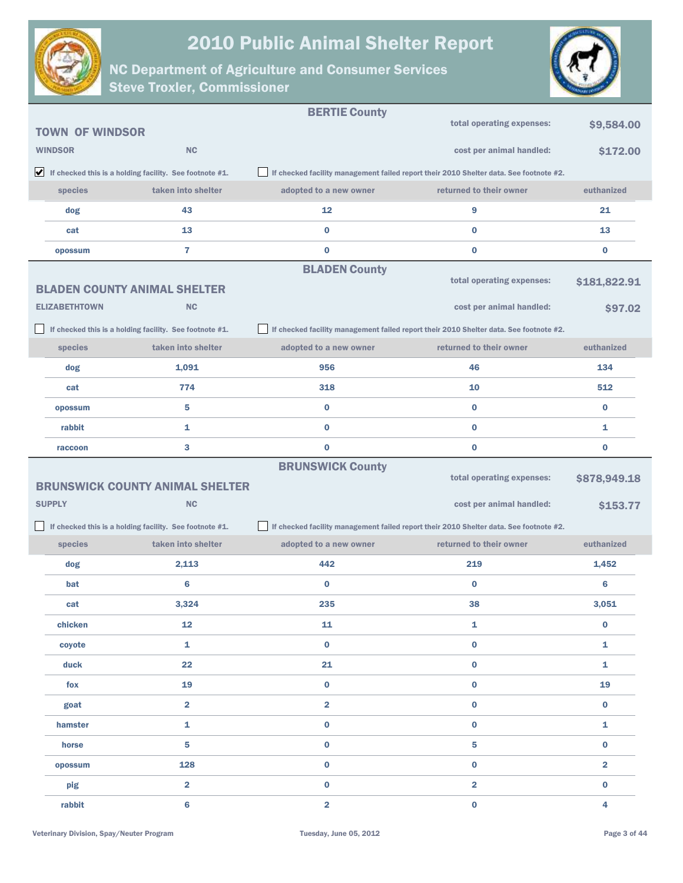



|                        |                                                                               | <b>BERTIE County</b>                                                                   |                                                                                        |                |
|------------------------|-------------------------------------------------------------------------------|----------------------------------------------------------------------------------------|----------------------------------------------------------------------------------------|----------------|
| <b>TOWN OF WINDSOR</b> |                                                                               |                                                                                        | total operating expenses:                                                              | \$9,584.00     |
| <b>WINDSOR</b>         | NC                                                                            |                                                                                        | cost per animal handled:                                                               | \$172.00       |
|                        | $\blacktriangleright$ If checked this is a holding facility. See footnote #1. |                                                                                        | If checked facility management failed report their 2010 Shelter data. See footnote #2. |                |
| species                | taken into shelter                                                            | adopted to a new owner                                                                 | returned to their owner                                                                | euthanized     |
| dog                    | 43                                                                            | 12                                                                                     | 9                                                                                      | 21             |
| cat                    | 13                                                                            | $\bf{0}$                                                                               | $\bf{0}$                                                                               | 13             |
| opossum                | $\overline{7}$                                                                | $\bf{0}$                                                                               | 0                                                                                      | $\bf{0}$       |
|                        |                                                                               | <b>BLADEN County</b>                                                                   |                                                                                        |                |
|                        | <b>BLADEN COUNTY ANIMAL SHELTER</b>                                           |                                                                                        | total operating expenses:                                                              | \$181,822.91   |
| <b>ELIZABETHTOWN</b>   | <b>NC</b>                                                                     |                                                                                        | cost per animal handled:                                                               | \$97.02        |
|                        | If checked this is a holding facility. See footnote #1.                       | If checked facility management failed report their 2010 Shelter data. See footnote #2. |                                                                                        |                |
| species                | taken into shelter                                                            | adopted to a new owner                                                                 | returned to their owner                                                                | euthanized     |
| dog                    | 1,091                                                                         | 956                                                                                    | 46                                                                                     | 134            |
| cat                    | 774                                                                           | 318                                                                                    | 10                                                                                     | 512            |
| opossum                | 5                                                                             | $\bf{0}$                                                                               | $\bf{0}$                                                                               | $\bf{0}$       |
| rabbit                 | $\mathbf{1}$                                                                  | $\bf{0}$                                                                               | $\bf{0}$                                                                               | 1              |
| raccoon                | 3                                                                             | $\bf{0}$                                                                               | $\bf{0}$                                                                               | $\bf{0}$       |
|                        |                                                                               |                                                                                        |                                                                                        |                |
|                        |                                                                               | <b>BRUNSWICK County</b>                                                                |                                                                                        |                |
|                        | <b>BRUNSWICK COUNTY ANIMAL SHELTER</b>                                        |                                                                                        | total operating expenses:                                                              | \$878,949.18   |
| <b>SUPPLY</b>          | <b>NC</b>                                                                     |                                                                                        | cost per animal handled:                                                               | \$153.77       |
|                        | If checked this is a holding facility. See footnote #1.                       |                                                                                        | If checked facility management failed report their 2010 Shelter data. See footnote #2. |                |
| species                | taken into shelter                                                            | adopted to a new owner                                                                 | returned to their owner                                                                | euthanized     |
| dog                    | 2,113                                                                         | 442                                                                                    | 219                                                                                    | 1,452          |
| bat                    | 6                                                                             | $\bf{0}$                                                                               | 0                                                                                      | 6              |
| cat                    | 3,324                                                                         | 235                                                                                    | 38                                                                                     | 3,051          |
| chicken                | 12                                                                            | 11                                                                                     | $\mathbf{1}$                                                                           | $\bf{0}$       |
| coyote                 | 1                                                                             | $\bf{0}$                                                                               | $\bf{0}$                                                                               | 1              |
| duck                   | 22                                                                            | 21                                                                                     | $\bf{0}$                                                                               | $\mathbf{1}$   |
| fox                    | 19                                                                            | $\bf{0}$                                                                               | $\bf{0}$                                                                               | 19             |
| goat                   | $\overline{2}$                                                                | $\overline{\mathbf{2}}$                                                                | $\bf{0}$                                                                               | $\bf{0}$       |
| hamster                | $\mathbf{1}$                                                                  | $\bf{0}$                                                                               | $\bf{0}$                                                                               | $\mathbf{1}$   |
| horse                  | $\overline{\mathbf{5}}$                                                       | $\bf{0}$                                                                               | 5                                                                                      | $\bf{0}$       |
| opossum                | 128                                                                           | $\pmb{0}$                                                                              | $\bf{0}$                                                                               | $\overline{2}$ |
| pig                    | $\overline{\mathbf{2}}$                                                       | $\bf{0}$                                                                               | $\overline{\mathbf{2}}$                                                                | $\bf{0}$       |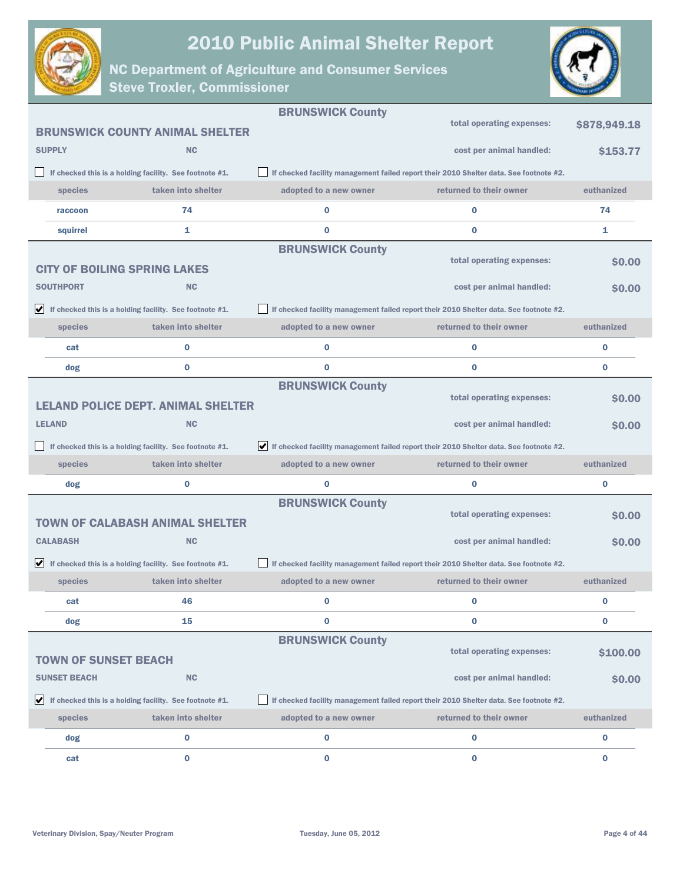



|                                     |                                                                               | <b>BRUNSWICK County</b>                                                                |                                                                                        |              |
|-------------------------------------|-------------------------------------------------------------------------------|----------------------------------------------------------------------------------------|----------------------------------------------------------------------------------------|--------------|
|                                     | <b>BRUNSWICK COUNTY ANIMAL SHELTER</b>                                        |                                                                                        | total operating expenses:                                                              | \$878,949.18 |
| <b>SUPPLY</b>                       | <b>NC</b>                                                                     |                                                                                        | cost per animal handled:                                                               | \$153.77     |
|                                     | If checked this is a holding facility. See footnote #1.                       |                                                                                        | If checked facility management failed report their 2010 Shelter data. See footnote #2. |              |
| species                             | taken into shelter                                                            | adopted to a new owner                                                                 | returned to their owner                                                                | euthanized   |
| raccoon                             | 74                                                                            | 0                                                                                      | $\bf{0}$                                                                               | 74           |
| squirrel                            | 1                                                                             | 0                                                                                      | $\bf{0}$                                                                               | 1            |
|                                     |                                                                               | <b>BRUNSWICK County</b>                                                                |                                                                                        |              |
| <b>CITY OF BOILING SPRING LAKES</b> |                                                                               |                                                                                        | total operating expenses:                                                              | <b>SO.00</b> |
| <b>SOUTHPORT</b>                    | <b>NC</b>                                                                     |                                                                                        | cost per animal handled:                                                               | <b>SO.00</b> |
|                                     | $\blacktriangleright$ If checked this is a holding facility. See footnote #1. |                                                                                        | If checked facility management failed report their 2010 Shelter data. See footnote #2. |              |
| species                             | taken into shelter                                                            | adopted to a new owner                                                                 | returned to their owner                                                                | euthanized   |
| cat                                 | 0                                                                             | 0                                                                                      | $\bf{0}$                                                                               | 0            |
| dog                                 | $\bf{0}$                                                                      | 0                                                                                      | $\bf{0}$                                                                               | $\bf{0}$     |
|                                     |                                                                               | <b>BRUNSWICK County</b>                                                                |                                                                                        |              |
|                                     | <b>LELAND POLICE DEPT. ANIMAL SHELTER</b>                                     |                                                                                        | total operating expenses:                                                              | \$0.00       |
| <b>LELAND</b>                       | <b>NC</b>                                                                     |                                                                                        | cost per animal handled:                                                               | <b>SO.00</b> |
|                                     | If checked this is a holding facility. See footnote #1.                       | If checked facility management failed report their 2010 Shelter data. See footnote #2. |                                                                                        |              |
| species                             |                                                                               |                                                                                        |                                                                                        |              |
|                                     | taken into shelter                                                            | adopted to a new owner                                                                 | returned to their owner                                                                | euthanized   |
| dog                                 | 0                                                                             | 0                                                                                      | 0                                                                                      | 0            |
|                                     |                                                                               | <b>BRUNSWICK County</b>                                                                |                                                                                        |              |
|                                     | <b>TOWN OF CALABASH ANIMAL SHELTER</b>                                        |                                                                                        | total operating expenses:                                                              | <b>SO.00</b> |
| <b>CALABASH</b>                     | <b>NC</b>                                                                     |                                                                                        | cost per animal handled:                                                               | <b>SO.00</b> |
|                                     | $\blacktriangleright$ If checked this is a holding facility. See footnote #1. |                                                                                        | If checked facility management failed report their 2010 Shelter data. See footnote #2. |              |
| species                             | taken into shelter                                                            | adopted to a new owner                                                                 | returned to their owner                                                                | euthanized   |
| cat                                 | 46                                                                            | 0                                                                                      | $\bf{0}$                                                                               | 0            |
| dog                                 | 15                                                                            | 0                                                                                      | 0                                                                                      | 0            |
|                                     |                                                                               | <b>BRUNSWICK County</b>                                                                |                                                                                        |              |
| <b>TOWN OF SUNSET BEACH</b>         |                                                                               |                                                                                        | total operating expenses:                                                              | \$100.00     |
| <b>SUNSET BEACH</b>                 | <b>NC</b>                                                                     |                                                                                        | cost per animal handled:                                                               | \$0.00       |
|                                     | $\blacktriangleright$ If checked this is a holding facility. See footnote #1. |                                                                                        | If checked facility management failed report their 2010 Shelter data. See footnote #2. |              |
| <b>species</b>                      | taken into shelter                                                            | adopted to a new owner                                                                 | returned to their owner                                                                | euthanized   |
| dog                                 | 0                                                                             | 0                                                                                      | 0                                                                                      | 0            |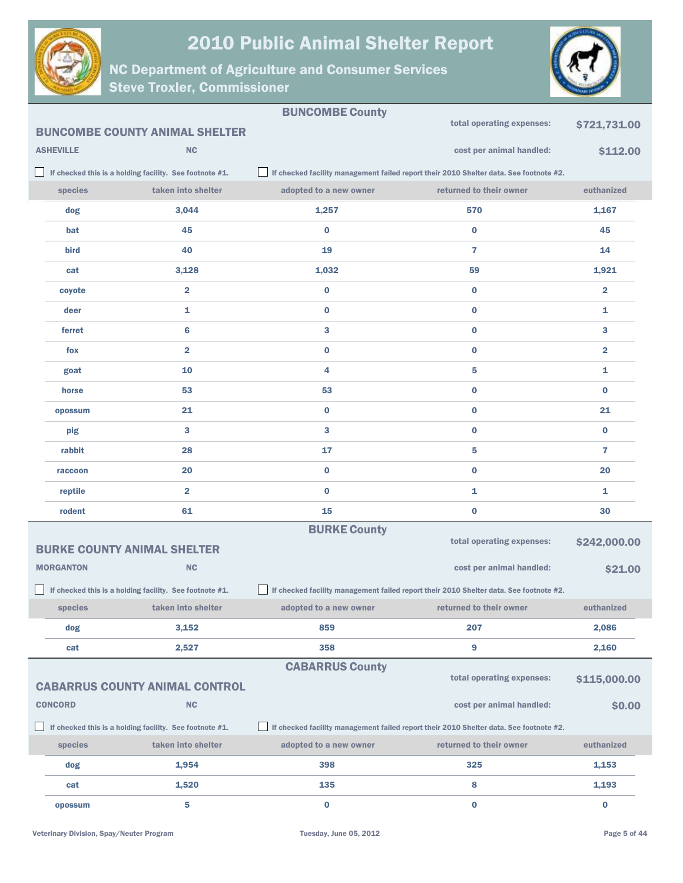



|                  |                                                         | <b>BUNCOMBE County</b>                                                                 |                                                                                        |                         |  |
|------------------|---------------------------------------------------------|----------------------------------------------------------------------------------------|----------------------------------------------------------------------------------------|-------------------------|--|
|                  | <b>BUNCOMBE COUNTY ANIMAL SHELTER</b>                   |                                                                                        | total operating expenses:                                                              | \$721,731.00            |  |
| <b>ASHEVILLE</b> | <b>NC</b>                                               |                                                                                        | cost per animal handled:                                                               | \$112.00                |  |
|                  | If checked this is a holding facility. See footnote #1. |                                                                                        | If checked facility management failed report their 2010 Shelter data. See footnote #2. |                         |  |
| species          | taken into shelter                                      | adopted to a new owner                                                                 | returned to their owner                                                                | euthanized              |  |
| dog              | 3,044                                                   | 1,257                                                                                  | 570                                                                                    | 1,167                   |  |
| bat              | 45                                                      | 0                                                                                      | $\bf{0}$                                                                               | 45                      |  |
| bird             | 40                                                      | 19                                                                                     | 7                                                                                      | 14                      |  |
| cat              | 3,128                                                   | 1,032                                                                                  | 59                                                                                     | 1,921                   |  |
| coyote           | 2                                                       | 0                                                                                      | 0                                                                                      | $\overline{\mathbf{2}}$ |  |
| deer             | 1                                                       | 0                                                                                      | $\bf{0}$                                                                               | 1                       |  |
| ferret           | 6                                                       | 3                                                                                      | $\bf{0}$                                                                               | 3                       |  |
| fox              | 2                                                       | 0                                                                                      | $\bf{0}$                                                                               | $\overline{\mathbf{2}}$ |  |
| goat             | 10                                                      | 4                                                                                      | 5                                                                                      | 1                       |  |
| horse            | 53                                                      | 53                                                                                     | $\bf{0}$                                                                               | $\bf{0}$                |  |
| opossum          | 21                                                      | 0                                                                                      | $\bf{0}$                                                                               | 21                      |  |
| pig              | 3                                                       | 3                                                                                      | $\bf{0}$                                                                               | $\bf{0}$                |  |
| rabbit           | 28                                                      | 17                                                                                     | 5                                                                                      | 7                       |  |
| raccoon          | 20                                                      | 0                                                                                      | 0                                                                                      | 20                      |  |
| reptile          | 2                                                       | $\bf{0}$                                                                               | 1                                                                                      | 1                       |  |
| rodent           | 61                                                      | 15                                                                                     | $\bf{0}$                                                                               | 30                      |  |
|                  |                                                         | <b>BURKE County</b>                                                                    |                                                                                        |                         |  |
|                  | <b>BURKE COUNTY ANIMAL SHELTER</b>                      |                                                                                        | total operating expenses:                                                              | \$242,000.00            |  |
| <b>MORGANTON</b> | <b>NC</b>                                               |                                                                                        | cost per animal handled:                                                               | \$21.00                 |  |
|                  | If checked this is a holding facility. See footnote #1. | If checked facility management failed report their 2010 Shelter data. See footnote #2. |                                                                                        |                         |  |
| species          | taken into shelter                                      | adopted to a new owner                                                                 | returned to their owner                                                                | euthanized              |  |
| dog              | 3,152                                                   | 859                                                                                    | 207                                                                                    | 2,086                   |  |
| cat              | 2,527                                                   | 358                                                                                    | 9                                                                                      | 2,160                   |  |
|                  |                                                         | <b>CABARRUS County</b>                                                                 | total operating expenses:                                                              |                         |  |
|                  | <b>CABARRUS COUNTY ANIMAL CONTROL</b>                   |                                                                                        |                                                                                        | \$115,000.00            |  |
| <b>CONCORD</b>   | NC                                                      |                                                                                        | cost per animal handled:                                                               | \$0.00                  |  |
|                  | If checked this is a holding facility. See footnote #1. |                                                                                        | If checked facility management failed report their 2010 Shelter data. See footnote #2. |                         |  |
| species          | taken into shelter                                      | adopted to a new owner                                                                 | returned to their owner                                                                | euthanized              |  |
| dog              | 1,954                                                   | 398                                                                                    | 325                                                                                    | 1,153                   |  |
| cat              | 1,520                                                   | 135                                                                                    | 8                                                                                      | 1,193                   |  |
| opossum          | 5                                                       | $\bf{0}$                                                                               | $\bf{0}$                                                                               | $\bf{0}$                |  |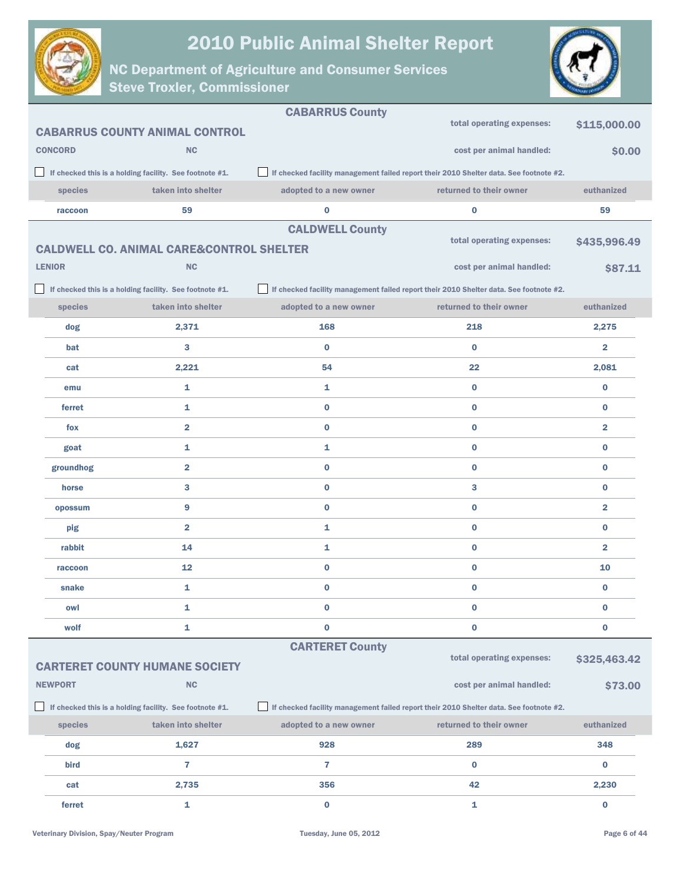



|                                                         |                |                                                         | <b>CABARRUS County</b> |                                                                                        |                         |
|---------------------------------------------------------|----------------|---------------------------------------------------------|------------------------|----------------------------------------------------------------------------------------|-------------------------|
|                                                         |                | <b>CABARRUS COUNTY ANIMAL CONTROL</b>                   |                        | total operating expenses:                                                              | \$115,000.00            |
|                                                         | <b>CONCORD</b> | <b>NC</b>                                               |                        | cost per animal handled:                                                               | \$0.00                  |
|                                                         |                | If checked this is a holding facility. See footnote #1. |                        | If checked facility management failed report their 2010 Shelter data. See footnote #2. |                         |
|                                                         | species        | taken into shelter                                      | adopted to a new owner | returned to their owner                                                                | euthanized              |
|                                                         | raccoon        | 59                                                      | $\bf{0}$               | 0                                                                                      | 59                      |
|                                                         |                |                                                         | <b>CALDWELL County</b> |                                                                                        |                         |
|                                                         |                | <b>CALDWELL CO. ANIMAL CARE&amp;CONTROL SHELTER</b>     |                        | total operating expenses:                                                              | \$435,996.49            |
|                                                         | <b>LENIOR</b>  | <b>NC</b>                                               |                        | cost per animal handled:                                                               | \$87.11                 |
|                                                         |                | If checked this is a holding facility. See footnote #1. |                        | If checked facility management failed report their 2010 Shelter data. See footnote #2. |                         |
|                                                         | species        | taken into shelter                                      | adopted to a new owner | returned to their owner                                                                | euthanized              |
|                                                         | dog            | 2,371                                                   | 168                    | 218                                                                                    | 2,275                   |
|                                                         | bat            | 3                                                       | $\bf{0}$               | $\bf{0}$                                                                               | $\overline{2}$          |
|                                                         | cat            | 2,221                                                   | 54                     | 22                                                                                     | 2,081                   |
|                                                         | emu            | 1                                                       | 1                      | $\bf{0}$                                                                               | 0                       |
|                                                         | ferret         | 1                                                       | 0                      | $\bf{0}$                                                                               | $\bf{0}$                |
|                                                         | fox            | $\overline{2}$                                          | $\bf{0}$               | $\bf{0}$                                                                               | $\overline{\mathbf{2}}$ |
|                                                         | goat           | 1                                                       | 1                      | $\bf{0}$                                                                               | $\bf{0}$                |
|                                                         | groundhog      | $\overline{\mathbf{2}}$                                 | $\bf{0}$               | $\bf{0}$                                                                               | $\bf{0}$                |
|                                                         | horse          | 3                                                       | $\bf{0}$               | 3                                                                                      | $\bf{0}$                |
|                                                         | opossum        | 9                                                       | $\bf{0}$               | $\bf{0}$                                                                               | $\overline{\mathbf{2}}$ |
|                                                         | pig            | $\overline{\mathbf{2}}$                                 | 1                      | $\bf{0}$                                                                               | $\bf{0}$                |
|                                                         | rabbit         | 14                                                      | 1                      | $\bf{0}$                                                                               | $\overline{2}$          |
|                                                         | raccoon        | 12                                                      | 0                      | $\bf{0}$                                                                               | 10                      |
|                                                         | snake          | 1                                                       | $\bf{0}$               | $\bf{0}$                                                                               | $\bf{0}$                |
|                                                         | owl            | 1                                                       | $\bf{0}$               | 0                                                                                      | $\bf{0}$                |
|                                                         | wolf           | 1                                                       | 0                      | $\bf{0}$                                                                               | 0                       |
|                                                         |                |                                                         | <b>CARTERET County</b> |                                                                                        |                         |
|                                                         |                | <b>CARTERET COUNTY HUMANE SOCIETY</b>                   |                        | total operating expenses:                                                              | \$325,463.42            |
|                                                         | <b>NEWPORT</b> | NC                                                      |                        | cost per animal handled:                                                               | \$73.00                 |
| If checked this is a holding facility. See footnote #1. |                |                                                         |                        | If checked facility management failed report their 2010 Shelter data. See footnote #2. |                         |
|                                                         | species        | taken into shelter                                      | adopted to a new owner | returned to their owner                                                                | euthanized              |
|                                                         | dog            | 1,627                                                   | 928                    | 289                                                                                    | 348                     |
|                                                         | bird           | 7                                                       | 7                      | 0                                                                                      | 0                       |
|                                                         | cat            | 2,735                                                   | 356                    | 42                                                                                     | 2,230                   |
|                                                         | ferret         | 1                                                       | 0                      | 1                                                                                      | 0                       |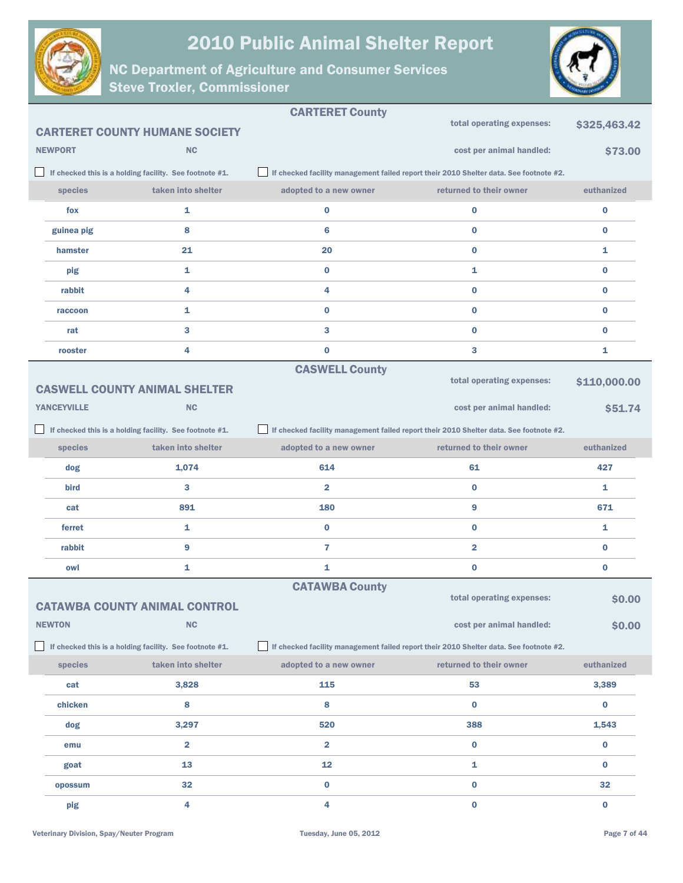



|                    |                                                         | <b>CARTERET County</b> |                                                                                        |                |
|--------------------|---------------------------------------------------------|------------------------|----------------------------------------------------------------------------------------|----------------|
|                    | <b>CARTERET COUNTY HUMANE SOCIETY</b>                   |                        | total operating expenses:                                                              | \$325,463.42   |
| <b>NEWPORT</b>     | <b>NC</b>                                               |                        | cost per animal handled:                                                               | \$73.00        |
|                    | If checked this is a holding facility. See footnote #1. |                        | If checked facility management failed report their 2010 Shelter data. See footnote #2. |                |
| species            | taken into shelter                                      | adopted to a new owner | returned to their owner                                                                | euthanized     |
| fox                | 1                                                       | $\bf{0}$               | $\bf{0}$                                                                               | 0              |
| guinea pig         | 8                                                       | 6                      | $\bf{0}$                                                                               | $\bf{0}$       |
| hamster            | 21                                                      | 20                     | $\bf{0}$                                                                               | $\mathbf{1}$   |
| pig                | 1                                                       | $\bf{0}$               | 1                                                                                      | $\bf{0}$       |
| rabbit             | 4                                                       | 4                      | $\bf{0}$                                                                               | $\bf{0}$       |
| raccoon            | 1                                                       | $\bf{0}$               | $\bf{0}$                                                                               | $\bf{0}$       |
| rat                | 3                                                       | 3                      | $\bf{0}$                                                                               | $\bf{0}$       |
| rooster            | 4                                                       | $\bf{0}$               | 3                                                                                      | 1              |
|                    |                                                         | <b>CASWELL County</b>  |                                                                                        |                |
|                    | <b>CASWELL COUNTY ANIMAL SHELTER</b>                    |                        | total operating expenses:                                                              | \$110,000.00   |
| <b>YANCEYVILLE</b> | <b>NC</b>                                               |                        | cost per animal handled:                                                               | <b>\$51.74</b> |
|                    | If checked this is a holding facility. See footnote #1. |                        | If checked facility management failed report their 2010 Shelter data. See footnote #2. |                |
| species            | taken into shelter                                      | adopted to a new owner | returned to their owner                                                                | euthanized     |
| dog                | 1,074                                                   | 614                    | 61                                                                                     | 427            |
| bird               | 3                                                       | $\overline{2}$         | $\bf{0}$                                                                               | 1              |
| cat                | 891                                                     | 180                    | 9                                                                                      | 671            |
| ferret             | 1                                                       | $\bf{0}$               | $\bf{0}$                                                                               | 1              |
| rabbit             | 9                                                       | $\overline{7}$         | $\overline{\mathbf{2}}$                                                                | $\bf{0}$       |
| owl                | 1                                                       | 1                      | $\bf{0}$                                                                               | 0              |
|                    |                                                         | <b>CATAWBA County</b>  | total operating expenses:                                                              |                |
|                    | CATAWBA COUNTY ANIMAL CONTROL                           |                        |                                                                                        | \$0.00         |
| <b>NEWTON</b>      | NC                                                      |                        | cost per animal handled:                                                               | \$0.00         |
|                    | If checked this is a holding facility. See footnote #1. |                        | If checked facility management failed report their 2010 Shelter data. See footnote #2. |                |
| species            | taken into shelter                                      | adopted to a new owner | returned to their owner                                                                | euthanized     |
| cat                | 3,828                                                   | 115                    | 53                                                                                     | 3,389          |
| chicken            | 8                                                       | 8                      | $\bf{0}$                                                                               | $\bf{0}$       |
| dog                | 3,297                                                   | 520                    | 388                                                                                    | 1,543          |
| emu                | $\overline{\mathbf{2}}$                                 | $\overline{2}$         | $\bf{0}$                                                                               | $\bf{0}$       |
| goat               | 13                                                      | 12                     | 1                                                                                      | 0              |
| opossum            | 32                                                      | $\pmb{0}$              | $\pmb{0}$                                                                              | 32             |
| pig                | 4                                                       | 4                      | $\bf{0}$                                                                               | $\bf{0}$       |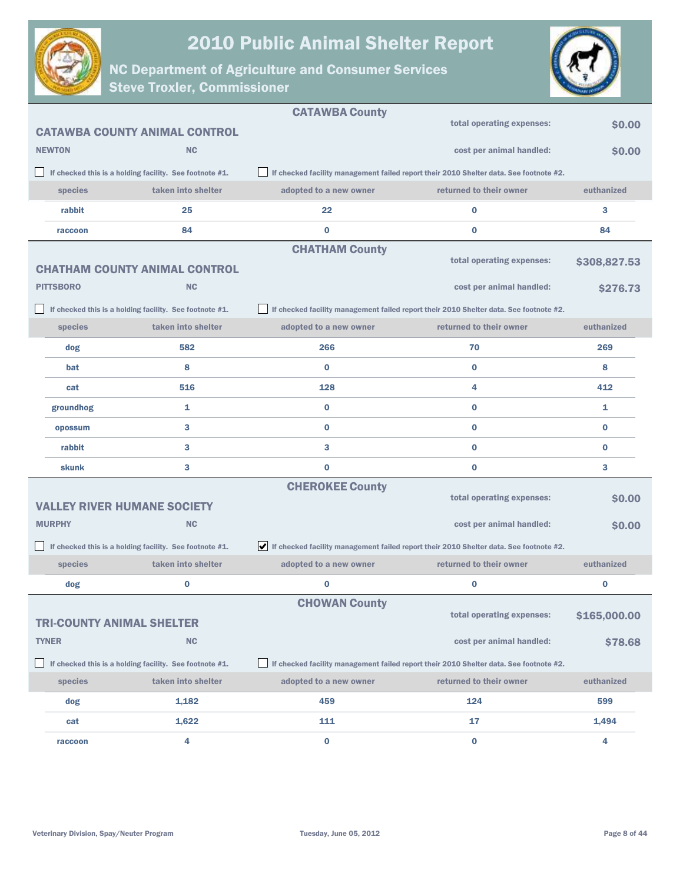



|                  |                                                         | <b>CATAWBA County</b>  |                                                                                        |              |
|------------------|---------------------------------------------------------|------------------------|----------------------------------------------------------------------------------------|--------------|
|                  | <b>CATAWBA COUNTY ANIMAL CONTROL</b>                    |                        | total operating expenses:                                                              | \$0.00       |
| <b>NEWTON</b>    | <b>NC</b>                                               |                        | cost per animal handled:                                                               | \$0.00       |
|                  | If checked this is a holding facility. See footnote #1. |                        | If checked facility management failed report their 2010 Shelter data. See footnote #2. |              |
| species          | taken into shelter                                      | adopted to a new owner | returned to their owner                                                                | euthanized   |
| rabbit           | 25                                                      | 22                     | $\bf{0}$                                                                               | 3            |
| raccoon          | 84                                                      | $\bf{0}$               | $\bf{0}$                                                                               | 84           |
|                  |                                                         | <b>CHATHAM County</b>  |                                                                                        |              |
|                  | <b>CHATHAM COUNTY ANIMAL CONTROL</b>                    |                        | total operating expenses:                                                              | \$308,827.53 |
| <b>PITTSBORO</b> | <b>NC</b>                                               |                        | cost per animal handled:                                                               | \$276.73     |
|                  | If checked this is a holding facility. See footnote #1. |                        | If checked facility management failed report their 2010 Shelter data. See footnote #2. |              |
| species          | taken into shelter                                      | adopted to a new owner | returned to their owner                                                                | euthanized   |
| dog              | 582                                                     | 266                    | 70                                                                                     | 269          |
| bat              | 8                                                       | $\bf{0}$               | $\bf{0}$                                                                               | 8            |
| cat              | 516                                                     | 128                    | 4                                                                                      | 412          |
| groundhog        | 1                                                       | $\bf{0}$               | $\bf{0}$                                                                               | 1            |
| opossum          | 3                                                       | $\bf{0}$               | $\bf{0}$                                                                               | $\bf{0}$     |
| rabbit           | 3                                                       | 3                      | $\bf{0}$                                                                               | $\bf{0}$     |
| <b>skunk</b>     | 3                                                       | $\bf{0}$               | $\bf{0}$                                                                               | 3            |
|                  |                                                         | <b>CHEROKEE County</b> |                                                                                        |              |
|                  | <b>VALLEY RIVER HUMANE SOCIETY</b>                      |                        | total operating expenses:                                                              | \$0.00       |
| <b>MURPHY</b>    | <b>NC</b>                                               |                        | cost per animal handled:                                                               | \$0.00       |
|                  | If checked this is a holding facility. See footnote #1. |                        | If checked facility management failed report their 2010 Shelter data. See footnote #2. |              |
| species          | taken into shelter                                      | adopted to a new owner | returned to their owner                                                                | euthanized   |
| dog              | 0                                                       | 0                      | $\bf{0}$                                                                               | $\bf{0}$     |
|                  |                                                         | <b>CHOWAN County</b>   |                                                                                        |              |
|                  | <b>TRI-COUNTY ANIMAL SHELTER</b>                        |                        | total operating expenses:                                                              | \$165,000.00 |
| <b>TYNER</b>     | NC                                                      |                        | cost per animal handled:                                                               | \$78.68      |
|                  | If checked this is a holding facility. See footnote #1. |                        | If checked facility management failed report their 2010 Shelter data. See footnote #2. |              |
| species          | taken into shelter                                      | adopted to a new owner | returned to their owner                                                                | euthanized   |
| dog              | 1,182                                                   | 459                    | 124                                                                                    | 599          |
| cat              | 1,622                                                   | 111                    | 17                                                                                     | 1,494        |
| raccoon          | 4                                                       | 0                      | $\bf{0}$                                                                               | 4            |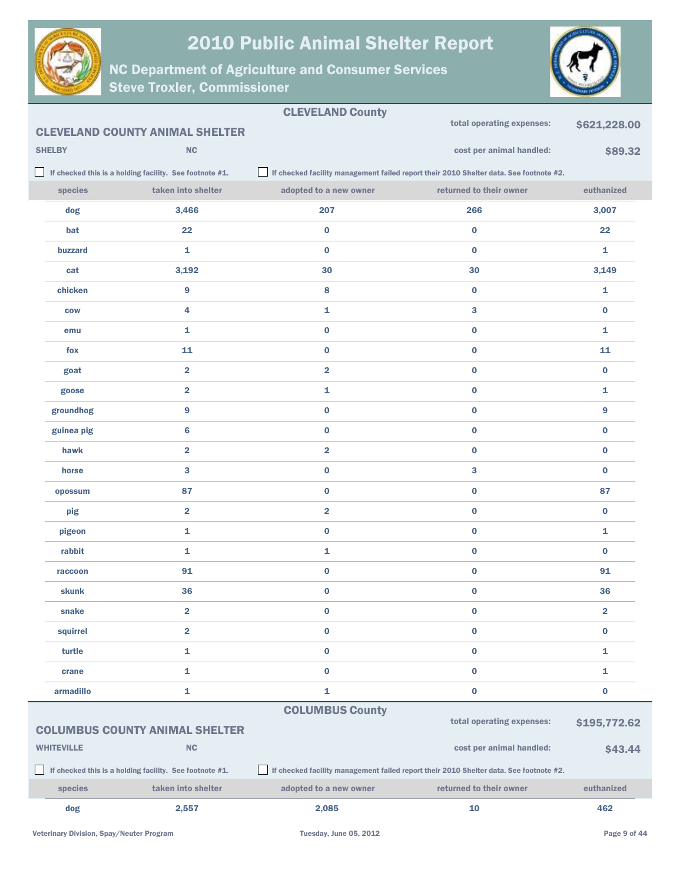



|                                       |                   |                                                         | <b>CLEVELAND County</b> | total operating expenses:                                                              | \$621,228.00            |
|---------------------------------------|-------------------|---------------------------------------------------------|-------------------------|----------------------------------------------------------------------------------------|-------------------------|
|                                       |                   | <b>CLEVELAND COUNTY ANIMAL SHELTER</b>                  |                         |                                                                                        |                         |
|                                       | <b>SHELBY</b>     | <b>NC</b>                                               |                         | cost per animal handled:                                                               | \$89.32                 |
|                                       |                   | If checked this is a holding facility. See footnote #1. |                         | If checked facility management failed report their 2010 Shelter data. See footnote #2. |                         |
|                                       | species           | taken into shelter                                      | adopted to a new owner  | returned to their owner                                                                | euthanized              |
|                                       | dog               | 3,466                                                   | 207                     | 266                                                                                    | 3,007                   |
|                                       | bat               | 22                                                      | $\bf{0}$                | $\bf{0}$                                                                               | 22                      |
|                                       | buzzard           | $\mathbf{1}$                                            | $\bf{0}$                | $\bf{0}$                                                                               | $\mathbf{1}$            |
|                                       | cat               | 3,192                                                   | 30                      | 30                                                                                     | 3,149                   |
|                                       | chicken           | $\boldsymbol{9}$                                        | 8                       | $\bf{0}$                                                                               | 1                       |
|                                       | <b>COW</b>        | 4                                                       | 1                       | 3                                                                                      | $\bf{0}$                |
|                                       | emu               | $\mathbf{1}$                                            | $\bf{0}$                | $\bf{0}$                                                                               | $\mathbf{1}$            |
|                                       | fox               | 11                                                      | $\bf{0}$                | $\bf{0}$                                                                               | 11                      |
|                                       | goat              | $\overline{2}$                                          | $\overline{\mathbf{2}}$ | $\bf{0}$                                                                               | $\bf{0}$                |
|                                       | goose             | $\overline{\mathbf{2}}$                                 | 1                       | $\bf{0}$                                                                               | 1                       |
|                                       | groundhog         | 9                                                       | $\bf{0}$                | $\bf{0}$                                                                               | 9                       |
|                                       | guinea pig        | 6                                                       | $\bf{0}$                | $\bf{0}$                                                                               | $\bf{0}$                |
|                                       | hawk              | $\overline{2}$                                          | $\overline{\mathbf{2}}$ | $\bf{0}$                                                                               | $\bf{0}$                |
|                                       | horse             | 3                                                       | $\bf{0}$                | 3                                                                                      | $\bf{0}$                |
|                                       | opossum           | 87                                                      | $\bf{0}$                | $\bf{0}$                                                                               | 87                      |
|                                       | pig               | $\overline{\mathbf{2}}$                                 | $\overline{\mathbf{2}}$ | $\bf{0}$                                                                               | $\bf{0}$                |
|                                       | pigeon            | 1                                                       | $\bf{0}$                | $\bf{0}$                                                                               | $\mathbf{1}$            |
|                                       | rabbit            | 1                                                       | 1                       | $\bf{0}$                                                                               | $\bf{0}$                |
|                                       | raccoon           | 91                                                      | $\bf{0}$                | $\bf{0}$                                                                               | 91                      |
|                                       | <b>skunk</b>      | 36                                                      | $\bf{0}$                | $\bf{0}$                                                                               | 36                      |
|                                       | snake             | 2                                                       | 0                       | $\bf{0}$                                                                               | $\overline{\mathbf{2}}$ |
|                                       | squirrel          | $\overline{\mathbf{2}}$                                 | $\bf{0}$                | $\bf{0}$                                                                               | $\bf{0}$                |
|                                       | turtle            | $\mathbf{1}$                                            | $\bf{0}$                | $\bf{0}$                                                                               | 1                       |
|                                       | crane             | $\mathbf{1}$                                            | $\bf{0}$                | $\bf{0}$                                                                               | 1                       |
|                                       | armadillo         | $\mathbf{1}$                                            | 1                       | $\bf{0}$                                                                               | $\bf{0}$                |
|                                       |                   |                                                         | <b>COLUMBUS County</b>  |                                                                                        |                         |
| <b>COLUMBUS COUNTY ANIMAL SHELTER</b> |                   |                                                         |                         | total operating expenses:                                                              | \$195,772.62            |
|                                       | <b>WHITEVILLE</b> | <b>NC</b>                                               |                         | cost per animal handled:                                                               | \$43.44                 |
|                                       |                   | If checked this is a holding facility. See footnote #1. |                         | If checked facility management failed report their 2010 Shelter data. See footnote #2. |                         |
|                                       | species           | taken into shelter                                      | adopted to a new owner  | returned to their owner                                                                | euthanized              |
|                                       | dog               | 2,557                                                   | 2,085                   | 10                                                                                     | 462                     |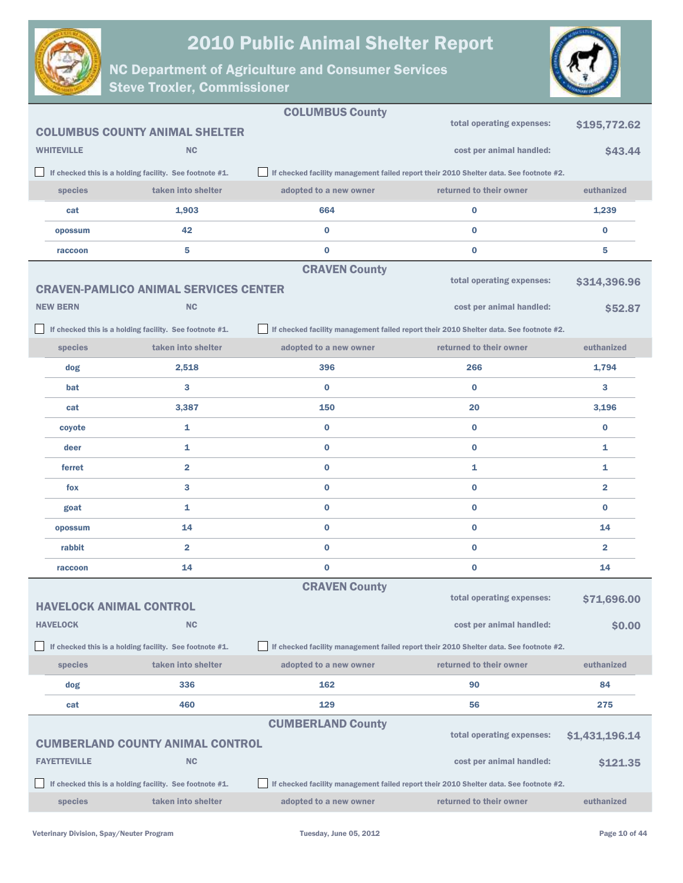



|                                |                                                                               | <b>COLUMBUS County</b>                                                                 | total operating expenses:                                                              | \$195,772.62   |
|--------------------------------|-------------------------------------------------------------------------------|----------------------------------------------------------------------------------------|----------------------------------------------------------------------------------------|----------------|
| <b>WHITEVILLE</b>              | <b>COLUMBUS COUNTY ANIMAL SHELTER</b><br><b>NC</b>                            |                                                                                        | cost per animal handled:                                                               | \$43.44        |
|                                |                                                                               | If checked facility management failed report their 2010 Shelter data. See footnote #2. |                                                                                        |                |
| species                        | If checked this is a holding facility. See footnote #1.<br>taken into shelter | adopted to a new owner                                                                 | returned to their owner                                                                | euthanized     |
| cat                            | 1,903                                                                         | 664                                                                                    | $\bf{0}$                                                                               | 1,239          |
| opossum                        | 42                                                                            | $\bf{0}$                                                                               | 0                                                                                      | $\bf{0}$       |
| raccoon                        | 5                                                                             | $\bf{0}$                                                                               | $\bf{0}$                                                                               | 5              |
|                                |                                                                               | <b>CRAVEN County</b>                                                                   |                                                                                        |                |
|                                | <b>CRAVEN-PAMLICO ANIMAL SERVICES CENTER</b>                                  |                                                                                        | total operating expenses:                                                              | \$314,396.96   |
| <b>NEW BERN</b>                | <b>NC</b>                                                                     |                                                                                        | cost per animal handled:                                                               | \$52.87        |
|                                | If checked this is a holding facility. See footnote #1.                       |                                                                                        | If checked facility management failed report their 2010 Shelter data. See footnote #2. |                |
| species                        | taken into shelter                                                            | adopted to a new owner                                                                 | returned to their owner                                                                | euthanized     |
| dog                            | 2,518                                                                         | 396                                                                                    | 266                                                                                    | 1,794          |
| bat                            | 3                                                                             | 0                                                                                      | $\bf{0}$                                                                               | 3              |
| cat                            | 3,387                                                                         | 150                                                                                    | 20                                                                                     | 3,196          |
| coyote                         | 1                                                                             | $\bf{0}$                                                                               | $\bf{0}$                                                                               | $\bf{0}$       |
| deer                           | 1                                                                             | 0                                                                                      | 0                                                                                      | 1              |
| ferret                         | $\overline{\mathbf{2}}$                                                       | 0                                                                                      | 1                                                                                      | 1              |
| fox                            | 3                                                                             | 0                                                                                      | 0                                                                                      | 2              |
| goat                           | 1                                                                             | 0                                                                                      | $\bf{0}$                                                                               | $\bf{0}$       |
| opossum                        | 14                                                                            | 0                                                                                      | 0                                                                                      | 14             |
| rabbit                         | $\overline{\mathbf{2}}$                                                       | $\bf{0}$                                                                               | $\bf{0}$                                                                               | $\overline{2}$ |
| raccoon                        | 14                                                                            | $\bf{0}$                                                                               | 0                                                                                      | 14             |
|                                |                                                                               | <b>CRAVEN County</b>                                                                   |                                                                                        |                |
| <b>HAVELOCK ANIMAL CONTROL</b> |                                                                               |                                                                                        | total operating expenses:                                                              | \$71,696.00    |
| <b>HAVELOCK</b>                | <b>NC</b>                                                                     |                                                                                        | cost per animal handled:                                                               | \$0.00         |
|                                | If checked this is a holding facility. See footnote #1.                       |                                                                                        | If checked facility management failed report their 2010 Shelter data. See footnote #2. |                |
| species                        | taken into shelter                                                            | adopted to a new owner                                                                 | returned to their owner                                                                | euthanized     |
| dog                            | 336                                                                           | 162                                                                                    | 90                                                                                     | 84             |
| cat                            | 460                                                                           | 129                                                                                    | 56                                                                                     | 275            |
|                                |                                                                               | <b>CUMBERLAND County</b>                                                               | total operating expenses:                                                              | \$1,431,196.14 |
|                                | <b>CUMBERLAND COUNTY ANIMAL CONTROL</b>                                       |                                                                                        |                                                                                        |                |
| <b>FAYETTEVILLE</b>            | <b>NC</b>                                                                     |                                                                                        | cost per animal handled:                                                               | \$121.35       |
|                                | If checked this is a holding facility. See footnote #1.                       |                                                                                        | If checked facility management failed report their 2010 Shelter data. See footnote #2. |                |
| species                        | taken into shelter                                                            | adopted to a new owner                                                                 | returned to their owner                                                                | euthanized     |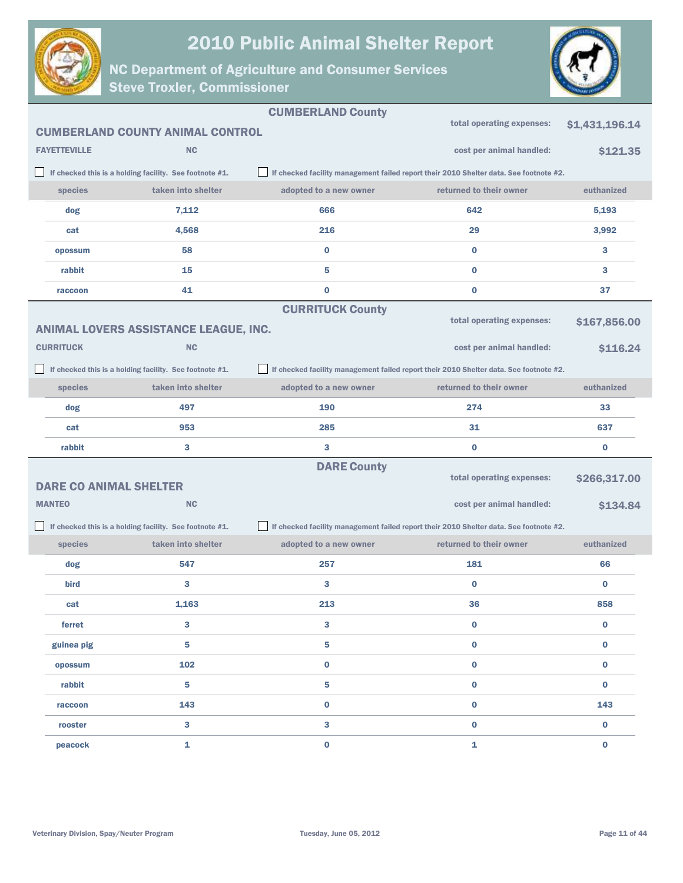



|                     |                                                         | <b>CUMBERLAND County</b> |                                                                                        |                |
|---------------------|---------------------------------------------------------|--------------------------|----------------------------------------------------------------------------------------|----------------|
|                     | <b>CUMBERLAND COUNTY ANIMAL CONTROL</b>                 |                          | total operating expenses:                                                              | \$1,431,196.14 |
| <b>FAYETTEVILLE</b> | <b>NC</b>                                               |                          | cost per animal handled:                                                               | \$121.35       |
|                     | If checked this is a holding facility. See footnote #1. |                          | If checked facility management failed report their 2010 Shelter data. See footnote #2. |                |
| species             | taken into shelter                                      | adopted to a new owner   | returned to their owner                                                                | euthanized     |
| dog                 | 7,112                                                   | 666                      | 642                                                                                    | 5,193          |
| cat                 | 4,568                                                   | 216                      | 29                                                                                     | 3,992          |
| opossum             | 58                                                      | $\bf{0}$                 | $\bf{0}$                                                                               | 3              |
| rabbit              | 15                                                      | 5                        | $\bf{0}$                                                                               | 3              |
| raccoon             | 41                                                      | $\bf{0}$                 | $\bf{0}$                                                                               | 37             |
|                     |                                                         | <b>CURRITUCK County</b>  |                                                                                        |                |
|                     | ANIMAL LOVERS ASSISTANCE LEAGUE, INC.                   |                          | total operating expenses:                                                              | \$167,856.00   |
| <b>CURRITUCK</b>    | <b>NC</b>                                               |                          | cost per animal handled:                                                               | \$116.24       |
|                     | If checked this is a holding facility. See footnote #1. |                          | If checked facility management failed report their 2010 Shelter data. See footnote #2. |                |
| species             | taken into shelter                                      | adopted to a new owner   | returned to their owner                                                                | euthanized     |
| dog                 | 497                                                     | 190                      | 274                                                                                    | 33             |
| cat                 | 953                                                     | 285                      | 31                                                                                     | 637            |
| rabbit              | 3                                                       | 3                        | $\bf{0}$                                                                               | $\bf{0}$       |
|                     |                                                         | <b>DARE County</b>       |                                                                                        |                |
|                     | <b>DARE CO ANIMAL SHELTER</b>                           |                          | total operating expenses:                                                              | \$266,317.00   |
| <b>MANTEO</b>       | NC                                                      |                          | cost per animal handled:                                                               | \$134.84       |
|                     | If checked this is a holding facility. See footnote #1. |                          | If checked facility management failed report their 2010 Shelter data. See footnote #2. |                |
| species             | taken into shelter                                      | adopted to a new owner   | returned to their owner                                                                | euthanized     |
| dog                 | 547                                                     | 257                      | 181                                                                                    | 66             |
| bird                | 3                                                       | 3                        | $\bf{0}$                                                                               | $\bf{0}$       |
| cat                 | 1,163                                                   | 213                      | 36                                                                                     | 858            |
| ferret              | 3                                                       | $\mathbf{3}$             | $\bf{0}$                                                                               | $\bf{0}$       |
| guinea pig          | 5                                                       | 5                        | $\bf{0}$                                                                               | $\bf{0}$       |
| opossum             | 102                                                     | $\bf{0}$                 | $\bf{0}$                                                                               | $\bf{0}$       |
| rabbit              | 5                                                       | 5                        | $\bf{0}$                                                                               | $\bf{0}$       |
| raccoon             | 143                                                     | $\bf{0}$                 | $\bf{0}$                                                                               | 143            |
| rooster             | $\mathbf{3}$                                            | 3                        | $\bf{0}$                                                                               | $\bf{0}$       |
| peacock             | 1                                                       | $\bf{0}$                 | $\mathbf{1}$                                                                           | $\bf{0}$       |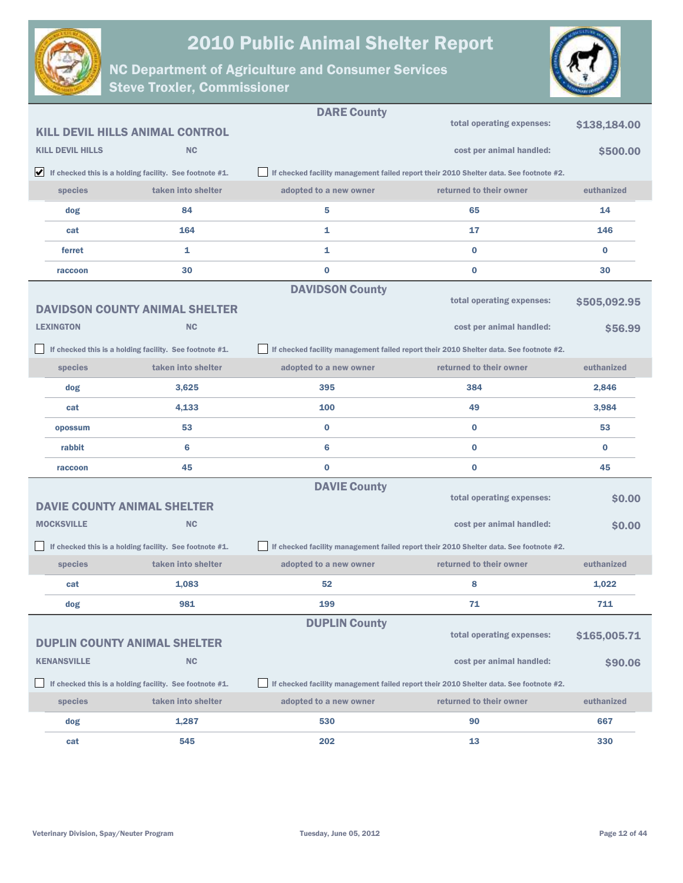



|                         |                                                                               | <b>DARE County</b>     |                                                                                        |              |
|-------------------------|-------------------------------------------------------------------------------|------------------------|----------------------------------------------------------------------------------------|--------------|
|                         | <b>KILL DEVIL HILLS ANIMAL CONTROL</b>                                        |                        | total operating expenses:                                                              | \$138,184.00 |
| <b>KILL DEVIL HILLS</b> | <b>NC</b>                                                                     |                        | cost per animal handled:                                                               | \$500.00     |
|                         | $\blacktriangleright$ If checked this is a holding facility. See footnote #1. |                        | If checked facility management failed report their 2010 Shelter data. See footnote #2. |              |
| species                 | taken into shelter                                                            | adopted to a new owner | returned to their owner                                                                | euthanized   |
| dog                     | 84                                                                            | 5                      | 65                                                                                     | 14           |
| cat                     | 164                                                                           | 1                      | 17                                                                                     | 146          |
| ferret                  | 1                                                                             | 1                      | $\bf{0}$                                                                               | $\bf{0}$     |
| raccoon                 | 30                                                                            | $\bf{0}$               | $\bf{0}$                                                                               | 30           |
|                         | <b>DAVIDSON COUNTY ANIMAL SHELTER</b>                                         | <b>DAVIDSON County</b> | total operating expenses:                                                              | \$505,092.95 |
| <b>LEXINGTON</b>        | <b>NC</b>                                                                     |                        | cost per animal handled:                                                               | \$56.99      |
|                         | If checked this is a holding facility. See footnote #1.                       |                        | If checked facility management failed report their 2010 Shelter data. See footnote #2. |              |
| species                 | taken into shelter                                                            | adopted to a new owner | returned to their owner                                                                | euthanized   |
| dog                     | 3,625                                                                         | 395                    | 384                                                                                    | 2,846        |
| cat                     | 4,133                                                                         | 100                    | 49                                                                                     | 3,984        |
| opossum                 | 53                                                                            | $\bf{0}$               | $\bf{0}$                                                                               | 53           |
| rabbit                  | 6                                                                             | 6                      | $\bf{0}$                                                                               | $\bf{0}$     |
| raccoon                 | 45                                                                            | $\bf{0}$               | $\bf{0}$                                                                               | 45           |
|                         | <b>DAVIE COUNTY ANIMAL SHELTER</b>                                            | <b>DAVIE County</b>    | total operating expenses:                                                              | \$0.00       |
| <b>MOCKSVILLE</b>       | <b>NC</b>                                                                     |                        | cost per animal handled:                                                               | \$0.00       |
|                         | If checked this is a holding facility. See footnote #1.                       |                        | If checked facility management failed report their 2010 Shelter data. See footnote #2. |              |
| species                 | taken into shelter                                                            | adopted to a new owner | returned to their owner                                                                | euthanized   |
| cat                     | 1,083                                                                         | 52                     | 8                                                                                      | 1,022        |
| dog                     | 981                                                                           | 199                    | 71                                                                                     | 711          |
|                         | <b>DUPLIN COUNTY ANIMAL SHELTER</b>                                           | <b>DUPLIN County</b>   | total operating expenses:                                                              | \$165,005.71 |
| <b>KENANSVILLE</b>      | <b>NC</b>                                                                     |                        | cost per animal handled:                                                               | \$90.06      |
|                         | If checked this is a holding facility. See footnote #1.                       |                        | If checked facility management failed report their 2010 Shelter data. See footnote #2. |              |
| species                 | taken into shelter                                                            | adopted to a new owner | returned to their owner                                                                | euthanized   |
| dog                     | 1,287                                                                         | 530                    | 90                                                                                     | 667          |
| cat                     | 545                                                                           | 202                    | 13                                                                                     | 330          |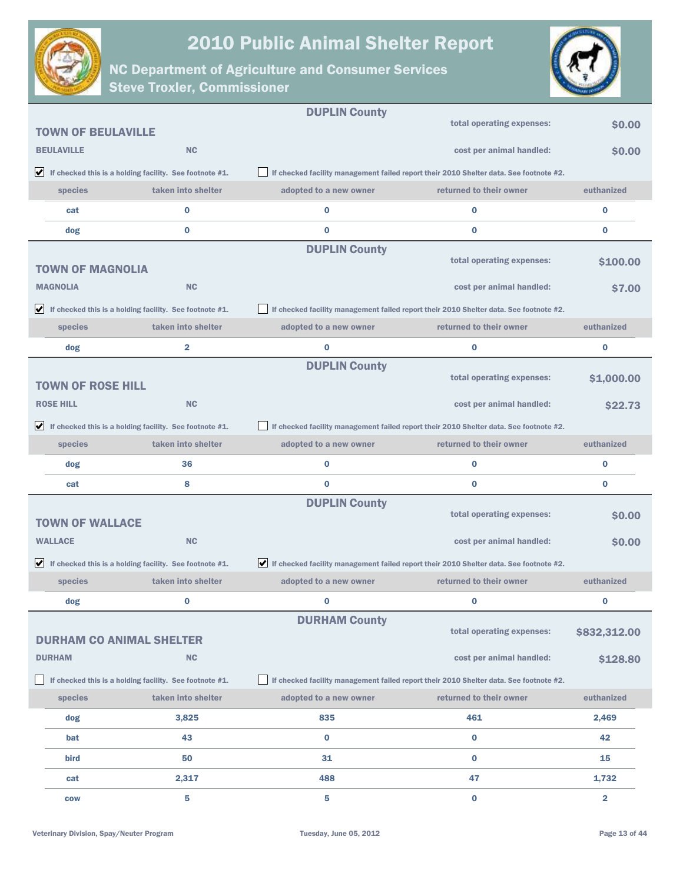



|                                 |                                                                               | <b>DUPLIN County</b>                                                                   |                                                                                        |                |
|---------------------------------|-------------------------------------------------------------------------------|----------------------------------------------------------------------------------------|----------------------------------------------------------------------------------------|----------------|
| <b>TOWN OF BEULAVILLE</b>       |                                                                               |                                                                                        | total operating expenses:                                                              | \$0.00         |
| <b>BEULAVILLE</b>               | <b>NC</b>                                                                     |                                                                                        | cost per animal handled:                                                               | \$0.00         |
|                                 | $\blacktriangleright$ If checked this is a holding facility. See footnote #1. |                                                                                        | If checked facility management failed report their 2010 Shelter data. See footnote #2. |                |
| species                         | taken into shelter                                                            | adopted to a new owner                                                                 | returned to their owner                                                                | euthanized     |
| cat                             | 0                                                                             | $\bf{0}$                                                                               | $\bf{0}$                                                                               | $\bf{0}$       |
| dog                             | 0                                                                             | $\bf{0}$                                                                               | $\bf{0}$                                                                               | $\bf{0}$       |
|                                 |                                                                               | <b>DUPLIN County</b>                                                                   |                                                                                        |                |
| <b>TOWN OF MAGNOLIA</b>         |                                                                               |                                                                                        | total operating expenses:                                                              | \$100.00       |
| <b>MAGNOLIA</b>                 | <b>NC</b>                                                                     |                                                                                        | cost per animal handled:                                                               | <b>S7.00</b>   |
|                                 | $\blacktriangleright$ If checked this is a holding facility. See footnote #1. |                                                                                        | If checked facility management failed report their 2010 Shelter data. See footnote #2. |                |
| species                         | taken into shelter                                                            | adopted to a new owner                                                                 | returned to their owner                                                                | euthanized     |
| dog                             | 2                                                                             | $\bf{0}$                                                                               | $\bf{0}$                                                                               | $\bf{0}$       |
|                                 |                                                                               | <b>DUPLIN County</b>                                                                   |                                                                                        |                |
| <b>TOWN OF ROSE HILL</b>        |                                                                               |                                                                                        | total operating expenses:                                                              | \$1,000.00     |
| <b>ROSE HILL</b>                | <b>NC</b>                                                                     |                                                                                        | cost per animal handled:                                                               | <b>\$22.73</b> |
|                                 | $\blacktriangleright$ If checked this is a holding facility. See footnote #1. |                                                                                        | If checked facility management failed report their 2010 Shelter data. See footnote #2. |                |
| species                         | taken into shelter                                                            | adopted to a new owner                                                                 | returned to their owner                                                                | euthanized     |
|                                 |                                                                               |                                                                                        |                                                                                        |                |
| dog                             | 36                                                                            | $\bf{0}$                                                                               | $\bf{0}$                                                                               | $\bf{0}$       |
| cat                             | 8                                                                             | $\bf{0}$                                                                               | $\bf{0}$                                                                               | $\bf{0}$       |
|                                 |                                                                               | <b>DUPLIN County</b>                                                                   |                                                                                        |                |
| <b>TOWN OF WALLACE</b>          |                                                                               |                                                                                        | total operating expenses:                                                              | \$0.00         |
| <b>WALLACE</b>                  | <b>NC</b>                                                                     |                                                                                        | cost per animal handled:                                                               | <b>SO.00</b>   |
|                                 | $\blacktriangleright$ If checked this is a holding facility. See footnote #1. | If checked facility management failed report their 2010 Shelter data. See footnote #2. |                                                                                        |                |
| species                         | taken into shelter                                                            | adopted to a new owner                                                                 | returned to their owner                                                                | euthanized     |
| dog                             | 0                                                                             | 0                                                                                      | $\bf{0}$                                                                               | 0              |
|                                 |                                                                               | <b>DURHAM County</b>                                                                   |                                                                                        |                |
| <b>DURHAM CO ANIMAL SHELTER</b> |                                                                               |                                                                                        | total operating expenses:                                                              | \$832,312.00   |
| <b>DURHAM</b>                   | NC                                                                            |                                                                                        | cost per animal handled:                                                               | \$128.80       |
|                                 | If checked this is a holding facility. See footnote #1.                       |                                                                                        | If checked facility management failed report their 2010 Shelter data. See footnote #2. |                |
| species                         | taken into shelter                                                            | adopted to a new owner                                                                 | returned to their owner                                                                | euthanized     |
| dog                             | 3,825                                                                         | 835                                                                                    | 461                                                                                    | 2,469          |
| bat                             | 43                                                                            | $\bf{0}$                                                                               | $\bf{0}$                                                                               | 42             |
| bird                            | 50                                                                            | 31                                                                                     | $\bf{0}$                                                                               | 15             |
| cat                             | 2,317                                                                         | 488                                                                                    | 47                                                                                     | 1,732          |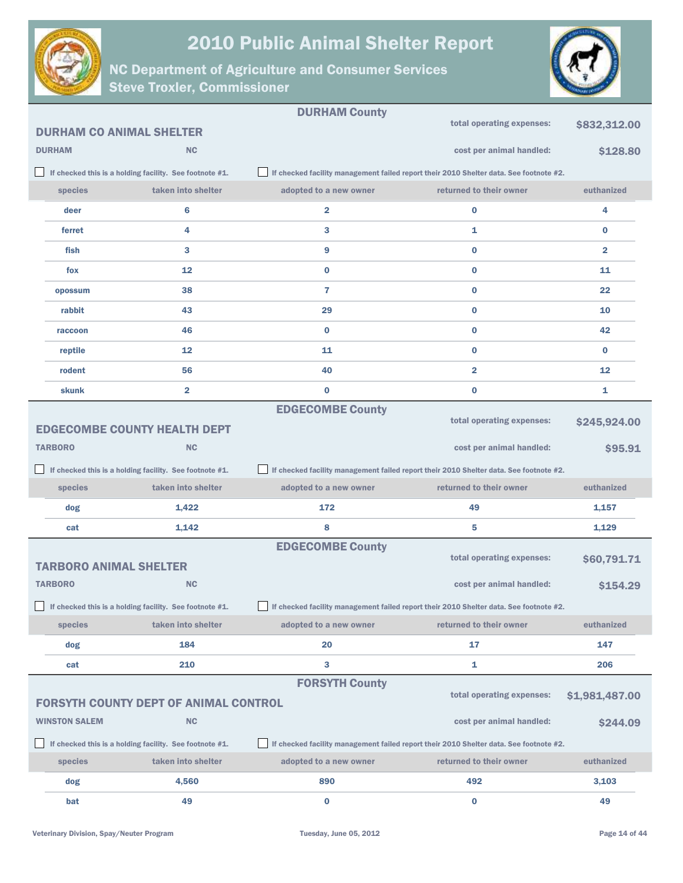



|                                 |                                                         | <b>DURHAM County</b>                                                                   |                                                                                        |                |
|---------------------------------|---------------------------------------------------------|----------------------------------------------------------------------------------------|----------------------------------------------------------------------------------------|----------------|
| <b>DURHAM CO ANIMAL SHELTER</b> |                                                         |                                                                                        | total operating expenses:                                                              | \$832,312.00   |
| <b>DURHAM</b>                   | <b>NC</b>                                               |                                                                                        | cost per animal handled:                                                               | \$128.80       |
|                                 | If checked this is a holding facility. See footnote #1. |                                                                                        | If checked facility management failed report their 2010 Shelter data. See footnote #2. |                |
| species                         | taken into shelter                                      | adopted to a new owner                                                                 | returned to their owner                                                                | euthanized     |
| deer                            | 6                                                       | 2                                                                                      | $\bf{0}$                                                                               | 4              |
| ferret                          | 4                                                       | 3                                                                                      | 1                                                                                      | $\bf{0}$       |
| fish                            | 3                                                       | 9                                                                                      | $\bf{0}$                                                                               | $\overline{2}$ |
| fox                             | 12                                                      | $\bf{0}$                                                                               | $\bf{0}$                                                                               | 11             |
| opossum                         | 38                                                      | 7                                                                                      | $\bf{0}$                                                                               | 22             |
| rabbit                          | 43                                                      | 29                                                                                     | $\bf{0}$                                                                               | 10             |
| raccoon                         | 46                                                      | $\bf{0}$                                                                               | $\bf{0}$                                                                               | 42             |
| reptile                         | 12                                                      | 11                                                                                     | $\bf{0}$                                                                               | $\bf{0}$       |
| rodent                          | 56                                                      | 40                                                                                     | $\overline{\mathbf{2}}$                                                                | 12             |
| skunk                           | 2                                                       | $\bf{0}$                                                                               | $\bf{0}$                                                                               | 1              |
|                                 |                                                         | <b>EDGECOMBE County</b>                                                                |                                                                                        |                |
|                                 | <b>EDGECOMBE COUNTY HEALTH DEPT</b>                     |                                                                                        | total operating expenses:                                                              | \$245,924.00   |
| <b>TARBORO</b>                  | <b>NC</b>                                               |                                                                                        | cost per animal handled:                                                               | \$95.91        |
|                                 |                                                         |                                                                                        |                                                                                        |                |
|                                 | If checked this is a holding facility. See footnote #1. |                                                                                        | If checked facility management failed report their 2010 Shelter data. See footnote #2. |                |
| species                         | taken into shelter                                      | adopted to a new owner                                                                 | returned to their owner                                                                | euthanized     |
| dog                             | 1,422                                                   | 172                                                                                    | 49                                                                                     | 1,157          |
| cat                             | 1,142                                                   | 8                                                                                      | 5                                                                                      | 1,129          |
|                                 |                                                         | <b>EDGECOMBE County</b>                                                                |                                                                                        |                |
| <b>TARBORO ANIMAL SHELTER</b>   |                                                         |                                                                                        | total operating expenses:                                                              | \$60,791.71    |
| <b>TARBORO</b>                  | <b>NC</b>                                               |                                                                                        | cost per animal handled:                                                               | \$154.29       |
|                                 | If checked this is a holding facility. See footnote #1. | If checked facility management failed report their 2010 Shelter data. See footnote #2. |                                                                                        |                |
| <b>species</b>                  | taken into shelter                                      | adopted to a new owner                                                                 | returned to their owner                                                                | euthanized     |
| dog                             | 184                                                     | 20                                                                                     | 17                                                                                     | 147            |
| cat                             | 210                                                     | 3                                                                                      | $\mathbf{1}$                                                                           | 206            |
|                                 |                                                         | <b>FORSYTH County</b>                                                                  |                                                                                        |                |
|                                 | <b>FORSYTH COUNTY DEPT OF ANIMAL CONTROL</b>            |                                                                                        | total operating expenses:                                                              | \$1,981,487.00 |
| <b>WINSTON SALEM</b>            | NC                                                      |                                                                                        | cost per animal handled:                                                               | \$244.09       |
|                                 | If checked this is a holding facility. See footnote #1. |                                                                                        | If checked facility management failed report their 2010 Shelter data. See footnote #2. |                |
| species                         | taken into shelter                                      | adopted to a new owner                                                                 | returned to their owner                                                                | euthanized     |
| dog                             | 4,560                                                   | 890                                                                                    | 492                                                                                    | 3,103          |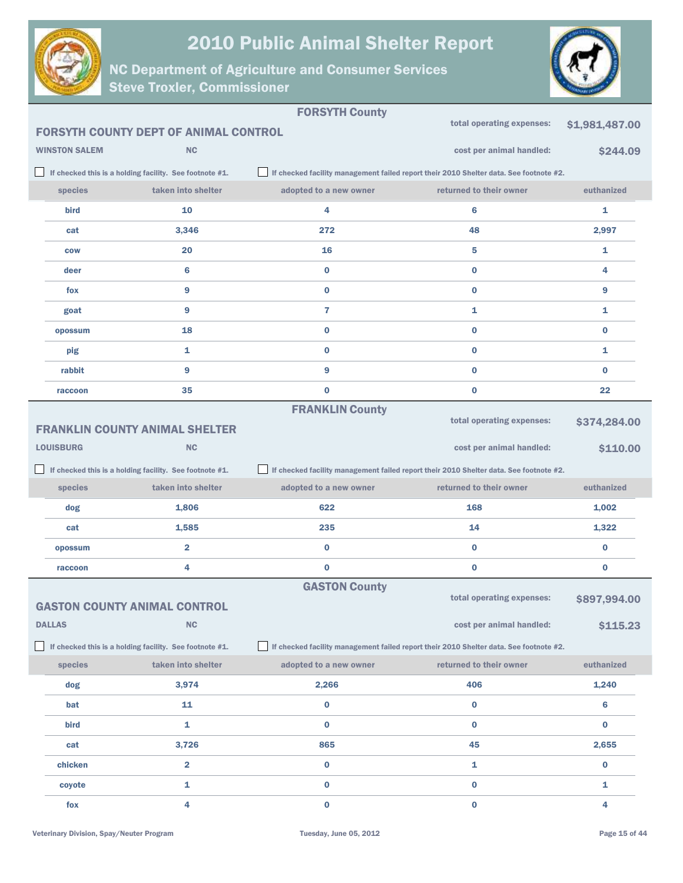



|                      |                                                         | <b>FORSYTH County</b>  |                                                                                        |                |
|----------------------|---------------------------------------------------------|------------------------|----------------------------------------------------------------------------------------|----------------|
|                      | <b>FORSYTH COUNTY DEPT OF ANIMAL CONTROL</b>            |                        | total operating expenses:                                                              | \$1,981,487.00 |
| <b>WINSTON SALEM</b> | <b>NC</b>                                               |                        | cost per animal handled:                                                               | \$244.09       |
|                      | If checked this is a holding facility. See footnote #1. |                        | If checked facility management failed report their 2010 Shelter data. See footnote #2. |                |
| species              | taken into shelter                                      | adopted to a new owner | returned to their owner                                                                | euthanized     |
| bird                 | 10                                                      | 4                      | 6                                                                                      | 1              |
| cat                  | 3,346                                                   | 272                    | 48                                                                                     | 2,997          |
| <b>COW</b>           | 20                                                      | 16                     | 5                                                                                      | 1              |
| deer                 | 6                                                       | $\bf{0}$               | $\bf{0}$                                                                               | 4              |
| fox                  | 9                                                       | $\bf{0}$               | $\bf{0}$                                                                               | 9              |
| goat                 | 9                                                       | 7                      | 1                                                                                      | 1              |
| opossum              | 18                                                      | $\bf{0}$               | $\bf{0}$                                                                               | 0              |
| pig                  | 1                                                       | $\bf{0}$               | $\bf{0}$                                                                               | 1              |
| rabbit               | 9                                                       | 9                      | $\bf{0}$                                                                               | $\bf{0}$       |
| raccoon              | 35                                                      | $\bf{0}$               | $\bf{0}$                                                                               | 22             |
|                      |                                                         | <b>FRANKLIN County</b> |                                                                                        |                |
|                      | <b>FRANKLIN COUNTY ANIMAL SHELTER</b>                   |                        | total operating expenses:                                                              | \$374,284.00   |
| <b>LOUISBURG</b>     | <b>NC</b>                                               |                        | cost per animal handled:                                                               | \$110.00       |
|                      |                                                         |                        |                                                                                        |                |
|                      | If checked this is a holding facility. See footnote #1. |                        | If checked facility management failed report their 2010 Shelter data. See footnote #2. |                |
| species              | taken into shelter                                      | adopted to a new owner | returned to their owner                                                                | euthanized     |
| dog                  | 1,806                                                   | 622                    | 168                                                                                    | 1,002          |
| cat                  | 1,585                                                   | 235                    | 14                                                                                     | 1,322          |
| opossum              | $\overline{2}$                                          | $\bf{0}$               | $\bf{0}$                                                                               | 0              |
| raccoon              | 4                                                       | $\bf{0}$               | $\bf{0}$                                                                               | 0              |
|                      |                                                         | <b>GASTON County</b>   |                                                                                        |                |
|                      | <b>GASTON COUNTY ANIMAL CONTROL</b>                     |                        | total operating expenses:                                                              | \$897,994.00   |
| <b>DALLAS</b>        | NC                                                      |                        | cost per animal handled:                                                               | \$115.23       |
|                      | If checked this is a holding facility. See footnote #1. |                        | If checked facility management failed report their 2010 Shelter data. See footnote #2. |                |
| species              | taken into shelter                                      | adopted to a new owner | returned to their owner                                                                | euthanized     |
| dog                  | 3,974                                                   | 2,266                  | 406                                                                                    | 1,240          |
| bat                  | 11                                                      | $\bf{0}$               | $\bf{0}$                                                                               | 6              |
| bird                 | 1                                                       | 0                      | $\bf{0}$                                                                               | 0              |
| cat                  | 3,726                                                   | 865                    | 45                                                                                     | 2,655          |
| chicken              | $\overline{\mathbf{2}}$                                 | $\pmb{0}$              | 1                                                                                      | $\bf{0}$       |
| coyote               | 1                                                       | $\pmb{0}$              | $\bf{0}$                                                                               | 1              |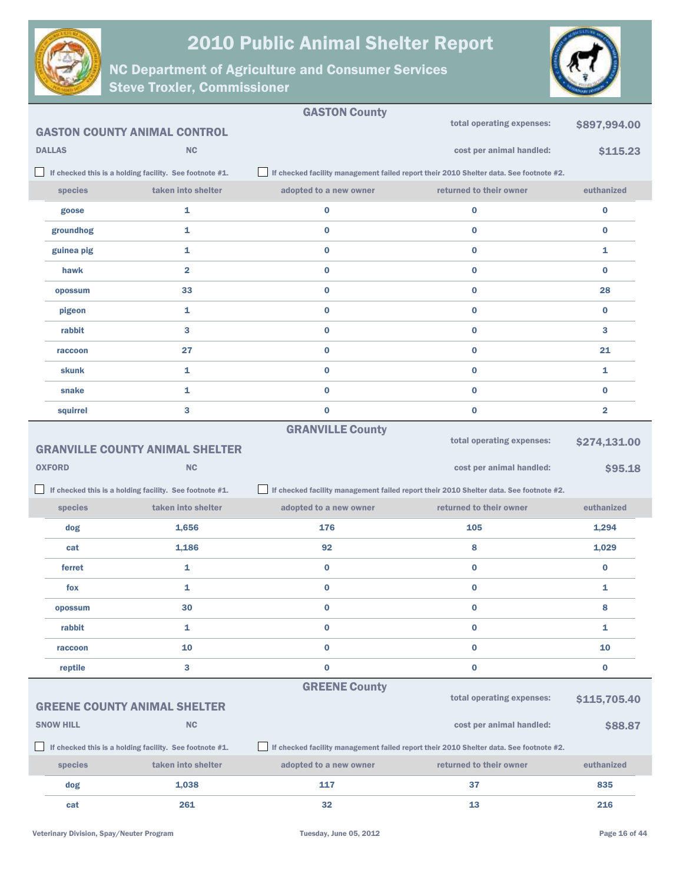



|                  |                                                         | <b>GASTON County</b>    |                                                                                        |                         |
|------------------|---------------------------------------------------------|-------------------------|----------------------------------------------------------------------------------------|-------------------------|
|                  | <b>GASTON COUNTY ANIMAL CONTROL</b>                     |                         | total operating expenses:                                                              | \$897,994.00            |
| <b>DALLAS</b>    | <b>NC</b>                                               |                         | cost per animal handled:                                                               | \$115.23                |
|                  | If checked this is a holding facility. See footnote #1. |                         | If checked facility management failed report their 2010 Shelter data. See footnote #2. |                         |
| species          | taken into shelter                                      | adopted to a new owner  | returned to their owner                                                                | euthanized              |
| goose            | 1                                                       | $\bf{0}$                | $\bf{0}$                                                                               | $\bf{0}$                |
| groundhog        | 1                                                       | $\bf{0}$                | $\bf{0}$                                                                               | $\bf{0}$                |
| guinea pig       | 1                                                       | $\bf{0}$                | $\bf{0}$                                                                               | 1                       |
| hawk             | $\overline{\mathbf{2}}$                                 | $\bf{0}$                | $\bf{0}$                                                                               | $\bf{0}$                |
| opossum          | 33                                                      | $\bf{0}$                | $\bf{0}$                                                                               | 28                      |
| pigeon           | 1                                                       | $\bf{0}$                | $\bf{0}$                                                                               | $\bf{0}$                |
| rabbit           | 3                                                       | $\bf{0}$                | $\bf{0}$                                                                               | 3                       |
| raccoon          | 27                                                      | $\bf{0}$                | $\bf{0}$                                                                               | 21                      |
| <b>skunk</b>     | 1                                                       | $\bf{0}$                | $\bf{0}$                                                                               | 1                       |
| snake            | 1                                                       | $\bf{0}$                | $\bf{0}$                                                                               | $\bf{0}$                |
| squirrel         | 3                                                       | $\bf{0}$                | $\bf{0}$                                                                               | $\overline{\mathbf{2}}$ |
|                  |                                                         | <b>GRANVILLE County</b> | total operating expenses:                                                              |                         |
|                  | <b>GRANVILLE COUNTY ANIMAL SHELTER</b>                  |                         |                                                                                        | \$274,131.00            |
|                  |                                                         |                         |                                                                                        |                         |
| <b>OXFORD</b>    | <b>NC</b>                                               |                         | cost per animal handled:                                                               | \$95.18                 |
|                  | If checked this is a holding facility. See footnote #1. |                         | If checked facility management failed report their 2010 Shelter data. See footnote #2. |                         |
| species          | taken into shelter                                      | adopted to a new owner  | returned to their owner                                                                | euthanized              |
| dog              | 1,656                                                   | 176                     | 105                                                                                    | 1,294                   |
| cat              | 1,186                                                   | 92                      | 8                                                                                      | 1,029                   |
| ferret           | 1                                                       | $\bf{0}$                | $\bf{0}$                                                                               | $\bf{0}$                |
| fox              | 1                                                       | $\bf{0}$                | $\bf{0}$                                                                               | 1                       |
| opossum          | 30                                                      | 0                       | 0                                                                                      | 8                       |
| rabbit           | 1                                                       | $\bf{0}$                | $\bf{0}$                                                                               | 1                       |
| raccoon          | 10                                                      | $\bf{0}$                | $\bf{0}$                                                                               | 10                      |
| reptile          | 3                                                       | $\pmb{0}$               | $\pmb{0}$                                                                              | $\bf{0}$                |
|                  |                                                         | <b>GREENE County</b>    |                                                                                        |                         |
|                  | <b>GREENE COUNTY ANIMAL SHELTER</b>                     |                         | total operating expenses:                                                              | \$115,705.40            |
| <b>SNOW HILL</b> | <b>NC</b>                                               |                         | cost per animal handled:                                                               | \$88.87                 |
|                  | If checked this is a holding facility. See footnote #1. |                         | If checked facility management failed report their 2010 Shelter data. See footnote #2. |                         |
| species          | taken into shelter                                      | adopted to a new owner  | returned to their owner                                                                | euthanized              |
| dog              | 1,038                                                   | 117                     | 37                                                                                     | 835                     |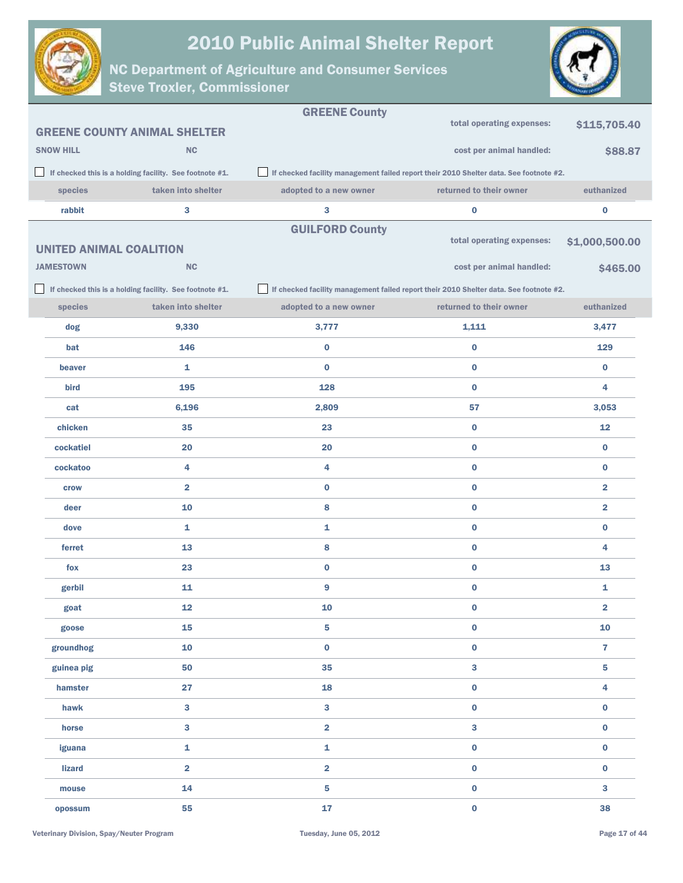



|                                |                                                         | <b>GREENE County</b>                                                                   |                           |                         |
|--------------------------------|---------------------------------------------------------|----------------------------------------------------------------------------------------|---------------------------|-------------------------|
|                                | <b>GREENE COUNTY ANIMAL SHELTER</b>                     |                                                                                        | total operating expenses: | \$115,705.40            |
| <b>SNOW HILL</b>               | <b>NC</b>                                               |                                                                                        | cost per animal handled:  | \$88.87                 |
|                                | If checked this is a holding facility. See footnote #1. | If checked facility management failed report their 2010 Shelter data. See footnote #2. |                           |                         |
| species                        | taken into shelter                                      | adopted to a new owner                                                                 | returned to their owner   | euthanized              |
| rabbit                         | 3                                                       | 3                                                                                      | $\pmb{0}$                 | 0                       |
|                                |                                                         | <b>GUILFORD County</b>                                                                 |                           |                         |
| <b>UNITED ANIMAL COALITION</b> |                                                         |                                                                                        | total operating expenses: | \$1,000,500.00          |
| <b>JAMESTOWN</b>               | <b>NC</b>                                               |                                                                                        | cost per animal handled:  | \$465.00                |
|                                | If checked this is a holding facility. See footnote #1. | If checked facility management failed report their 2010 Shelter data. See footnote #2. |                           |                         |
| species                        | taken into shelter                                      | adopted to a new owner                                                                 | returned to their owner   | euthanized              |
| dog                            | 9,330                                                   | 3,777                                                                                  | 1,111                     | 3,477                   |
| bat                            | 146                                                     | 0                                                                                      | $\bf{0}$                  | 129                     |
| beaver                         | 1                                                       | 0                                                                                      | $\bf{0}$                  | $\bf{0}$                |
| bird                           | 195                                                     | 128                                                                                    | $\bf{0}$                  | 4                       |
| cat                            | 6,196                                                   | 2,809                                                                                  | 57                        | 3,053                   |
| chicken                        | 35                                                      | 23                                                                                     | $\bf{0}$                  | 12                      |
| cockatiel                      | 20                                                      | 20                                                                                     | $\pmb{0}$                 | $\bf{0}$                |
| cockatoo                       | 4                                                       | 4                                                                                      | $\bf{0}$                  | 0                       |
| crow                           | $\overline{\mathbf{2}}$                                 | 0                                                                                      | $\pmb{0}$                 | $\overline{\mathbf{2}}$ |
| deer                           | 10                                                      | 8                                                                                      | $\bf{0}$                  | $\overline{\mathbf{2}}$ |
| dove                           | 1                                                       | 1                                                                                      | $\bf{0}$                  | 0                       |
| ferret                         | 13                                                      | 8                                                                                      | $\bf{0}$                  | 4                       |
| fox                            | 23                                                      | 0                                                                                      | $\pmb{0}$                 | 13                      |
| gerbil                         | 11                                                      | 9                                                                                      | $\bf{0}$                  | 1                       |
| goat                           | 12                                                      | 10                                                                                     | $\bf{0}$                  | 2                       |
| goose                          | 15                                                      | 5                                                                                      | $\mathbf 0$               | 10                      |
| groundhog                      | 10                                                      | 0                                                                                      | $\mathbf 0$               | $\overline{7}$          |
| guinea pig                     | 50                                                      | 35                                                                                     | 3                         | 5                       |
| hamster                        | 27                                                      | 18                                                                                     | $\mathbf 0$               | 4                       |
| hawk                           | 3                                                       | 3                                                                                      | $\bf{0}$                  | $\bf{0}$                |
| horse                          | 3                                                       | 2                                                                                      | $\mathbf{3}$              | $\bf{0}$                |
| iguana                         | 1                                                       | 1                                                                                      | $\pmb{0}$                 | $\bf{0}$                |
| <b>lizard</b>                  | $\overline{\mathbf{2}}$                                 | $\overline{\mathbf{2}}$                                                                | $\mathbf 0$               | $\pmb{0}$               |
| mouse                          | 14                                                      | 5                                                                                      | $\mathbf 0$               | 3                       |
| opossum                        | 55                                                      | 17                                                                                     | $\pmb{0}$                 | 38                      |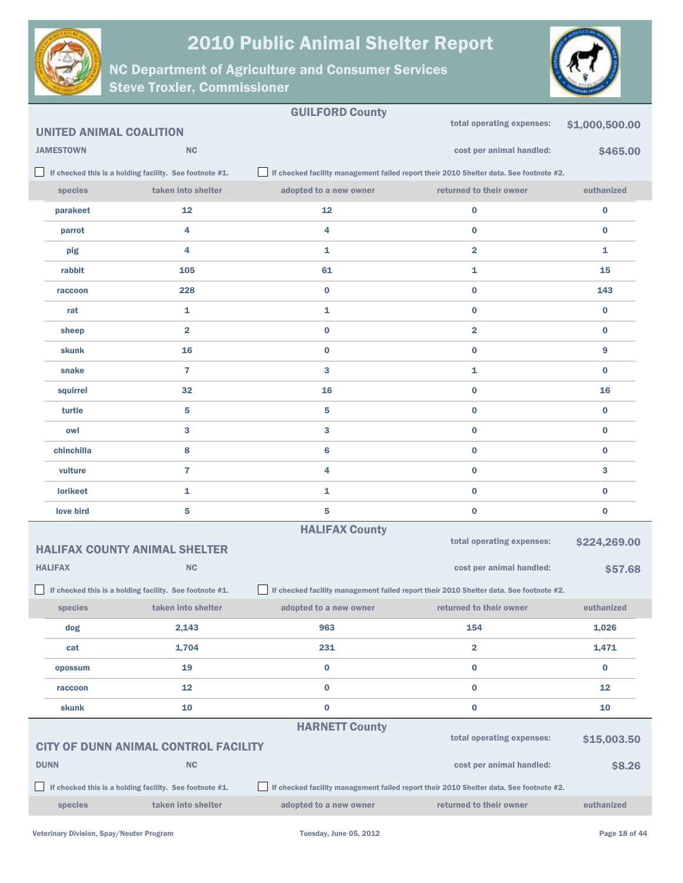



|                  |                                                         | <b>GUILFORD County</b> | total operating expenses:                                                              | \$1,000,500.00 |
|------------------|---------------------------------------------------------|------------------------|----------------------------------------------------------------------------------------|----------------|
|                  | <b>UNITED ANIMAL COALITION</b>                          |                        |                                                                                        |                |
| <b>JAMESTOWN</b> | <b>NC</b>                                               |                        | cost per animal handled:                                                               | \$465.00       |
|                  | If checked this is a holding facility. See footnote #1. |                        | If checked facility management failed report their 2010 Shelter data. See footnote #2. |                |
| species          | taken into shelter                                      | adopted to a new owner | returned to their owner                                                                | euthanized     |
| parakeet         | 12                                                      | 12                     | $\bf{0}$                                                                               | $\bf{0}$       |
| parrot           | 4                                                       | 4                      | $\bf{0}$                                                                               | $\bf{0}$       |
| pig              | 4                                                       | 1                      | $\overline{2}$                                                                         | 1              |
| rabbit           | 105                                                     | 61                     | 1                                                                                      | 15             |
| raccoon          | 228                                                     | $\bf{0}$               | $\bf{0}$                                                                               | 143            |
| rat              | 1                                                       | 1                      | $\bf{0}$                                                                               | $\bf{0}$       |
| sheep            | $\overline{2}$                                          | 0                      | $\overline{2}$                                                                         | $\bf{0}$       |
| skunk            | 16                                                      | 0                      | $\bf{0}$                                                                               | 9              |
| snake            | $\overline{7}$                                          | 3                      | 1                                                                                      | $\bf{0}$       |
| squirrel         | 32                                                      | 16                     | $\bf{0}$                                                                               | 16             |
| turtle           | 5                                                       | 5                      | $\bf{0}$                                                                               | $\bf{0}$       |
| owl              | 3                                                       | 3                      | $\bf{0}$                                                                               | $\bf{0}$       |
| chinchilla       | 8                                                       | 6                      | $\bf{0}$                                                                               | $\bf{0}$       |
| vulture          | 7                                                       | 4                      | $\bf{0}$                                                                               | 3              |
| <b>lorikeet</b>  | 1                                                       | 1                      | $\bf{0}$                                                                               | $\bf{0}$       |
| love bird        | 5                                                       | 5                      | $\bf{0}$                                                                               | 0              |
|                  |                                                         | <b>HALIFAX County</b>  |                                                                                        |                |
|                  | <b>HALIFAX COUNTY ANIMAL SHELTER</b>                    |                        | total operating expenses:                                                              | \$224,269.00   |
| <b>HALIFAX</b>   | <b>NC</b>                                               |                        | cost per animal handled:                                                               | \$57.68        |
|                  | If checked this is a holding facility. See footnote #1. |                        | If checked facility management failed report their 2010 Shelter data. See footnote #2. |                |
| species          | taken into shelter                                      | adopted to a new owner | returned to their owner                                                                | euthanized     |
| dog              | 2,143                                                   | 963                    | 154                                                                                    | 1,026          |
| cat              | 1,704                                                   | 231                    | $\overline{\mathbf{2}}$                                                                | 1,471          |
| opossum          | 19                                                      | $\bf{0}$               | $\bf{0}$                                                                               | $\bf{0}$       |
| raccoon          | 12                                                      | $\bf{0}$               | $\bf{0}$                                                                               | 12             |
| skunk            | 10                                                      | $\bf{0}$               | $\bf{0}$                                                                               | 10             |
|                  |                                                         | <b>HARNETT County</b>  |                                                                                        |                |
|                  | <b>CITY OF DUNN ANIMAL CONTROL FACILITY</b>             |                        | total operating expenses:                                                              | \$15,003.50    |
| <b>DUNN</b>      | <b>NC</b>                                               |                        | cost per animal handled:                                                               | \$8.26         |
|                  | If checked this is a holding facility. See footnote #1. |                        | If checked facility management failed report their 2010 Shelter data. See footnote #2. |                |
| species          | taken into shelter                                      | adopted to a new owner | returned to their owner                                                                | euthanized     |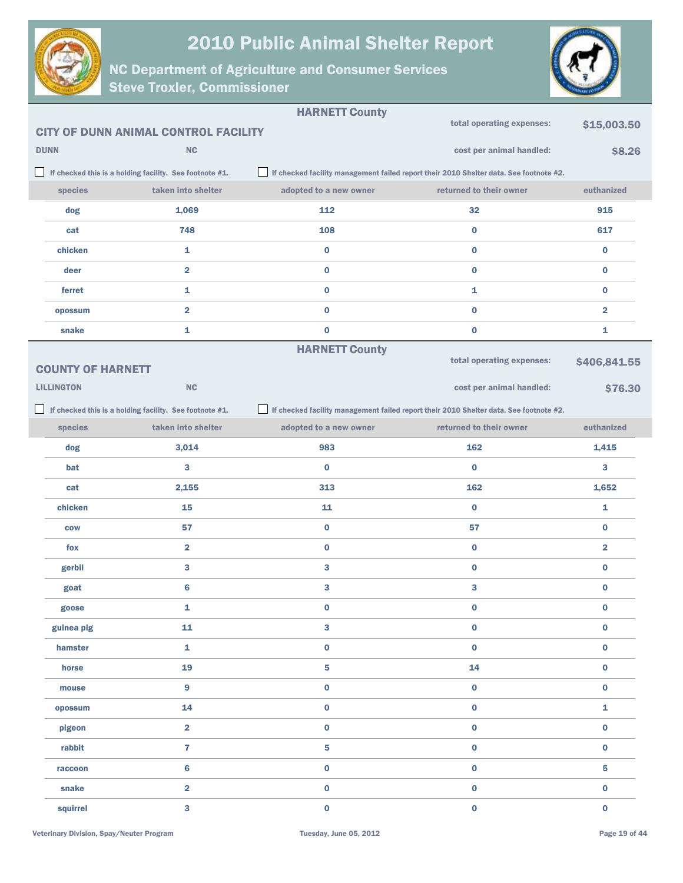



|                          |                                                         | <b>HARNETT County</b>  |                                                                                        |                         |
|--------------------------|---------------------------------------------------------|------------------------|----------------------------------------------------------------------------------------|-------------------------|
|                          | <b>CITY OF DUNN ANIMAL CONTROL FACILITY</b>             |                        | total operating expenses:                                                              | \$15,003.50             |
| <b>DUNN</b>              | <b>NC</b>                                               |                        | cost per animal handled:                                                               | \$8.26                  |
|                          | If checked this is a holding facility. See footnote #1. |                        | If checked facility management failed report their 2010 Shelter data. See footnote #2. |                         |
| species                  | taken into shelter                                      | adopted to a new owner | returned to their owner                                                                | euthanized              |
| dog                      | 1,069                                                   | 112                    | 32                                                                                     | 915                     |
| cat                      | 748                                                     | 108                    | $\bf{0}$                                                                               | 617                     |
| chicken                  | 1                                                       | 0                      | $\bf{0}$                                                                               | $\bf{0}$                |
| deer                     | $\overline{\mathbf{2}}$                                 | 0                      | $\bf{0}$                                                                               | $\bf{0}$                |
| ferret                   | 1                                                       | 0                      | 1                                                                                      | $\bf{0}$                |
| opossum                  | $\overline{\mathbf{2}}$                                 | 0                      | $\bf{0}$                                                                               | $\overline{\mathbf{2}}$ |
| snake                    | 1                                                       | 0                      | $\bf{0}$                                                                               | 1                       |
|                          |                                                         | <b>HARNETT County</b>  |                                                                                        |                         |
| <b>COUNTY OF HARNETT</b> |                                                         |                        | total operating expenses:                                                              | \$406,841.55            |
| <b>LILLINGTON</b>        | <b>NC</b>                                               |                        | cost per animal handled:                                                               | \$76.30                 |
|                          | If checked this is a holding facility. See footnote #1. |                        | If checked facility management failed report their 2010 Shelter data. See footnote #2. |                         |
| species                  | taken into shelter                                      | adopted to a new owner | returned to their owner                                                                | euthanized              |
| dog                      | 3,014                                                   | 983                    | 162                                                                                    | 1,415                   |
| bat                      | 3                                                       | $\bf{0}$               | $\bf{0}$                                                                               | 3                       |
| cat                      | 2,155                                                   | 313                    | 162                                                                                    | 1,652                   |
| chicken                  | 15                                                      | 11                     | $\bf{0}$                                                                               | 1                       |
| <b>COW</b>               | 57                                                      | 0                      | 57                                                                                     | $\bf{0}$                |
| fox                      | $\overline{2}$                                          | 0                      | $\bf{0}$                                                                               | $\overline{\mathbf{2}}$ |
| gerbil                   | 3                                                       | 3                      | $\bf{0}$                                                                               | $\bf{0}$                |
| goat                     | 6                                                       | 3                      | 3                                                                                      | $\bf{0}$                |
| goose                    | 1                                                       | 0                      | $\bf{0}$                                                                               | $\bf{0}$                |
| guinea pig               | 11                                                      | 3                      | $\pmb{0}$                                                                              | $\pmb{0}$               |
| hamster                  | $\mathbf{1}$                                            | $\mathbf 0$            | $\pmb{0}$                                                                              | $\pmb{0}$               |
| horse                    | 19                                                      | 5                      | 14                                                                                     | $\mathbf 0$             |
| mouse                    | 9                                                       | 0                      | $\pmb{0}$                                                                              | $\pmb{0}$               |
| opossum                  | 14                                                      | $\mathbf 0$            | $\pmb{0}$                                                                              | $\mathbf 1$             |
| pigeon                   | $\overline{2}$                                          | 0                      | $\pmb{0}$                                                                              | $\pmb{0}$               |
| rabbit                   | $\overline{7}$                                          | 5                      | $\pmb{0}$                                                                              | $\mathbf 0$             |
| raccoon                  | 6                                                       | 0                      | $\pmb{0}$                                                                              | $\overline{\mathbf{5}}$ |
| snake                    | $\overline{\mathbf{2}}$                                 | 0                      | $\pmb{0}$                                                                              | $\bf{0}$                |
| squirrel                 | 3                                                       | 0                      | $\mathbf 0$                                                                            | $\pmb{0}$               |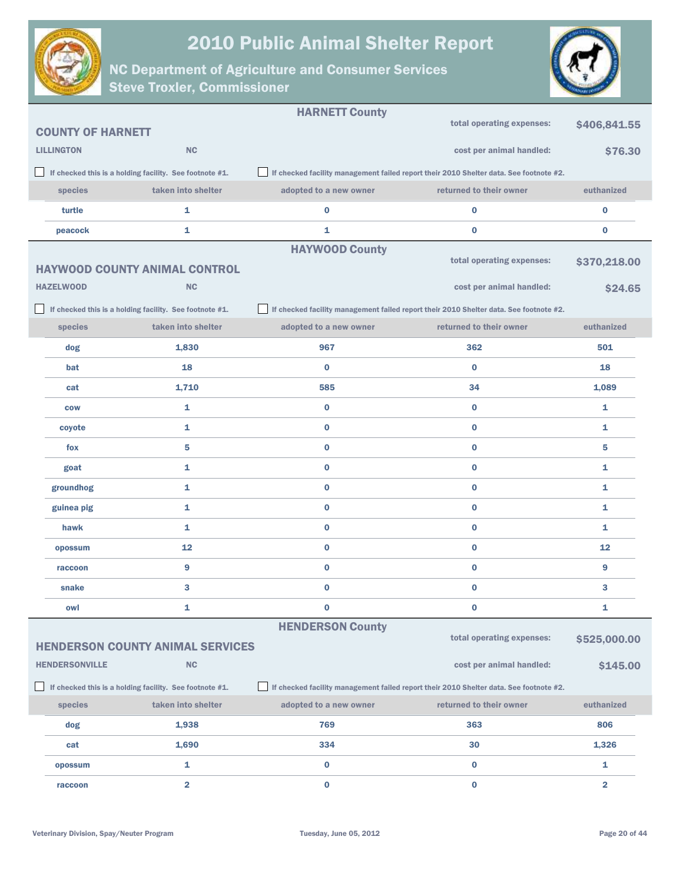



|                          |                                                         | <b>HARNETT County</b>   |                                                                                        |                         |
|--------------------------|---------------------------------------------------------|-------------------------|----------------------------------------------------------------------------------------|-------------------------|
| <b>COUNTY OF HARNETT</b> |                                                         |                         | total operating expenses:                                                              | \$406,841.55            |
| <b>LILLINGTON</b>        | <b>NC</b>                                               |                         | cost per animal handled:                                                               | \$76.30                 |
|                          | If checked this is a holding facility. See footnote #1. |                         | If checked facility management failed report their 2010 Shelter data. See footnote #2. |                         |
| species                  | taken into shelter                                      | adopted to a new owner  | returned to their owner                                                                | euthanized              |
| turtle                   | 1                                                       | $\bf{0}$                | $\bf{0}$                                                                               | $\bf{0}$                |
| peacock                  | 1                                                       | 1                       | $\bf{0}$                                                                               | $\bf{0}$                |
|                          |                                                         | <b>HAYWOOD County</b>   |                                                                                        |                         |
|                          | <b>HAYWOOD COUNTY ANIMAL CONTROL</b>                    |                         | total operating expenses:                                                              | \$370,218.00            |
| <b>HAZELWOOD</b>         | <b>NC</b>                                               |                         | cost per animal handled:                                                               | \$24.65                 |
|                          | If checked this is a holding facility. See footnote #1. |                         | If checked facility management failed report their 2010 Shelter data. See footnote #2. |                         |
| species                  | taken into shelter                                      | adopted to a new owner  | returned to their owner                                                                | euthanized              |
| dog                      | 1,830                                                   | 967                     | 362                                                                                    | 501                     |
| bat                      | 18                                                      | $\bf{0}$                | $\bf{0}$                                                                               | 18                      |
| cat                      | 1,710                                                   | 585                     | 34                                                                                     | 1,089                   |
| <b>COW</b>               | 1                                                       | $\bf{0}$                | $\bf{0}$                                                                               | 1                       |
| coyote                   | 1                                                       | $\bf{0}$                | $\bf{0}$                                                                               | 1                       |
| fox                      | 5                                                       | $\bf{0}$                | $\bf{0}$                                                                               | 5                       |
| goat                     | $\mathbf{1}$                                            | $\bf{0}$                | $\bf{0}$                                                                               | 1                       |
| groundhog                | 1                                                       | $\bf{0}$                | $\bf{0}$                                                                               | 1                       |
| guinea pig               | 1                                                       | $\bf{0}$                | $\bf{0}$                                                                               | 1                       |
| hawk                     | 1                                                       | $\bf{0}$                | $\bf{0}$                                                                               | 1                       |
| opossum                  | $12 \overline{ }$                                       | $\bf{0}$                | $\bf{0}$                                                                               | 12                      |
| raccoon                  | 9                                                       | $\bf{0}$                | $\bf{0}$                                                                               | 9                       |
| snake                    | 3                                                       | $\bf{0}$                | $\bf{0}$                                                                               | 3                       |
| owl                      | 1                                                       | $\bf{0}$                | $\bf{0}$                                                                               | 1                       |
|                          |                                                         | <b>HENDERSON County</b> |                                                                                        |                         |
|                          | <b>HENDERSON COUNTY ANIMAL SERVICES</b>                 |                         | total operating expenses:                                                              | \$525,000.00            |
| <b>HENDERSONVILLE</b>    | <b>NC</b>                                               |                         | cost per animal handled:                                                               | \$145.00                |
|                          | If checked this is a holding facility. See footnote #1. |                         | If checked facility management failed report their 2010 Shelter data. See footnote #2. |                         |
| species                  | taken into shelter                                      | adopted to a new owner  | returned to their owner                                                                | euthanized              |
| dog                      | 1,938                                                   | 769                     | 363                                                                                    | 806                     |
| cat                      | 1,690                                                   | 334                     | 30                                                                                     | 1,326                   |
| opossum                  | 1                                                       | 0                       | $\bf{0}$                                                                               | 1                       |
| raccoon                  | $\overline{\mathbf{2}}$                                 | $\pmb{0}$               | $\pmb{0}$                                                                              | $\overline{\mathbf{2}}$ |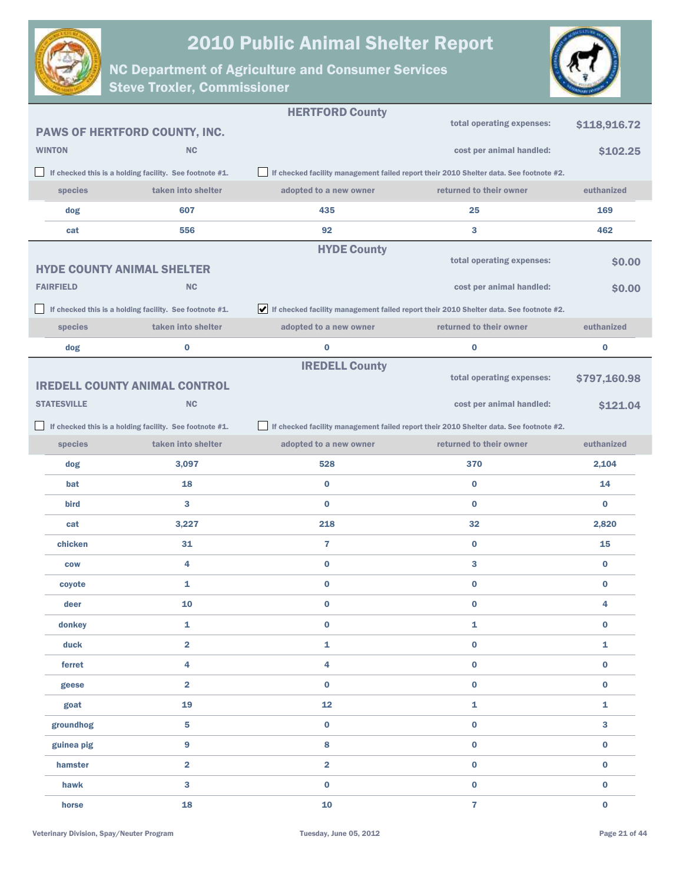

HERTFORD County



|                    |                                                         | <b>HERIFORD County</b>  |                                                                                        |              |
|--------------------|---------------------------------------------------------|-------------------------|----------------------------------------------------------------------------------------|--------------|
|                    | PAWS OF HERTFORD COUNTY, INC.                           |                         | total operating expenses:                                                              | \$118,916.72 |
| <b>WINTON</b>      | <b>NC</b>                                               |                         | cost per animal handled:                                                               | \$102.25     |
|                    | If checked this is a holding facility. See footnote #1. |                         | If checked facility management failed report their 2010 Shelter data. See footnote #2. |              |
| species            | taken into shelter                                      | adopted to a new owner  | returned to their owner                                                                | euthanized   |
| dog                | 607                                                     | 435                     | 25                                                                                     | 169          |
| cat                | 556                                                     | 92                      | 3                                                                                      | 462          |
|                    |                                                         | <b>HYDE County</b>      |                                                                                        |              |
|                    | <b>HYDE COUNTY ANIMAL SHELTER</b>                       |                         | total operating expenses:                                                              | \$0.00       |
| <b>FAIRFIELD</b>   | <b>NC</b>                                               |                         | cost per animal handled:                                                               | \$0.00       |
|                    | If checked this is a holding facility. See footnote #1. |                         | If checked facility management failed report their 2010 Shelter data. See footnote #2. |              |
| species            | taken into shelter                                      | adopted to a new owner  | returned to their owner                                                                | euthanized   |
| dog                | 0                                                       | 0                       | $\bf{0}$                                                                               | $\bf{0}$     |
|                    |                                                         | <b>IREDELL County</b>   |                                                                                        |              |
|                    | <b>IREDELL COUNTY ANIMAL CONTROL</b>                    |                         | total operating expenses:                                                              | \$797,160.98 |
| <b>STATESVILLE</b> | <b>NC</b>                                               |                         | cost per animal handled:                                                               | \$121.04     |
|                    | If checked this is a holding facility. See footnote #1. |                         | If checked facility management failed report their 2010 Shelter data. See footnote #2. |              |
| species            | taken into shelter                                      | adopted to a new owner  | returned to their owner                                                                | euthanized   |
| dog                | 3,097                                                   | 528                     | 370                                                                                    | 2,104        |
| bat                | 18                                                      | $\bf{0}$                | $\bf{0}$                                                                               | 14           |
| bird               | 3                                                       | $\bf{0}$                | $\bf{0}$                                                                               | $\bf{0}$     |
| cat                | 3,227                                                   | 218                     | 32                                                                                     | 2,820        |
| chicken            | 31                                                      | 7                       | $\bf{0}$                                                                               | 15           |
| <b>COW</b>         | 4                                                       | $\bf{0}$                | 3                                                                                      | $\bf{0}$     |
| coyote             | 1                                                       | 0                       | 0                                                                                      | $\bf{0}$     |
| deer               | 10                                                      | 0                       | 0                                                                                      | 4            |
| donkey             | 1                                                       | $\pmb{0}$               | $\mathbf{1}$                                                                           | $\bf{0}$     |
| duck               | $\overline{2}$                                          | 1                       | $\bf{0}$                                                                               | $\mathbf{1}$ |
| ferret             | 4                                                       | 4                       | $\pmb{0}$                                                                              | $\bf{0}$     |
| geese              | $\overline{2}$                                          | $\bf{0}$                | $\bf{0}$                                                                               | $\bf{0}$     |
| goat               | 19                                                      | 12                      | 1                                                                                      | $\mathbf{1}$ |
| groundhog          | 5                                                       | $\bf{0}$                | $\bf{0}$                                                                               | $\mathbf{3}$ |
| guinea pig         | 9                                                       | 8                       | $\pmb{0}$                                                                              | $\bf{0}$     |
| hamster            | $\overline{\mathbf{2}}$                                 | $\overline{\mathbf{2}}$ | $\pmb{0}$                                                                              | $\bf{0}$     |
| hawk               | 3                                                       | $\bf{0}$                | $\pmb{0}$                                                                              | $\bf{0}$     |
| horse              | 18                                                      | 10                      | $\overline{7}$                                                                         | $\bf{0}$     |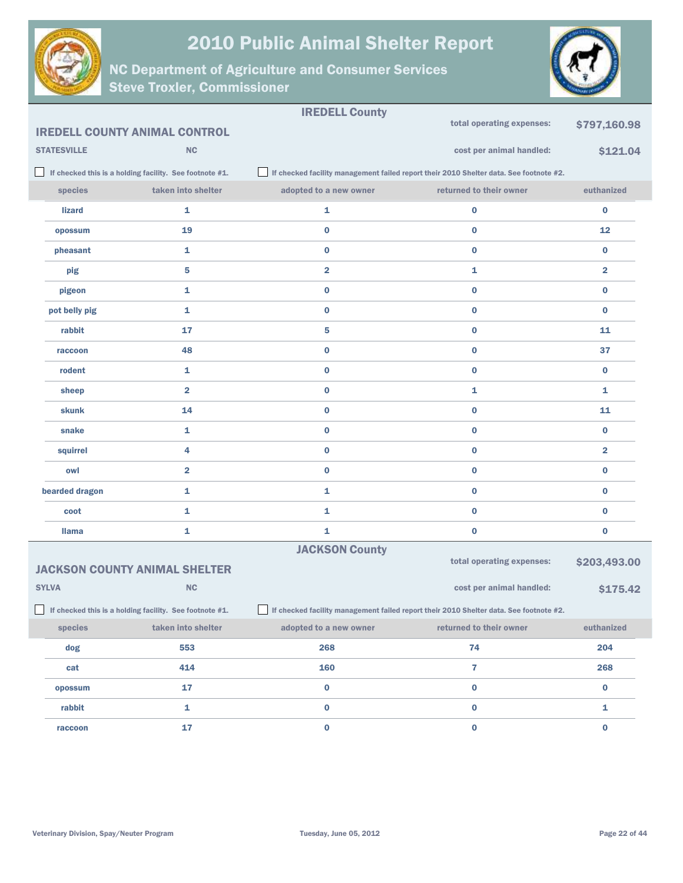



|                    | <b>IREDELL COUNTY ANIMAL CONTROL</b>                       | <b>IREDELL County</b>                                                                  | total operating expenses:                                                              | \$797,160.98            |
|--------------------|------------------------------------------------------------|----------------------------------------------------------------------------------------|----------------------------------------------------------------------------------------|-------------------------|
| <b>STATESVILLE</b> | NC                                                         |                                                                                        | cost per animal handled:                                                               | \$121.04                |
|                    | If checked this is a holding facility. See footnote #1.    |                                                                                        | If checked facility management failed report their 2010 Shelter data. See footnote #2. |                         |
| species            | taken into shelter                                         | adopted to a new owner                                                                 | returned to their owner                                                                | euthanized              |
| <b>lizard</b>      | 1                                                          | 1                                                                                      | $\bf{0}$                                                                               | $\bf{0}$                |
| opossum            | 19                                                         | $\bf{0}$                                                                               | 0                                                                                      | 12                      |
| pheasant           | 1                                                          | $\bf{0}$                                                                               | 0                                                                                      | $\bf{0}$                |
| pig                | 5                                                          | $\overline{\mathbf{2}}$                                                                | 1                                                                                      | $\overline{\mathbf{2}}$ |
| pigeon             | 1                                                          | $\bf{0}$                                                                               | 0                                                                                      | $\bf{0}$                |
| pot belly pig      | 1                                                          | $\bf{0}$                                                                               | 0                                                                                      | $\bf{0}$                |
| rabbit             | 17                                                         | 5                                                                                      | 0                                                                                      | 11                      |
| raccoon            | 48                                                         | $\bf{0}$                                                                               | 0                                                                                      | 37                      |
| rodent             | 1                                                          | $\bf{0}$                                                                               | 0                                                                                      | $\bf{0}$                |
| sheep              | $\overline{\mathbf{2}}$                                    | $\bf{0}$                                                                               | 1                                                                                      | 1                       |
| skunk              | 14                                                         | $\bf{0}$                                                                               | 0                                                                                      | 11                      |
| snake              | 1                                                          | $\bf{0}$                                                                               | 0                                                                                      | $\bf{0}$                |
| squirrel           | 4                                                          | $\bf{0}$                                                                               | 0                                                                                      | $\overline{\mathbf{2}}$ |
| owl                | $\overline{\mathbf{2}}$                                    | $\bf{0}$                                                                               | 0                                                                                      | $\bf{0}$                |
| bearded dragon     | 1                                                          | 1                                                                                      | 0                                                                                      | $\bf{0}$                |
| coot               | 1                                                          | 1                                                                                      | 0                                                                                      | $\bf{0}$                |
| <b>Ilama</b>       | 1                                                          | 1                                                                                      | 0                                                                                      | $\bf{0}$                |
|                    |                                                            | <b>JACKSON County</b>                                                                  |                                                                                        |                         |
|                    | <b>JACKSON COUNTY ANIMAL SHELTER</b>                       |                                                                                        | total operating expenses:                                                              | \$203,493.00            |
| <b>SYLVA</b>       | <b>NC</b>                                                  |                                                                                        | cost per animal handled:                                                               | \$175.42                |
|                    | If checked this is a holding facility. See footnote $#1$ . | If checked facility management failed report their 2010 Shelter data. See footnote #2. |                                                                                        |                         |
| species            | taken into shelter                                         | adopted to a new owner                                                                 | returned to their owner                                                                | euthanized              |
| dog                | 553                                                        | 268                                                                                    | 74                                                                                     | 204                     |
| cat                | 414                                                        | 160                                                                                    | 7                                                                                      | 268                     |
| opossum            | 17                                                         | $\pmb{0}$                                                                              | $\pmb{0}$                                                                              | $\pmb{0}$               |
| rabbit             | $\mathbf 1$                                                | $\mathbf 0$                                                                            | $\mathbf 0$                                                                            | $\mathbf{1}$            |
| raccoon            | 17                                                         | $\pmb{0}$                                                                              | $\pmb{0}$                                                                              | $\mathbf 0$             |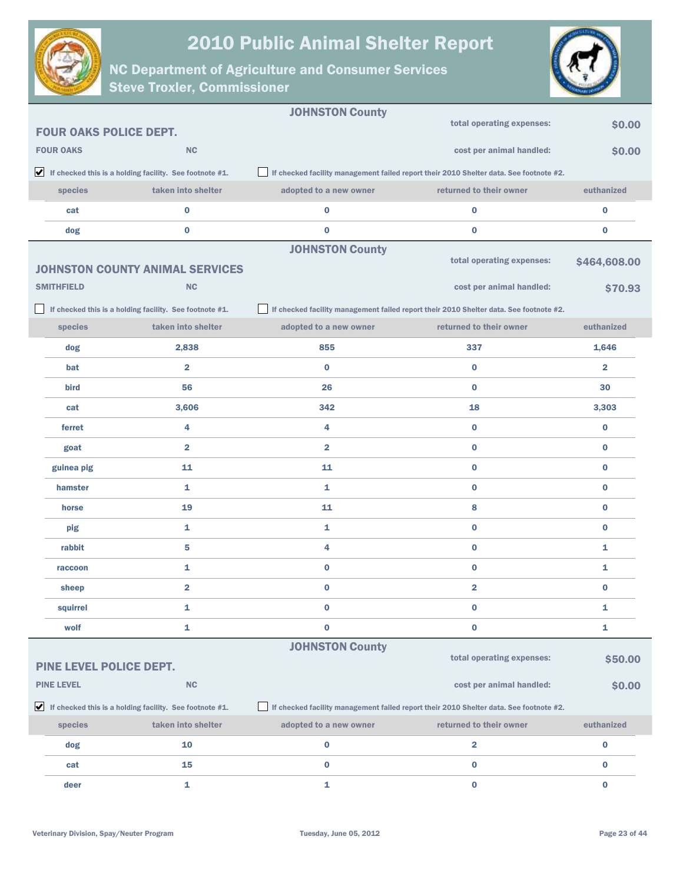



|                         |                                                                               | <b>JOHNSTON County</b>  |                                                                                        |                         |
|-------------------------|-------------------------------------------------------------------------------|-------------------------|----------------------------------------------------------------------------------------|-------------------------|
|                         | <b>FOUR OAKS POLICE DEPT.</b>                                                 |                         | total operating expenses:                                                              | \$0.00                  |
| <b>FOUR OAKS</b>        | <b>NC</b>                                                                     |                         | cost per animal handled:                                                               | \$0.00                  |
|                         | $\blacktriangleright$ If checked this is a holding facility. See footnote #1. |                         | If checked facility management failed report their 2010 Shelter data. See footnote #2. |                         |
| species                 | taken into shelter                                                            | adopted to a new owner  | returned to their owner                                                                | euthanized              |
| cat                     | $\bf{0}$                                                                      | $\bf{0}$                | $\bf{0}$                                                                               | $\bf{0}$                |
| dog                     | $\bf{0}$                                                                      | $\bf{0}$                | $\bf{0}$                                                                               | 0                       |
|                         |                                                                               | <b>JOHNSTON County</b>  |                                                                                        |                         |
|                         | <b>JOHNSTON COUNTY ANIMAL SERVICES</b>                                        |                         | total operating expenses:                                                              | \$464,608.00            |
| <b>SMITHFIELD</b>       | <b>NC</b>                                                                     |                         | cost per animal handled:                                                               | \$70.93                 |
|                         | If checked this is a holding facility. See footnote #1.                       |                         | If checked facility management failed report their 2010 Shelter data. See footnote #2. |                         |
| species                 | taken into shelter                                                            | adopted to a new owner  | returned to their owner                                                                | euthanized              |
| dog                     | 2,838                                                                         | 855                     | 337                                                                                    | 1,646                   |
| bat                     | $\overline{\mathbf{2}}$                                                       | $\bf{0}$                | $\bf{0}$                                                                               | $\overline{\mathbf{2}}$ |
| bird                    | 56                                                                            | 26                      | $\bf{0}$                                                                               | 30                      |
| cat                     | 3,606                                                                         | 342                     | 18                                                                                     | 3,303                   |
| ferret                  | 4                                                                             | 4                       | $\bf{0}$                                                                               | $\bf{0}$                |
| goat                    | $\overline{\mathbf{2}}$                                                       | $\overline{\mathbf{2}}$ | $\bf{0}$                                                                               | $\bf{0}$                |
| guinea pig              | 11                                                                            | 11                      | $\bf{0}$                                                                               | $\bf{0}$                |
| hamster                 | 1                                                                             | 1                       | $\bf{0}$                                                                               | $\bf{0}$                |
| horse                   | 19                                                                            | 11                      | 8                                                                                      | $\bf{0}$                |
| pig                     | 1                                                                             | 1                       | $\bf{0}$                                                                               | $\bf{0}$                |
| rabbit                  | 5                                                                             | 4                       | $\bf{0}$                                                                               | 1                       |
| raccoon                 | 1                                                                             | $\bf{0}$                | $\bf{0}$                                                                               | 1                       |
| sheep                   | $\overline{2}$                                                                | $\bf{0}$                | $\overline{2}$                                                                         | $\bf{0}$                |
| squirrel                | 1                                                                             | $\bf{0}$                | $\bf{0}$                                                                               | 1                       |
| wolf                    | 1                                                                             | $\bf{0}$                | $\bf{0}$                                                                               | 1                       |
|                         |                                                                               | <b>JOHNSTON County</b>  |                                                                                        |                         |
| PINE LEVEL POLICE DEPT. |                                                                               |                         | total operating expenses:                                                              | \$50.00                 |
| <b>PINE LEVEL</b>       | <b>NC</b>                                                                     |                         | cost per animal handled:                                                               | \$0.00                  |
|                         | $\blacktriangleright$ If checked this is a holding facility. See footnote #1. |                         | If checked facility management failed report their 2010 Shelter data. See footnote #2. |                         |
| species                 | taken into shelter                                                            | adopted to a new owner  | returned to their owner                                                                | euthanized              |
| dog                     | 10                                                                            | $\bf{0}$                | 2                                                                                      | $\bf{0}$                |
| cat                     | 15                                                                            | $\bf{0}$                | 0                                                                                      | 0                       |
| deer                    | 1                                                                             | $\mathbf{1}$            | $\pmb{0}$                                                                              | 0                       |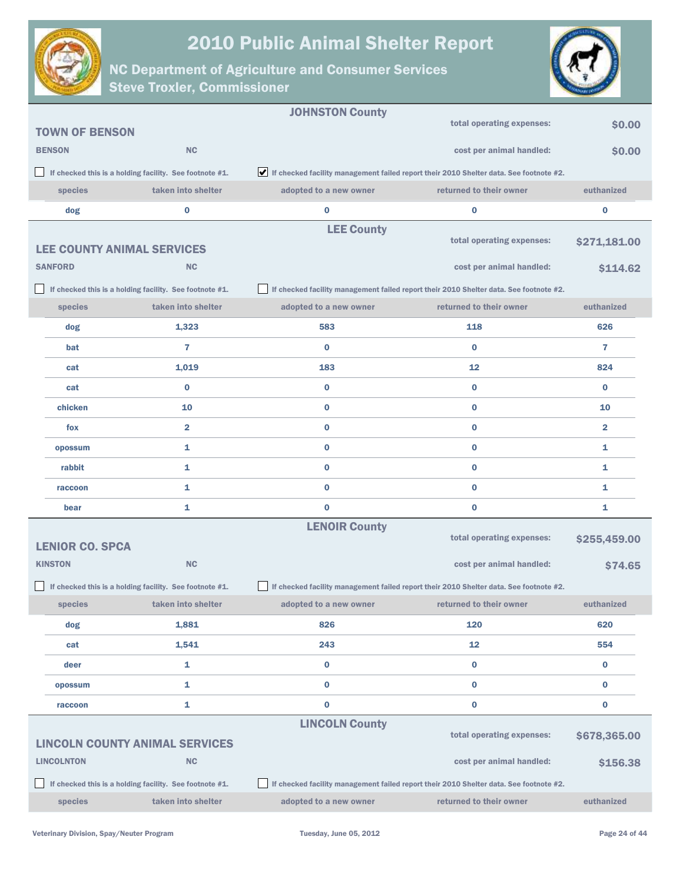



|                                   |                                                         | <b>JOHNSTON County</b> |                                                                                        |                         |
|-----------------------------------|---------------------------------------------------------|------------------------|----------------------------------------------------------------------------------------|-------------------------|
| <b>TOWN OF BENSON</b>             |                                                         |                        | total operating expenses:                                                              | \$0.00                  |
| <b>BENSON</b>                     | <b>NC</b>                                               |                        | cost per animal handled:                                                               | \$0.00                  |
|                                   | If checked this is a holding facility. See footnote #1. |                        | If checked facility management failed report their 2010 Shelter data. See footnote #2. |                         |
| species                           | taken into shelter                                      | adopted to a new owner | returned to their owner                                                                | euthanized              |
| dog                               | $\bf{0}$                                                | $\bf{0}$               | $\bf{0}$                                                                               | $\bf{0}$                |
|                                   |                                                         | <b>LEE County</b>      |                                                                                        |                         |
| <b>LEE COUNTY ANIMAL SERVICES</b> |                                                         |                        | total operating expenses:                                                              | \$271,181.00            |
| <b>SANFORD</b>                    | <b>NC</b>                                               |                        | cost per animal handled:                                                               | \$114.62                |
|                                   | If checked this is a holding facility. See footnote #1. |                        | If checked facility management failed report their 2010 Shelter data. See footnote #2. |                         |
| species                           | taken into shelter                                      | adopted to a new owner | returned to their owner                                                                | euthanized              |
| dog                               | 1,323                                                   | 583                    | 118                                                                                    | 626                     |
| bat                               | $\overline{7}$                                          | $\bf{0}$               | $\bf{0}$                                                                               | $\overline{7}$          |
| cat                               | 1,019                                                   | 183                    | 12                                                                                     | 824                     |
| cat                               | $\bf{0}$                                                | $\bf{0}$               | $\bf{0}$                                                                               | $\bf{0}$                |
| chicken                           | 10                                                      | $\bf{0}$               | $\bf{0}$                                                                               | 10                      |
| fox                               | $\overline{\mathbf{2}}$                                 | $\bf{0}$               | $\bf{0}$                                                                               | $\overline{\mathbf{2}}$ |
| opossum                           | 1                                                       | $\bf{0}$               | $\bf{0}$                                                                               | 1                       |
| rabbit                            | 1                                                       | $\bf{0}$               | $\bf{0}$                                                                               | 1                       |
| raccoon                           | 1                                                       | $\bf{0}$               | $\bf{0}$                                                                               | 1                       |
| bear                              | 1                                                       | $\bf{0}$               | $\bf{0}$                                                                               | 1                       |
|                                   |                                                         | <b>LENOIR County</b>   |                                                                                        |                         |
| <b>LENIOR CO. SPCA</b>            |                                                         |                        | total operating expenses:                                                              | \$255,459.00            |
| <b>KINSTON</b>                    | <b>NC</b>                                               |                        | cost per animal handled:                                                               | \$74.65                 |
|                                   | If checked this is a holding facility. See footnote #1. |                        | If checked facility management failed report their 2010 Shelter data. See footnote #2. |                         |
| species                           | taken into shelter                                      | adopted to a new owner | returned to their owner                                                                | euthanized              |
| dog                               | 1,881                                                   | 826                    | 120                                                                                    | 620                     |
| cat                               | 1,541                                                   | 243                    | 12                                                                                     | 554                     |
| deer                              | 1                                                       | $\bf{0}$               | $\bf{0}$                                                                               | $\bf{0}$                |
| opossum                           | 1                                                       | $\bf{0}$               | $\bf{0}$                                                                               | $\bf{0}$                |
| raccoon                           | 1                                                       | $\bf{0}$               | $\bf{0}$                                                                               | $\bf{0}$                |
|                                   |                                                         | <b>LINCOLN County</b>  |                                                                                        |                         |
|                                   | <b>LINCOLN COUNTY ANIMAL SERVICES</b>                   |                        | total operating expenses:                                                              | \$678,365.00            |
| <b>LINCOLNTON</b>                 | NC                                                      |                        | cost per animal handled:                                                               | \$156.38                |
|                                   | If checked this is a holding facility. See footnote #1. |                        | If checked facility management failed report their 2010 Shelter data. See footnote #2. |                         |
| species                           | taken into shelter                                      | adopted to a new owner | returned to their owner                                                                | euthanized              |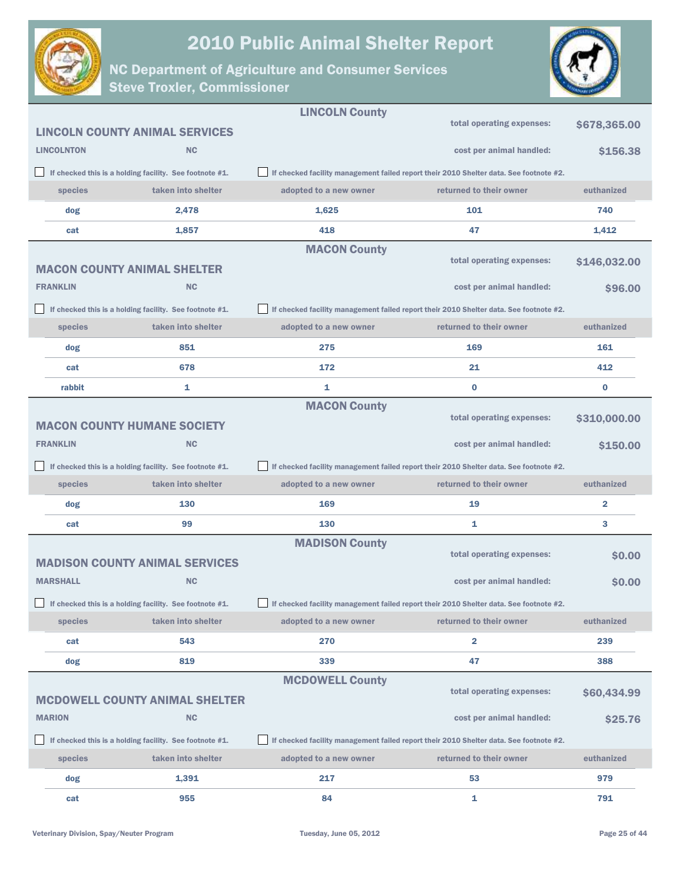



|                   |                                                         | <b>LINCOLN County</b>  |                                                                                        |               |
|-------------------|---------------------------------------------------------|------------------------|----------------------------------------------------------------------------------------|---------------|
|                   | <b>LINCOLN COUNTY ANIMAL SERVICES</b>                   |                        | total operating expenses:                                                              | \$678,365.00  |
| <b>LINCOLNTON</b> | <b>NC</b>                                               |                        | cost per animal handled:                                                               | \$156.38      |
|                   | If checked this is a holding facility. See footnote #1. |                        | If checked facility management failed report their 2010 Shelter data. See footnote #2. |               |
| species           | taken into shelter                                      | adopted to a new owner | returned to their owner                                                                | euthanized    |
| dog               | 2,478                                                   | 1,625                  | 101                                                                                    | 740           |
| cat               | 1,857                                                   | 418                    | 47                                                                                     | 1,412         |
|                   | <b>MACON COUNTY ANIMAL SHELTER</b>                      | <b>MACON County</b>    | total operating expenses:                                                              | \$146,032.00  |
| <b>FRANKLIN</b>   | <b>NC</b>                                               |                        | cost per animal handled:                                                               | <b>S96.00</b> |
|                   | If checked this is a holding facility. See footnote #1. |                        | If checked facility management failed report their 2010 Shelter data. See footnote #2. |               |
| species           | taken into shelter                                      | adopted to a new owner | returned to their owner                                                                | euthanized    |
| dog               | 851                                                     | 275                    | 169                                                                                    | 161           |
| cat               | 678                                                     | 172                    | 21                                                                                     | 412           |
| rabbit            | 1                                                       | 1                      | $\bf{0}$                                                                               | $\bf{0}$      |
|                   | <b>MACON COUNTY HUMANE SOCIETY</b>                      | <b>MACON County</b>    | total operating expenses:                                                              | \$310,000.00  |
| <b>FRANKLIN</b>   | <b>NC</b>                                               |                        | cost per animal handled:                                                               | \$150.00      |
|                   | If checked this is a holding facility. See footnote #1. |                        | If checked facility management failed report their 2010 Shelter data. See footnote #2. |               |
|                   |                                                         |                        |                                                                                        |               |
| species           | taken into shelter                                      | adopted to a new owner | returned to their owner                                                                | euthanized    |
| dog               | 130                                                     | 169                    | 19                                                                                     | 2             |
| cat               | 99                                                      | 130                    | 1                                                                                      | 3             |
|                   | <b>MADISON COUNTY ANIMAL SERVICES</b>                   | <b>MADISON County</b>  | total operating expenses:                                                              | \$0.00        |
| <b>MARSHALL</b>   | <b>NC</b>                                               |                        | cost per animal handled:                                                               | <b>SO.00</b>  |
|                   | If checked this is a holding facility. See footnote #1. |                        | If checked facility management failed report their 2010 Shelter data. See footnote #2. |               |
| species           | taken into shelter                                      | adopted to a new owner | returned to their owner                                                                | euthanized    |
| cat               | 543                                                     | 270                    | 2                                                                                      | 239           |
| dog               | 819                                                     | 339                    | 47                                                                                     | 388           |
|                   |                                                         | <b>MCDOWELL County</b> |                                                                                        |               |
|                   | <b>MCDOWELL COUNTY ANIMAL SHELTER</b>                   |                        | total operating expenses:                                                              | \$60,434.99   |
| <b>MARION</b>     | <b>NC</b>                                               |                        | cost per animal handled:                                                               | \$25.76       |
|                   | If checked this is a holding facility. See footnote #1. |                        | If checked facility management failed report their 2010 Shelter data. See footnote #2. |               |
| species           | taken into shelter                                      | adopted to a new owner | returned to their owner                                                                | euthanized    |
| dog               | 1,391                                                   | 217                    | 53                                                                                     | 979           |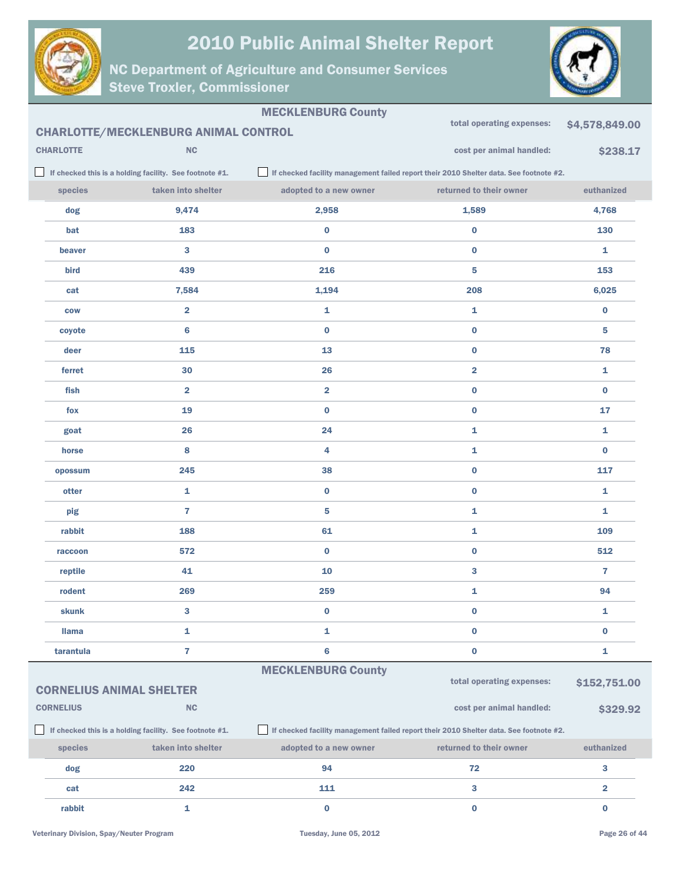



|                  |                                                         | <b>MECKLENBURG County</b> | total operating expenses:                                                              | \$4,578,849.00          |
|------------------|---------------------------------------------------------|---------------------------|----------------------------------------------------------------------------------------|-------------------------|
|                  | <b>CHARLOTTE/MECKLENBURG ANIMAL CONTROL</b>             |                           |                                                                                        |                         |
| <b>CHARLOTTE</b> | NC                                                      |                           | cost per animal handled:                                                               | \$238.17                |
|                  | If checked this is a holding facility. See footnote #1. |                           | If checked facility management failed report their 2010 Shelter data. See footnote #2. |                         |
| species          | taken into shelter                                      | adopted to a new owner    | returned to their owner                                                                | euthanized              |
| dog              | 9,474                                                   | 2,958                     | 1,589                                                                                  | 4,768                   |
| bat              | 183                                                     | $\bf{0}$                  | $\bf{0}$                                                                               | 130                     |
| beaver           | 3                                                       | $\bf{0}$                  | $\bf{0}$                                                                               | 1                       |
| bird             | 439                                                     | 216                       | 5                                                                                      | 153                     |
| cat              | 7,584                                                   | 1,194                     | 208                                                                                    | 6,025                   |
| <b>COW</b>       | $\overline{\mathbf{2}}$                                 | $\mathbf{1}$              | 1                                                                                      | $\bf{0}$                |
| coyote           | 6                                                       | $\bf{0}$                  | $\bf{0}$                                                                               | 5                       |
| deer             | 115                                                     | 13                        | $\bf{0}$                                                                               | 78                      |
| ferret           | 30                                                      | 26                        | $\overline{\mathbf{2}}$                                                                | 1                       |
| fish             | $\overline{\mathbf{2}}$                                 | $\overline{\mathbf{2}}$   | $\bf{0}$                                                                               | $\bf{0}$                |
| fox              | 19                                                      | $\bf{0}$                  | $\bf{0}$                                                                               | 17                      |
| goat             | 26                                                      | 24                        | 1                                                                                      | 1                       |
| horse            | 8                                                       | 4                         | 1                                                                                      | $\bf{0}$                |
| opossum          | 245                                                     | 38                        | $\bf{0}$                                                                               | 117                     |
| otter            | 1                                                       | $\bf{0}$                  | $\bf{0}$                                                                               | 1                       |
| pig              | $\overline{7}$                                          | 5                         | 1                                                                                      | 1                       |
| rabbit           | 188                                                     | 61                        | 1                                                                                      | 109                     |
| raccoon          | 572                                                     | $\bf{0}$                  | $\bf{0}$                                                                               | 512                     |
| reptile          | 41                                                      | 10                        | 3                                                                                      | 7                       |
| rodent           | 269                                                     | 259                       | 1                                                                                      | 94                      |
| skunk            | 3                                                       | $\bf{0}$                  | $\bf{0}$                                                                               | 1                       |
| <b>Ilama</b>     | 1                                                       | 1                         | $\bf{0}$                                                                               | $\bf{0}$                |
| tarantula        | $\overline{\mathbf{r}}$                                 | 6                         | $\mathbf 0$                                                                            | 1                       |
|                  |                                                         | <b>MECKLENBURG County</b> |                                                                                        |                         |
|                  | <b>CORNELIUS ANIMAL SHELTER</b>                         |                           | total operating expenses:                                                              | \$152,751.00            |
| <b>CORNELIUS</b> | NC                                                      |                           | cost per animal handled:                                                               | \$329.92                |
|                  | If checked this is a holding facility. See footnote #1. |                           | If checked facility management failed report their 2010 Shelter data. See footnote #2. |                         |
| species          | taken into shelter                                      | adopted to a new owner    | returned to their owner                                                                | euthanized              |
| dog              | 220                                                     | 94                        | 72                                                                                     | $\mathbf{3}$            |
| cat              | 242                                                     | 111                       | $\mathbf{3}$                                                                           | $\overline{\mathbf{2}}$ |
| rabbit           | $\mathbf{1}$                                            | $\bf{0}$                  | $\bf{0}$                                                                               | $\bf{0}$                |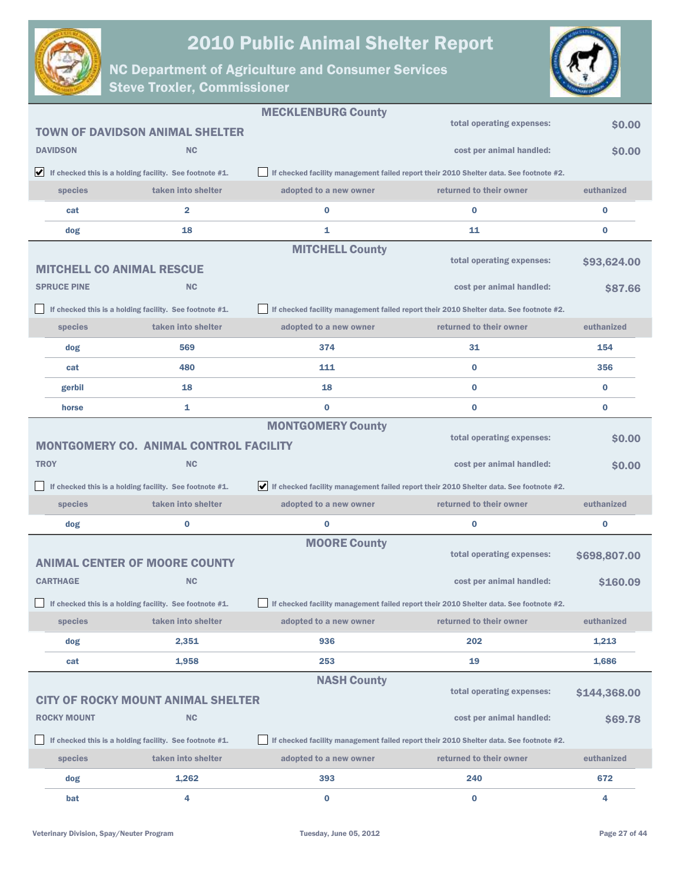



|                                  |                                                                               | <b>MECKLENBURG County</b> |                                                                                        |              |
|----------------------------------|-------------------------------------------------------------------------------|---------------------------|----------------------------------------------------------------------------------------|--------------|
|                                  | <b>TOWN OF DAVIDSON ANIMAL SHELTER</b>                                        |                           | total operating expenses:                                                              | \$0.00       |
| <b>DAVIDSON</b>                  | <b>NC</b>                                                                     |                           | cost per animal handled:                                                               | \$0.00       |
|                                  | $\blacktriangleright$ If checked this is a holding facility. See footnote #1. |                           | If checked facility management failed report their 2010 Shelter data. See footnote #2. |              |
| species                          | taken into shelter                                                            | adopted to a new owner    | returned to their owner                                                                | euthanized   |
| cat                              | $\overline{2}$                                                                | $\bf{0}$                  | $\bf{0}$                                                                               | $\bf{0}$     |
| dog                              | 18                                                                            | 1                         | 11                                                                                     | $\bf{0}$     |
| <b>MITCHELL CO ANIMAL RESCUE</b> |                                                                               | <b>MITCHELL County</b>    | total operating expenses:                                                              | \$93,624.00  |
| <b>SPRUCE PINE</b>               | <b>NC</b>                                                                     |                           | cost per animal handled:                                                               | \$87.66      |
|                                  | If checked this is a holding facility. See footnote #1.                       |                           | If checked facility management failed report their 2010 Shelter data. See footnote #2. |              |
| species                          | taken into shelter                                                            | adopted to a new owner    | returned to their owner                                                                | euthanized   |
| dog                              | 569                                                                           | 374                       | 31                                                                                     | 154          |
| cat                              | 480                                                                           | 111                       | $\bf{0}$                                                                               | 356          |
|                                  |                                                                               |                           | $\bf{0}$                                                                               |              |
| gerbil                           | 18                                                                            | 18                        |                                                                                        | $\bf{0}$     |
| horse                            | 1                                                                             | $\bf{0}$                  | $\bf{0}$                                                                               | $\bf{0}$     |
|                                  | <b>MONTGOMERY CO. ANIMAL CONTROL FACILITY</b>                                 | <b>MONTGOMERY County</b>  | total operating expenses:                                                              | \$0.00       |
| <b>TROY</b>                      | <b>NC</b>                                                                     |                           | cost per animal handled:                                                               | \$0.00       |
|                                  | If checked this is a holding facility. See footnote #1.                       |                           | If checked facility management failed report their 2010 Shelter data. See footnote #2. |              |
| species                          | taken into shelter                                                            | adopted to a new owner    | returned to their owner                                                                | euthanized   |
| dog                              | 0                                                                             | $\bf{0}$                  | $\bf{0}$                                                                               | $\bf{0}$     |
|                                  | <b>ANIMAL CENTER OF MOORE COUNTY</b>                                          | <b>MOORE County</b>       | total operating expenses:                                                              | \$698,807.00 |
| <b>CARTHAGE</b>                  | <b>NC</b>                                                                     |                           | cost per animal handled:                                                               | \$160.09     |
|                                  | If checked this is a holding facility. See footnote #1.                       |                           | If checked facility management failed report their 2010 Shelter data. See footnote #2. |              |
| species                          | taken into shelter                                                            | adopted to a new owner    | returned to their owner                                                                | euthanized   |
| dog                              | 2,351                                                                         | 936                       | 202                                                                                    | 1,213        |
| cat                              | 1,958                                                                         | 253                       | 19                                                                                     | 1,686        |
|                                  |                                                                               | <b>NASH County</b>        |                                                                                        |              |
|                                  | <b>CITY OF ROCKY MOUNT ANIMAL SHELTER</b>                                     |                           | total operating expenses:                                                              | \$144,368.00 |
| <b>ROCKY MOUNT</b>               | <b>NC</b>                                                                     |                           | cost per animal handled:                                                               | \$69.78      |
|                                  | If checked this is a holding facility. See footnote #1.                       |                           | If checked facility management failed report their 2010 Shelter data. See footnote #2. |              |
| species                          | taken into shelter                                                            | adopted to a new owner    | returned to their owner                                                                | euthanized   |
| dog                              | 1,262                                                                         | 393                       | 240                                                                                    | 672          |
| bat                              | 4                                                                             | $\bf{0}$                  | $\bf{0}$                                                                               | 4            |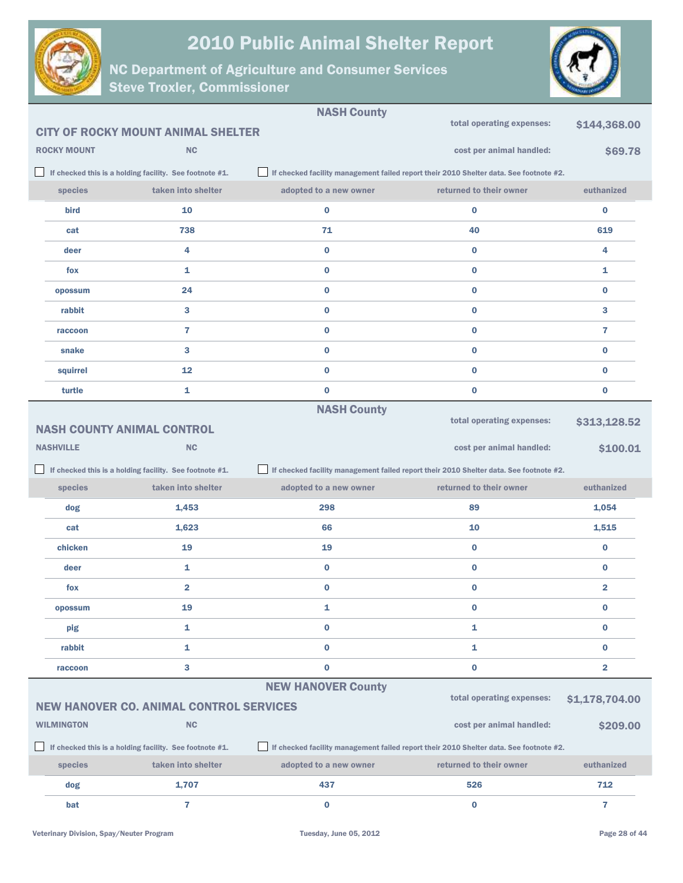



|                                                                                                                                                   |                    |                                                         | <b>NASH County</b>                                                                     |                                                                                        |                         |
|---------------------------------------------------------------------------------------------------------------------------------------------------|--------------------|---------------------------------------------------------|----------------------------------------------------------------------------------------|----------------------------------------------------------------------------------------|-------------------------|
|                                                                                                                                                   |                    | <b>CITY OF ROCKY MOUNT ANIMAL SHELTER</b>               |                                                                                        | total operating expenses:                                                              | \$144,368.00            |
|                                                                                                                                                   | <b>ROCKY MOUNT</b> | <b>NC</b>                                               |                                                                                        | cost per animal handled:                                                               | \$69.78                 |
|                                                                                                                                                   |                    | If checked this is a holding facility. See footnote #1. | If checked facility management failed report their 2010 Shelter data. See footnote #2. |                                                                                        |                         |
|                                                                                                                                                   | species            | taken into shelter                                      | adopted to a new owner                                                                 | returned to their owner                                                                | euthanized              |
|                                                                                                                                                   | bird               | 10                                                      | $\bf{0}$                                                                               | $\bf{0}$                                                                               | 0                       |
|                                                                                                                                                   | cat                | 738                                                     | 71                                                                                     | 40                                                                                     | 619                     |
|                                                                                                                                                   | deer               | 4                                                       | $\bf{0}$                                                                               | $\bf{0}$                                                                               | 4                       |
|                                                                                                                                                   | fox                | 1                                                       | $\bf{0}$                                                                               | $\bf{0}$                                                                               | 1                       |
|                                                                                                                                                   | opossum            | 24                                                      | $\bf{0}$                                                                               | $\bf{0}$                                                                               | $\bf{0}$                |
|                                                                                                                                                   | rabbit             | 3                                                       | $\bf{0}$                                                                               | $\bf{0}$                                                                               | 3                       |
|                                                                                                                                                   | raccoon            | $\overline{7}$                                          | $\bf{0}$                                                                               | $\bf{0}$                                                                               | 7                       |
|                                                                                                                                                   | snake              | 3                                                       | $\bf{0}$                                                                               | $\bf{0}$                                                                               | 0                       |
|                                                                                                                                                   | squirrel           | 12                                                      | $\bf{0}$                                                                               | $\bf{0}$                                                                               | 0                       |
|                                                                                                                                                   | turtle             | 1                                                       | $\bf{0}$                                                                               | $\bf{0}$                                                                               | 0                       |
|                                                                                                                                                   |                    |                                                         | <b>NASH County</b>                                                                     |                                                                                        |                         |
|                                                                                                                                                   |                    | <b>NASH COUNTY ANIMAL CONTROL</b>                       |                                                                                        | total operating expenses:                                                              | \$313,128.52            |
|                                                                                                                                                   | <b>NASHVILLE</b>   | <b>NC</b>                                               |                                                                                        | cost per animal handled:                                                               | \$100.01                |
| If checked this is a holding facility. See footnote #1.<br>If checked facility management failed report their 2010 Shelter data. See footnote #2. |                    |                                                         |                                                                                        |                                                                                        |                         |
|                                                                                                                                                   |                    |                                                         |                                                                                        |                                                                                        |                         |
|                                                                                                                                                   | species            | taken into shelter                                      | adopted to a new owner                                                                 | returned to their owner                                                                | euthanized              |
|                                                                                                                                                   | dog                | 1,453                                                   | 298                                                                                    | 89                                                                                     | 1,054                   |
|                                                                                                                                                   | cat                | 1,623                                                   | 66                                                                                     | 10                                                                                     | 1,515                   |
|                                                                                                                                                   | chicken            | 19                                                      | 19                                                                                     | $\bf{0}$                                                                               | $\bf{0}$                |
|                                                                                                                                                   | deer               | 1                                                       | $\bf{0}$                                                                               | $\bf{0}$                                                                               | $\bf{0}$                |
|                                                                                                                                                   | fox                | $\overline{2}$                                          | $\bf{0}$                                                                               | $\bf{0}$                                                                               | $\overline{2}$          |
|                                                                                                                                                   | opossum            | 19                                                      | 1                                                                                      | 0                                                                                      | 0                       |
|                                                                                                                                                   | pig                | 1                                                       | $\pmb{0}$                                                                              | 1                                                                                      | 0                       |
|                                                                                                                                                   | rabbit             | 1                                                       | $\bf{0}$                                                                               | 1                                                                                      | 0                       |
|                                                                                                                                                   | raccoon            | 3                                                       | $\pmb{0}$                                                                              | $\pmb{0}$                                                                              | $\overline{\mathbf{2}}$ |
|                                                                                                                                                   |                    |                                                         | <b>NEW HANOVER County</b>                                                              |                                                                                        |                         |
|                                                                                                                                                   |                    | <b>NEW HANOVER CO. ANIMAL CONTROL SERVICES</b>          |                                                                                        | total operating expenses:                                                              | \$1,178,704.00          |
|                                                                                                                                                   | <b>WILMINGTON</b>  | <b>NC</b>                                               |                                                                                        | cost per animal handled:                                                               | \$209.00                |
|                                                                                                                                                   |                    | If checked this is a holding facility. See footnote #1. |                                                                                        | If checked facility management failed report their 2010 Shelter data. See footnote #2. |                         |
|                                                                                                                                                   | species            | taken into shelter                                      | adopted to a new owner                                                                 | returned to their owner                                                                | euthanized              |
|                                                                                                                                                   | dog                | 1,707                                                   | 437                                                                                    | 526                                                                                    | 712                     |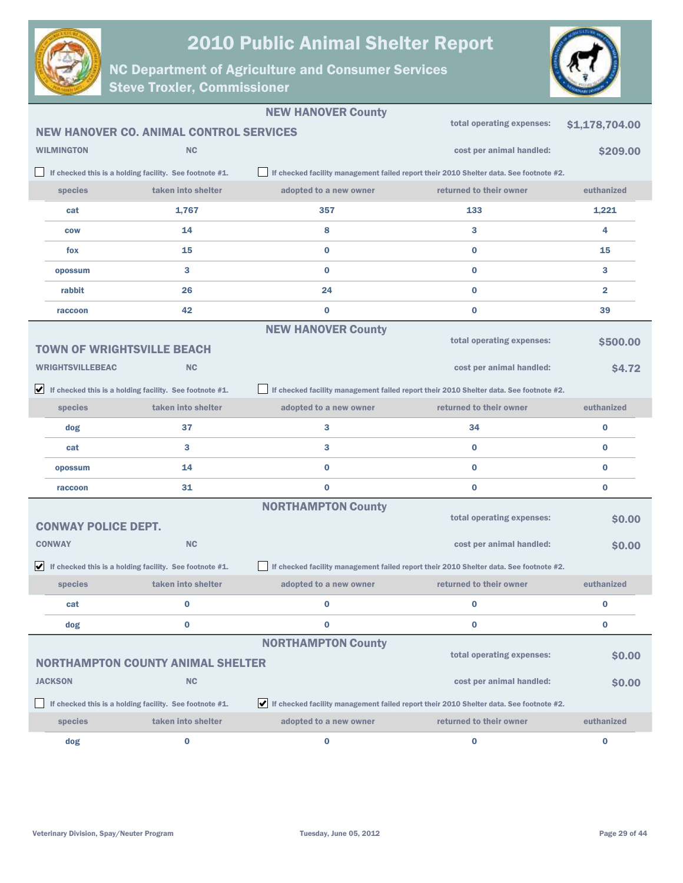



|                                   |                                                                               | <b>NEW HANOVER County</b>                                                              |                                                                                        |                |
|-----------------------------------|-------------------------------------------------------------------------------|----------------------------------------------------------------------------------------|----------------------------------------------------------------------------------------|----------------|
|                                   | <b>NEW HANOVER CO. ANIMAL CONTROL SERVICES</b>                                |                                                                                        | total operating expenses:                                                              | \$1,178,704.00 |
| <b>WILMINGTON</b>                 | <b>NC</b>                                                                     |                                                                                        | cost per animal handled:                                                               | \$209.00       |
|                                   | If checked this is a holding facility. See footnote #1.                       |                                                                                        | If checked facility management failed report their 2010 Shelter data. See footnote #2. |                |
| species                           | taken into shelter                                                            | adopted to a new owner                                                                 | returned to their owner                                                                | euthanized     |
| cat                               | 1,767                                                                         | 357                                                                                    | 133                                                                                    | 1,221          |
| <b>COW</b>                        | 14                                                                            | 8                                                                                      | 3                                                                                      | 4              |
| fox                               | 15                                                                            | $\bf{0}$                                                                               | $\bf{0}$                                                                               | 15             |
| opossum                           | 3                                                                             | 0                                                                                      | $\bf{0}$                                                                               | 3              |
| rabbit                            | 26                                                                            | 24                                                                                     | $\bf{0}$                                                                               | $\overline{2}$ |
| raccoon                           | 42                                                                            | 0                                                                                      | $\bf{0}$                                                                               | 39             |
|                                   |                                                                               | <b>NEW HANOVER County</b>                                                              |                                                                                        |                |
| <b>TOWN OF WRIGHTSVILLE BEACH</b> |                                                                               |                                                                                        | total operating expenses:                                                              | \$500.00       |
| <b>WRIGHTSVILLEBEAC</b>           | <b>NC</b>                                                                     |                                                                                        | cost per animal handled:                                                               | \$4.72         |
|                                   | $\blacktriangleright$ If checked this is a holding facility. See footnote #1. |                                                                                        | If checked facility management failed report their 2010 Shelter data. See footnote #2. |                |
| species                           | taken into shelter                                                            | adopted to a new owner                                                                 | returned to their owner                                                                | euthanized     |
| dog                               | 37                                                                            | 3                                                                                      | 34                                                                                     | $\bf{0}$       |
| cat                               | 3                                                                             | 3                                                                                      | $\bf{0}$                                                                               | $\bf{0}$       |
| opossum                           | 14                                                                            | $\bf{0}$                                                                               | $\bf{0}$                                                                               | $\bf{0}$       |
| raccoon                           | 31                                                                            | $\bf{0}$                                                                               | $\bf{0}$                                                                               | $\bf{0}$       |
|                                   |                                                                               | <b>NORTHAMPTON County</b>                                                              |                                                                                        |                |
| <b>CONWAY POLICE DEPT.</b>        |                                                                               |                                                                                        | total operating expenses:                                                              | \$0.00         |
| <b>CONWAY</b>                     | <b>NC</b>                                                                     |                                                                                        | cost per animal handled:                                                               | \$0.00         |
|                                   | $\blacktriangleright$ If checked this is a holding facility. See footnote #1. |                                                                                        | If checked facility management failed report their 2010 Shelter data. See footnote #2. |                |
| species                           | taken into shelter                                                            | adopted to a new owner                                                                 | returned to their owner                                                                | euthanized     |
| cat                               | $\bf{0}$                                                                      | $\Omega$                                                                               | $\bf{0}$                                                                               | $\bf{0}$       |
| dog                               | $\bf{0}$                                                                      | 0                                                                                      | $\bf{0}$                                                                               | $\bf{0}$       |
|                                   |                                                                               | <b>NORTHAMPTON County</b>                                                              |                                                                                        |                |
|                                   | <b>NORTHAMPTON COUNTY ANIMAL SHELTER</b>                                      |                                                                                        | total operating expenses:                                                              | \$0.00         |
| <b>JACKSON</b>                    | NC                                                                            |                                                                                        | cost per animal handled:                                                               | \$0.00         |
|                                   | If checked this is a holding facility. See footnote #1.                       | If checked facility management failed report their 2010 Shelter data. See footnote #2. |                                                                                        |                |
| species                           | taken into shelter                                                            | adopted to a new owner                                                                 | returned to their owner                                                                | euthanized     |
| dog                               | $\bf{0}$                                                                      | 0                                                                                      | $\bf{0}$                                                                               | $\bf{0}$       |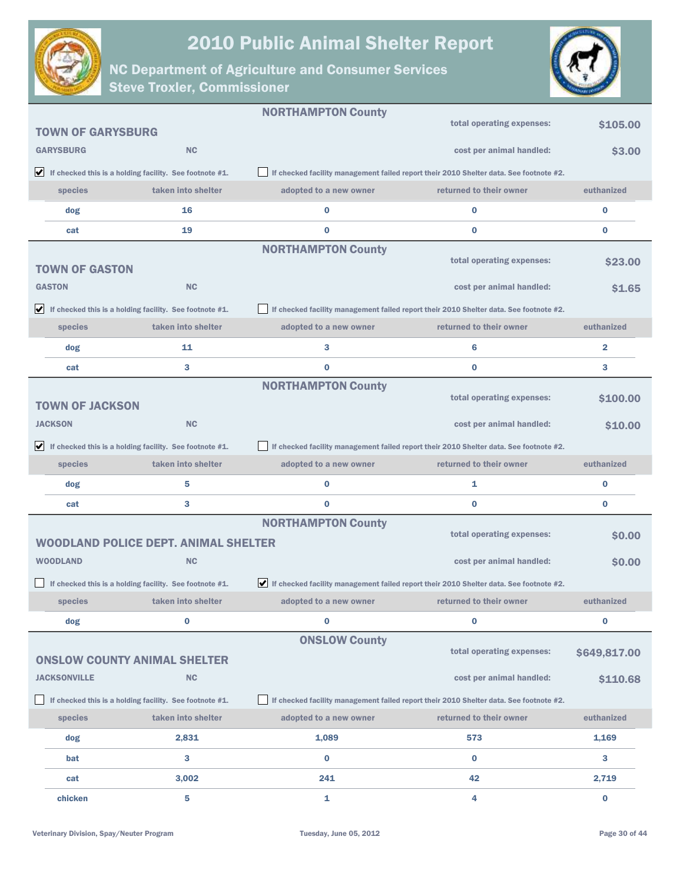



|                          |                                                                               | <b>NORTHAMPTON County</b> |                                                                                           |                         |
|--------------------------|-------------------------------------------------------------------------------|---------------------------|-------------------------------------------------------------------------------------------|-------------------------|
| <b>TOWN OF GARYSBURG</b> |                                                                               |                           | total operating expenses:                                                                 | \$105.00                |
| <b>GARYSBURG</b>         | <b>NC</b>                                                                     |                           | cost per animal handled:                                                                  | \$3.00                  |
|                          | $\blacktriangleright$ If checked this is a holding facility. See footnote #1. |                           | If checked facility management failed report their 2010 Shelter data. See footnote #2.    |                         |
| species                  | taken into shelter                                                            | adopted to a new owner    | returned to their owner                                                                   | euthanized              |
| dog                      | 16                                                                            | $\bf{0}$                  | $\bf{0}$                                                                                  | $\bf{0}$                |
| cat                      | 19                                                                            | $\bf{0}$                  | $\bf{0}$                                                                                  | $\bf{0}$                |
| <b>TOWN OF GASTON</b>    |                                                                               | <b>NORTHAMPTON County</b> | total operating expenses:                                                                 | <b>S23.00</b>           |
| <b>GASTON</b>            | <b>NC</b>                                                                     |                           | cost per animal handled:                                                                  | <b>S1.65</b>            |
|                          | $\blacktriangleright$ If checked this is a holding facility. See footnote #1. |                           | If checked facility management failed report their 2010 Shelter data. See footnote #2.    |                         |
| species                  | taken into shelter                                                            | adopted to a new owner    | returned to their owner                                                                   | euthanized              |
| dog                      | 11                                                                            | 3                         | 6                                                                                         | $\overline{\mathbf{2}}$ |
| cat                      | 3                                                                             | $\bf{0}$                  | $\bf{0}$                                                                                  | 3                       |
|                          |                                                                               | <b>NORTHAMPTON County</b> | total operating expenses:                                                                 |                         |
| <b>TOWN OF JACKSON</b>   |                                                                               |                           |                                                                                           | \$100.00                |
| <b>JACKSON</b>           | <b>NC</b>                                                                     |                           | cost per animal handled:                                                                  | \$10.00                 |
|                          | $\blacktriangleright$ If checked this is a holding facility. See footnote #1. |                           | If checked facility management failed report their 2010 Shelter data. See footnote #2.    |                         |
| species                  | taken into shelter                                                            | adopted to a new owner    | returned to their owner                                                                   | euthanized              |
| dog                      | 5                                                                             | $\bf{0}$                  | 1                                                                                         | $\bf{0}$                |
| cat                      | 3                                                                             | $\bf{0}$                  | $\bf{0}$                                                                                  | $\bf{0}$                |
|                          |                                                                               | <b>NORTHAMPTON County</b> | total operating expenses:                                                                 | \$0.00                  |
|                          | <b>WOODLAND POLICE DEPT. ANIMAL SHELTER</b>                                   |                           |                                                                                           |                         |
| <b>WOODLAND</b>          | <b>NC</b>                                                                     |                           | cost per animal handled:                                                                  | \$0.00                  |
|                          | If checked this is a holding facility. See footnote #1.                       |                           | If checked facility management failed report their 2010 Shelter data. See footnote $#2$ . |                         |
| species                  | taken into shelter                                                            | adopted to a new owner    | returned to their owner                                                                   | euthanized              |
| dog                      | 0                                                                             | $\bf{0}$                  | $\bf{0}$                                                                                  | $\bf{0}$                |
|                          | <b>ONSLOW COUNTY ANIMAL SHELTER</b>                                           | <b>ONSLOW County</b>      | total operating expenses:                                                                 | \$649,817.00            |
| <b>JACKSONVILLE</b>      | <b>NC</b>                                                                     |                           | cost per animal handled:                                                                  | \$110.68                |
|                          | If checked this is a holding facility. See footnote #1.                       |                           | If checked facility management failed report their 2010 Shelter data. See footnote #2.    |                         |
| species                  | taken into shelter                                                            | adopted to a new owner    | returned to their owner                                                                   | euthanized              |
| dog                      | 2,831                                                                         | 1,089                     | 573                                                                                       | 1,169                   |
| bat                      | 3                                                                             | $\bf{0}$                  | $\bf{0}$                                                                                  | 3                       |
| cat                      | 3,002                                                                         | 241                       | 42                                                                                        | 2,719                   |
| chicken                  | 5                                                                             | 1                         | 4                                                                                         | $\bf{0}$                |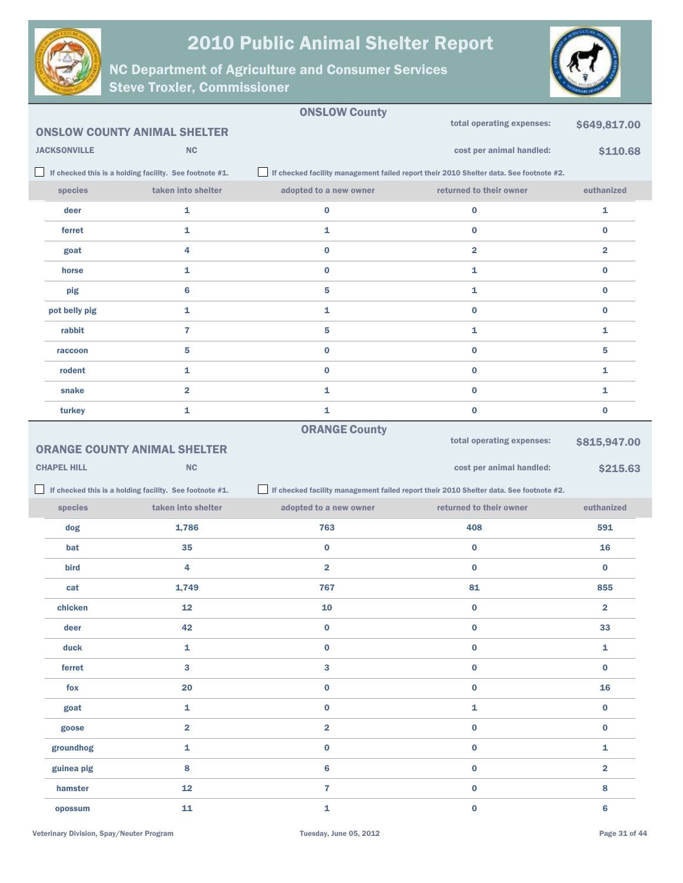



|                     |                                                         | <b>ONSLOW County</b>    |                                                                                        |                         |
|---------------------|---------------------------------------------------------|-------------------------|----------------------------------------------------------------------------------------|-------------------------|
|                     | <b>ONSLOW COUNTY ANIMAL SHELTER</b>                     |                         | total operating expenses:                                                              | \$649,817.00            |
| <b>JACKSONVILLE</b> | NC                                                      |                         | cost per animal handled:                                                               | \$110.68                |
|                     | If checked this is a holding facility. See footnote #1. |                         | If checked facility management failed report their 2010 Shelter data. See footnote #2. |                         |
| species             | taken into shelter                                      | adopted to a new owner  | returned to their owner                                                                | euthanized              |
| deer                | 1                                                       | $\bf{0}$                | $\bf{0}$                                                                               | 1                       |
| ferret              | 1                                                       | 1                       | $\bf{0}$                                                                               | $\bf{0}$                |
| goat                | 4                                                       | $\bf{0}$                | 2                                                                                      | $\overline{\mathbf{2}}$ |
| horse               | 1                                                       | $\bf{0}$                | 1                                                                                      | $\bf{0}$                |
| pig                 | $6\phantom{1}6$                                         | 5                       | 1                                                                                      | $\bf{0}$                |
| pot belly pig       | 1                                                       | 1                       | $\bf{0}$                                                                               | $\bf{0}$                |
| rabbit              | $\overline{7}$                                          | 5                       | 1                                                                                      | 1                       |
| raccoon             | 5                                                       | $\bf{0}$                | $\bf{0}$                                                                               | 5                       |
| rodent              | 1                                                       | $\bf{0}$                | $\pmb{0}$                                                                              | 1                       |
| snake               | $\overline{\mathbf{2}}$                                 | 1                       | $\bf{0}$                                                                               | 1                       |
| turkey              | 1                                                       | 1                       | $\bf{0}$                                                                               | $\bf{0}$                |
|                     |                                                         | <b>ORANGE County</b>    | total operating expenses:                                                              |                         |
|                     | <b>ORANGE COUNTY ANIMAL SHELTER</b>                     |                         |                                                                                        | \$815,947.00            |
|                     |                                                         |                         |                                                                                        |                         |
| <b>CHAPEL HILL</b>  | <b>NC</b>                                               |                         | cost per animal handled:                                                               | \$215.63                |
|                     | If checked this is a holding facility. See footnote #1. |                         | If checked facility management failed report their 2010 Shelter data. See footnote #2. |                         |
| species             | taken into shelter                                      | adopted to a new owner  | returned to their owner                                                                | euthanized              |
| dog                 | 1,786                                                   | 763                     | 408                                                                                    | 591                     |
| bat                 | 35                                                      | $\bf{0}$                | $\bf{0}$                                                                               | 16                      |
| bird                | 4                                                       | $\overline{\mathbf{2}}$ | $\bf{0}$                                                                               | $\bf{0}$                |
| cat                 | 1,749                                                   | 767                     | 81                                                                                     | 855                     |
| chicken             | ${\bf 12}$                                              | ${\bf 10}$              | 0                                                                                      | 2                       |
| deer                | 42                                                      | $\pmb{0}$               | $\pmb{0}$                                                                              | 33                      |
| duck                | $\mathbf{1}$                                            | $\pmb{0}$               | $\pmb{0}$                                                                              | $\mathbf 1$             |
| ferret              | $\overline{\mathbf{3}}$                                 | $\mathbf{3}$            | $\pmb{0}$                                                                              | $\mathbf 0$             |
| fox                 | 20                                                      | $\pmb{0}$               | $\pmb{0}$                                                                              | ${\bf 16}$              |
| goat                | $\mathbf 1$                                             | $\pmb{0}$               | $\mathbf{1}$                                                                           | $\mathbf 0$             |
| goose               | $\overline{\mathbf{2}}$                                 | $\overline{\mathbf{2}}$ | $\pmb{0}$                                                                              | $\pmb{0}$               |
| groundhog           | $\mathbf 1$                                             | $\pmb{0}$               | $\pmb{0}$                                                                              | $\mathbf 1$             |
| guinea pig          | 8                                                       | $\bf 6$                 | $\pmb{0}$                                                                              | $\overline{\mathbf{2}}$ |
| hamster             | 12                                                      | $\overline{7}$          | $\pmb{0}$                                                                              | 8                       |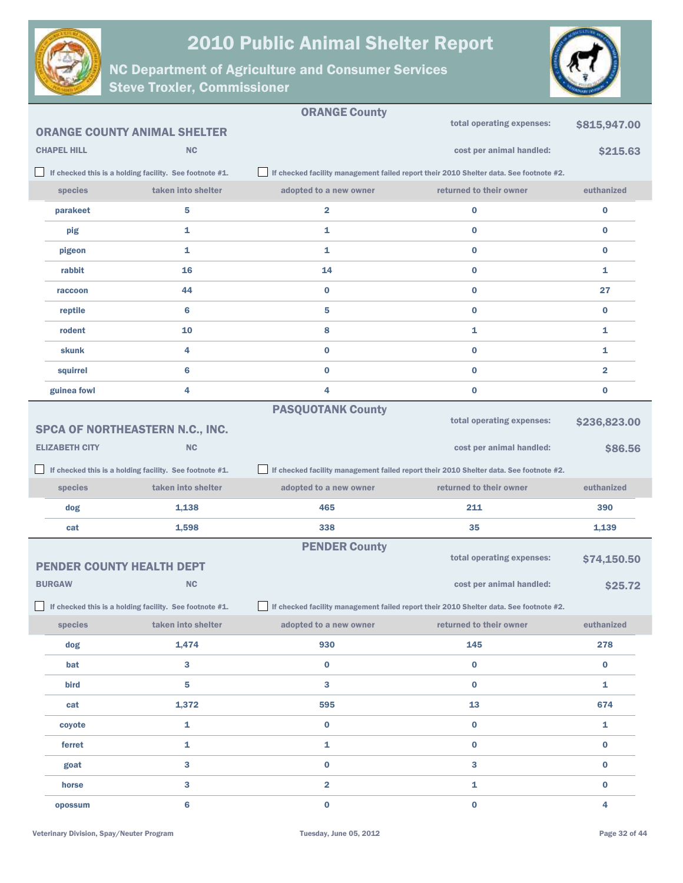



|                                  |                                                         | <b>ORANGE County</b>                                                                   |                                                                                        |                         |
|----------------------------------|---------------------------------------------------------|----------------------------------------------------------------------------------------|----------------------------------------------------------------------------------------|-------------------------|
|                                  | <b>ORANGE COUNTY ANIMAL SHELTER</b>                     |                                                                                        | total operating expenses:                                                              | \$815,947.00            |
| <b>CHAPEL HILL</b>               | <b>NC</b>                                               |                                                                                        | cost per animal handled:                                                               | \$215.63                |
|                                  | If checked this is a holding facility. See footnote #1. |                                                                                        | If checked facility management failed report their 2010 Shelter data. See footnote #2. |                         |
| species                          | taken into shelter                                      | adopted to a new owner                                                                 | returned to their owner                                                                | euthanized              |
| parakeet                         | 5                                                       | $\overline{\mathbf{2}}$                                                                | $\bf{0}$                                                                               | $\bf{0}$                |
| pig                              | 1                                                       | 1                                                                                      | $\bf{0}$                                                                               | $\bf{0}$                |
| pigeon                           | 1                                                       | 1                                                                                      | $\bf{0}$                                                                               | 0                       |
| rabbit                           | 16                                                      | 14                                                                                     | $\bf{0}$                                                                               | 1                       |
| raccoon                          | 44                                                      | $\bf{0}$                                                                               | $\bf{0}$                                                                               | 27                      |
| reptile                          | 6                                                       | 5                                                                                      | $\bf{0}$                                                                               | $\bf{0}$                |
| rodent                           | 10                                                      | 8                                                                                      | 1                                                                                      | 1                       |
| <b>skunk</b>                     | 4                                                       | $\bf{0}$                                                                               | $\bf{0}$                                                                               | 1                       |
| squirrel                         | 6                                                       | $\bf{0}$                                                                               | $\bf{0}$                                                                               | $\overline{\mathbf{2}}$ |
| guinea fowl                      | 4                                                       | 4                                                                                      | $\bf{0}$                                                                               | $\bf{0}$                |
|                                  |                                                         | <b>PASQUOTANK County</b>                                                               |                                                                                        |                         |
|                                  | SPCA OF NORTHEASTERN N.C., INC.                         |                                                                                        | total operating expenses:                                                              | \$236,823.00            |
| <b>ELIZABETH CITY</b>            | <b>NC</b>                                               |                                                                                        | cost per animal handled:                                                               | \$86.56                 |
|                                  |                                                         |                                                                                        |                                                                                        |                         |
|                                  | If checked this is a holding facility. See footnote #1. |                                                                                        | If checked facility management failed report their 2010 Shelter data. See footnote #2. |                         |
| <b>species</b>                   | taken into shelter                                      | adopted to a new owner                                                                 | returned to their owner                                                                | euthanized              |
| dog                              | 1,138                                                   | 465                                                                                    | 211                                                                                    | 390                     |
| cat                              | 1,598                                                   | 338                                                                                    | 35                                                                                     | 1,139                   |
|                                  |                                                         | <b>PENDER County</b>                                                                   |                                                                                        |                         |
| <b>PENDER COUNTY HEALTH DEPT</b> |                                                         |                                                                                        | total operating expenses:                                                              | \$74,150.50             |
| <b>BURGAW</b>                    | <b>NC</b>                                               |                                                                                        | cost per animal handled:                                                               | \$25.72                 |
|                                  | If checked this is a holding facility. See footnote #1. | If checked facility management failed report their 2010 Shelter data. See footnote #2. |                                                                                        |                         |
| species                          | taken into shelter                                      | adopted to a new owner                                                                 | returned to their owner                                                                | euthanized              |
| dog                              | 1,474                                                   | 930                                                                                    | 145                                                                                    | 278                     |
| bat                              | 3                                                       | $\bf{0}$                                                                               | $\bf{0}$                                                                               | $\bf{0}$                |
| bird                             | 5                                                       | 3                                                                                      | $\bf{0}$                                                                               | $\mathbf{1}$            |
| cat                              | 1,372                                                   | 595                                                                                    | 13                                                                                     | 674                     |
| coyote                           | 1                                                       | 0                                                                                      | $\bf{0}$                                                                               | 1                       |
| ferret                           | 1                                                       | $\mathbf{1}$                                                                           | $\bf{0}$                                                                               | $\bf{0}$                |
| goat                             | 3                                                       | $\bf{0}$                                                                               | 3                                                                                      | $\bf{0}$                |
| horse                            | 3                                                       | $\overline{\mathbf{2}}$                                                                | 1                                                                                      | $\bf{0}$                |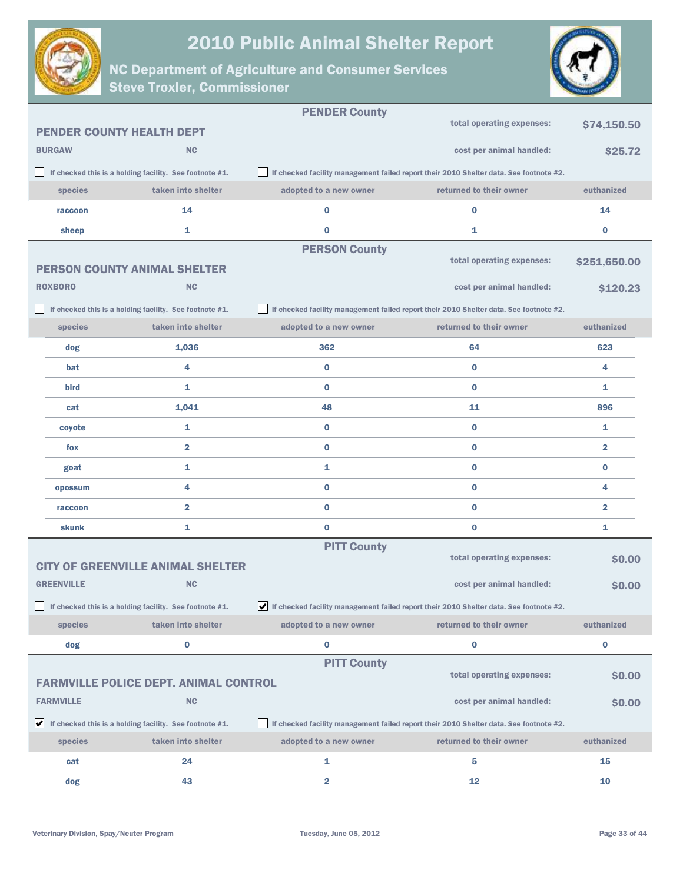



|                   |                                                                   | <b>PENDER County</b>    |                                                                                          |                         |
|-------------------|-------------------------------------------------------------------|-------------------------|------------------------------------------------------------------------------------------|-------------------------|
|                   | <b>PENDER COUNTY HEALTH DEPT</b>                                  |                         | total operating expenses:                                                                | \$74,150.50             |
| <b>BURGAW</b>     | <b>NC</b>                                                         |                         | cost per animal handled:                                                                 | \$25.72                 |
|                   | If checked this is a holding facility. See footnote #1.           |                         | If checked facility management failed report their 2010 Shelter data. See footnote #2.   |                         |
| species           | taken into shelter                                                | adopted to a new owner  | returned to their owner                                                                  | euthanized              |
| raccoon           | 14                                                                | $\bf{0}$                | $\bf{0}$                                                                                 | 14                      |
| sheep             | 1                                                                 | $\bf{0}$                | 1                                                                                        | $\bf{0}$                |
|                   |                                                                   | <b>PERSON County</b>    |                                                                                          |                         |
|                   | <b>PERSON COUNTY ANIMAL SHELTER</b>                               |                         | total operating expenses:                                                                | \$251,650.00            |
| <b>ROXBORO</b>    | <b>NC</b>                                                         |                         | cost per animal handled:                                                                 | \$120.23                |
|                   | If checked this is a holding facility. See footnote #1.           |                         | If checked facility management failed report their 2010 Shelter data. See footnote #2.   |                         |
| species           | taken into shelter                                                | adopted to a new owner  | returned to their owner                                                                  | euthanized              |
| dog               | 1,036                                                             | 362                     | 64                                                                                       | 623                     |
| bat               | 4                                                                 | $\bf{0}$                | $\bf{0}$                                                                                 | 4                       |
| <b>bird</b>       | 1                                                                 | $\bf{0}$                | $\bf{0}$                                                                                 | 1                       |
| cat               | 1,041                                                             | 48                      | 11                                                                                       | 896                     |
| coyote            | 1                                                                 | $\bf{0}$                | $\bf{0}$                                                                                 | 1                       |
| fox               | $\overline{\mathbf{2}}$                                           | $\bf{0}$                | $\bf{0}$                                                                                 | $\overline{\mathbf{2}}$ |
| goat              | 1                                                                 | 1                       | $\bf{0}$                                                                                 | $\bf{0}$                |
| opossum           | 4                                                                 | $\bf{0}$                | $\bf{0}$                                                                                 | 4                       |
| raccoon           | $\overline{2}$                                                    | $\bf{0}$                | $\bf{0}$                                                                                 | $\overline{2}$          |
| skunk             | 1                                                                 | $\bf{0}$                | $\bf{0}$                                                                                 | 1                       |
|                   |                                                                   | <b>PITT County</b>      |                                                                                          |                         |
|                   | <b>CITY OF GREENVILLE ANIMAL SHELTER</b>                          |                         | total operating expenses:                                                                | \$0.00                  |
| <b>GREENVILLE</b> | <b>NC</b>                                                         |                         | cost per animal handled:                                                                 | \$0.00                  |
|                   | If checked this is a holding facility. See footnote #1.           |                         | V If checked facility management failed report their 2010 Shelter data. See footnote #2. |                         |
| species           | taken into shelter                                                | adopted to a new owner  | returned to their owner                                                                  | euthanized              |
| dog               | 0                                                                 | $\bf{0}$                | 0                                                                                        | 0                       |
|                   |                                                                   | <b>PITT County</b>      |                                                                                          |                         |
|                   | <b>FARMVILLE POLICE DEPT. ANIMAL CONTROL</b>                      |                         | total operating expenses:                                                                | \$0.00                  |
| <b>FARMVILLE</b>  | <b>NC</b>                                                         |                         | cost per animal handled:                                                                 | \$0.00                  |
|                   | $\bigvee$ If checked this is a holding facility. See footnote #1. |                         | If checked facility management failed report their 2010 Shelter data. See footnote #2.   |                         |
| species           | taken into shelter                                                | adopted to a new owner  | returned to their owner                                                                  | euthanized              |
| cat               | 24                                                                | 1                       | 5                                                                                        | 15                      |
| dog               | 43                                                                | $\overline{\mathbf{2}}$ | 12                                                                                       | 10                      |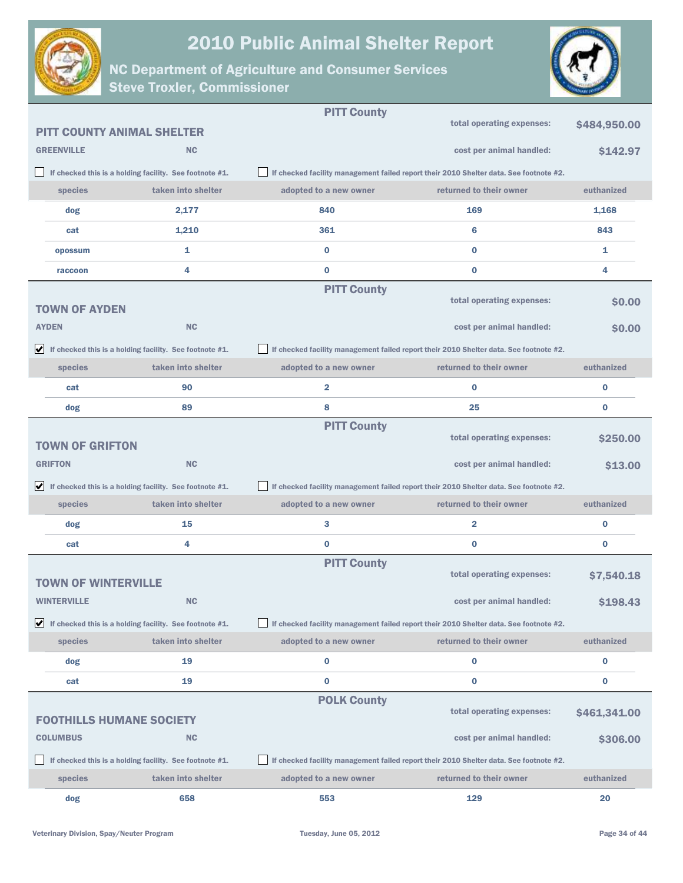



|                                   |                                                                               | <b>PITT County</b>                                                                     |                                                                                        |              |
|-----------------------------------|-------------------------------------------------------------------------------|----------------------------------------------------------------------------------------|----------------------------------------------------------------------------------------|--------------|
| <b>PITT COUNTY ANIMAL SHELTER</b> |                                                                               |                                                                                        | total operating expenses:                                                              | \$484,950.00 |
| <b>GREENVILLE</b>                 | <b>NC</b>                                                                     |                                                                                        | cost per animal handled:                                                               | \$142.97     |
|                                   | If checked this is a holding facility. See footnote #1.                       |                                                                                        | If checked facility management failed report their 2010 Shelter data. See footnote #2. |              |
| species                           | taken into shelter                                                            | adopted to a new owner                                                                 | returned to their owner                                                                | euthanized   |
| dog                               | 2,177                                                                         | 840                                                                                    | 169                                                                                    | 1,168        |
| cat                               | 1,210                                                                         | 361                                                                                    | 6                                                                                      | 843          |
| opossum                           | 1                                                                             | $\bf{0}$                                                                               | $\bf{0}$                                                                               | 1            |
| raccoon                           | 4                                                                             | $\bf{0}$                                                                               | 0                                                                                      | 4            |
|                                   |                                                                               | <b>PITT County</b>                                                                     |                                                                                        |              |
| <b>TOWN OF AYDEN</b>              |                                                                               |                                                                                        | total operating expenses:                                                              | <b>SO.00</b> |
| <b>AYDEN</b>                      | <b>NC</b>                                                                     |                                                                                        | cost per animal handled:                                                               | <b>SO.00</b> |
|                                   | $\blacktriangleright$ If checked this is a holding facility. See footnote #1. | If checked facility management failed report their 2010 Shelter data. See footnote #2. |                                                                                        |              |
| species                           | taken into shelter                                                            | adopted to a new owner                                                                 | returned to their owner                                                                | euthanized   |
| cat                               | 90                                                                            | $\overline{\mathbf{2}}$                                                                | $\bf{0}$                                                                               | 0            |
| dog                               | 89                                                                            | 8                                                                                      | 25                                                                                     | $\bf{0}$     |
|                                   |                                                                               | <b>PITT County</b>                                                                     |                                                                                        |              |
| <b>TOWN OF GRIFTON</b>            |                                                                               |                                                                                        | total operating expenses:                                                              | \$250.00     |
| <b>GRIFTON</b>                    | <b>NC</b>                                                                     |                                                                                        | cost per animal handled:                                                               | \$13.00      |
|                                   | $\blacktriangleright$ If checked this is a holding facility. See footnote #1. |                                                                                        | If checked facility management failed report their 2010 Shelter data. See footnote #2. |              |
| species                           | taken into shelter                                                            | adopted to a new owner                                                                 | returned to their owner                                                                | euthanized   |
| dog                               | 15                                                                            | 3                                                                                      | 2                                                                                      | 0            |
| cat                               | 4                                                                             | $\bf{0}$                                                                               | 0                                                                                      | 0            |
|                                   |                                                                               | <b>PITT County</b>                                                                     | total operating expenses:                                                              | \$7,540.18   |
| TOWN OF WINTERVILLE               |                                                                               |                                                                                        |                                                                                        |              |
| <b>WINTERVILLE</b>                | <b>NC</b>                                                                     |                                                                                        | cost per animal handled:                                                               | \$198.43     |
|                                   | $\blacktriangleright$ If checked this is a holding facility. See footnote #1. |                                                                                        | If checked facility management failed report their 2010 Shelter data. See footnote #2. |              |
| species                           | taken into shelter                                                            | adopted to a new owner                                                                 | returned to their owner                                                                | euthanized   |
| dog                               | 19                                                                            | 0                                                                                      | $\bf{0}$                                                                               | 0            |
| cat                               | 19                                                                            | $\bf{0}$                                                                               | 0                                                                                      | 0            |
|                                   |                                                                               | <b>POLK County</b>                                                                     | total operating expenses:                                                              | \$461,341.00 |
| <b>FOOTHILLS HUMANE SOCIETY</b>   |                                                                               |                                                                                        |                                                                                        |              |
| <b>COLUMBUS</b>                   | <b>NC</b>                                                                     |                                                                                        | cost per animal handled:                                                               | \$306.00     |
|                                   | If checked this is a holding facility. See footnote #1.                       |                                                                                        | If checked facility management failed report their 2010 Shelter data. See footnote #2. |              |
| species                           | taken into shelter                                                            | adopted to a new owner                                                                 | returned to their owner                                                                | euthanized   |
| dog                               | 658                                                                           | 553                                                                                    | 129                                                                                    | 20           |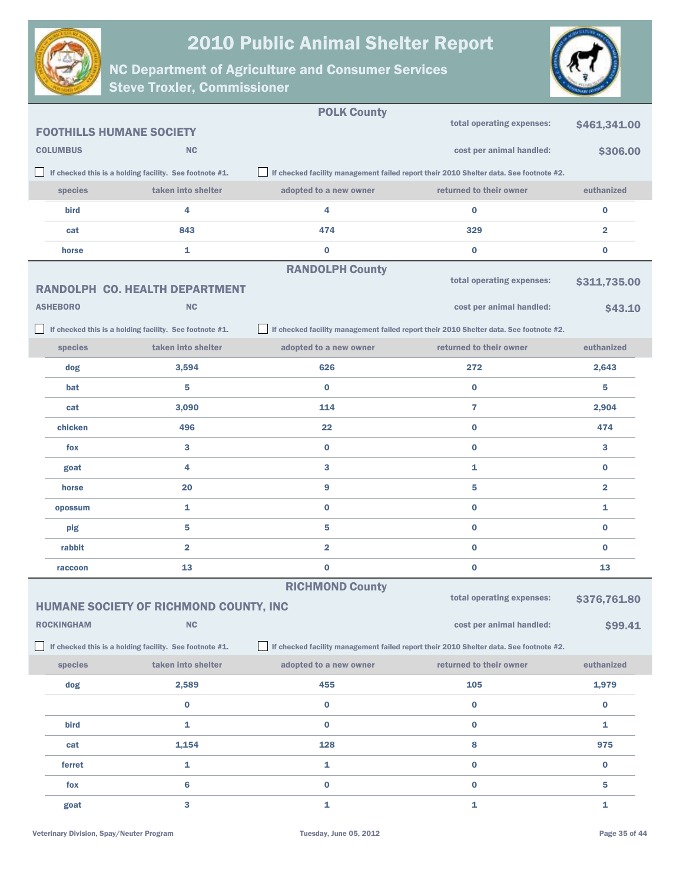

POLK County



|                   |                                                         | <b>POLK County</b>      |                                                                                        |                         |
|-------------------|---------------------------------------------------------|-------------------------|----------------------------------------------------------------------------------------|-------------------------|
|                   | <b>FOOTHILLS HUMANE SOCIETY</b>                         |                         | total operating expenses:                                                              | \$461,341.00            |
| <b>COLUMBUS</b>   | <b>NC</b>                                               |                         | cost per animal handled:                                                               | \$306.00                |
|                   | If checked this is a holding facility. See footnote #1. |                         | If checked facility management failed report their 2010 Shelter data. See footnote #2. |                         |
| species           | taken into shelter                                      | adopted to a new owner  | returned to their owner                                                                | euthanized              |
| bird              | 4                                                       | 4                       | 0                                                                                      | $\bf{0}$                |
| cat               | 843                                                     | 474                     | 329                                                                                    | $\overline{\mathbf{2}}$ |
| horse             | 1                                                       | $\bf{0}$                | $\bf{0}$                                                                               | $\bf{0}$                |
|                   |                                                         | <b>RANDOLPH County</b>  |                                                                                        |                         |
|                   | <b>RANDOLPH CO. HEALTH DEPARTMENT</b>                   |                         | total operating expenses:                                                              | \$311,735.00            |
| <b>ASHEBORO</b>   | <b>NC</b>                                               |                         | cost per animal handled:                                                               | \$43.10                 |
|                   | If checked this is a holding facility. See footnote #1. |                         | If checked facility management failed report their 2010 Shelter data. See footnote #2. |                         |
| species           | taken into shelter                                      | adopted to a new owner  | returned to their owner                                                                | euthanized              |
| dog               | 3,594                                                   | 626                     | 272                                                                                    | 2,643                   |
| bat               | 5                                                       | $\bf{0}$                | $\bf{0}$                                                                               | 5                       |
| cat               | 3,090                                                   | 114                     | 7                                                                                      | 2,904                   |
| chicken           | 496                                                     | 22                      | $\bf{0}$                                                                               | 474                     |
| fox               | 3                                                       | $\bf{0}$                | $\bf{0}$                                                                               | 3                       |
| goat              | 4                                                       | 3                       | 1                                                                                      | $\bf{0}$                |
| horse             | 20                                                      | 9                       | 5                                                                                      | $\overline{\mathbf{2}}$ |
| opossum           | 1                                                       | $\bf{0}$                | $\bf{0}$                                                                               | 1                       |
| pig               | 5                                                       | 5                       | 0                                                                                      | $\bf{0}$                |
| rabbit            | $\overline{\mathbf{2}}$                                 | $\overline{\mathbf{2}}$ | $\bf{0}$                                                                               | $\bf{0}$                |
| raccoon           | 13                                                      | $\bf{0}$                | 0                                                                                      | 13                      |
|                   |                                                         | <b>RICHMOND County</b>  | total operating expenses:                                                              |                         |
|                   | HUMANE SOCIETY OF RICHMOND COUNTY, INC                  |                         |                                                                                        | \$376,761.80            |
| <b>ROCKINGHAM</b> | NC                                                      |                         | cost per animal handled:                                                               | \$99.41                 |
|                   | If checked this is a holding facility. See footnote #1. |                         | If checked facility management failed report their 2010 Shelter data. See footnote #2. |                         |
| species           | taken into shelter                                      | adopted to a new owner  | returned to their owner                                                                | euthanized              |
| dog               | 2,589                                                   | 455                     | 105                                                                                    | 1,979                   |
|                   | $\bf{0}$                                                | $\bf{0}$                | $\bf{0}$                                                                               | $\bf{0}$                |
| bird              | 1                                                       | $\bf{0}$                | 0                                                                                      | 1                       |
| cat               | 1,154                                                   | 128                     | 8                                                                                      | 975                     |
| ferret            | 1                                                       | 1                       | 0                                                                                      | $\bf{0}$                |
| fox               | $6\phantom{1}$                                          | $\bf{0}$                | $\bf{0}$                                                                               | 5                       |
| goat              | 3                                                       | 1                       | 1                                                                                      | 1                       |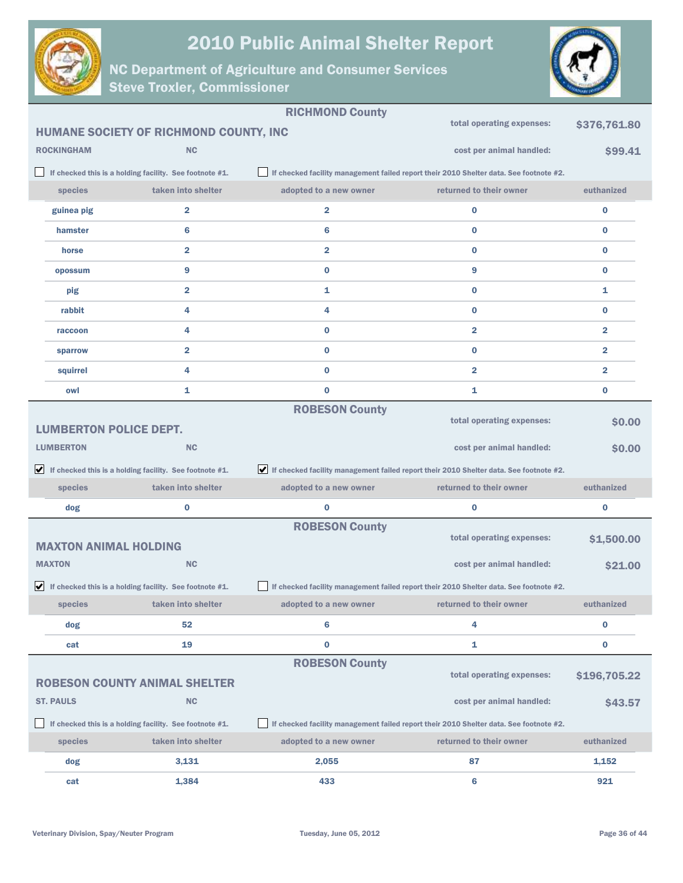



|                               |                                                                               | <b>RICHMOND County</b> |                                                                                        |                         |
|-------------------------------|-------------------------------------------------------------------------------|------------------------|----------------------------------------------------------------------------------------|-------------------------|
|                               | HUMANE SOCIETY OF RICHMOND COUNTY, INC                                        |                        | total operating expenses:                                                              | \$376,761.80            |
| <b>ROCKINGHAM</b>             | <b>NC</b>                                                                     |                        | cost per animal handled:                                                               | \$99.41                 |
|                               | If checked this is a holding facility. See footnote #1.                       |                        | If checked facility management failed report their 2010 Shelter data. See footnote #2. |                         |
| species                       | taken into shelter                                                            | adopted to a new owner | returned to their owner                                                                | euthanized              |
| guinea pig                    | 2                                                                             | 2                      | $\bf{0}$                                                                               | $\bf{0}$                |
| hamster                       | 6                                                                             | 6                      | $\bf{0}$                                                                               | $\bf{0}$                |
| horse                         | 2                                                                             | 2                      | $\bf{0}$                                                                               | $\bf{0}$                |
| opossum                       | 9                                                                             | 0                      | 9                                                                                      | $\bf{0}$                |
| pig                           | 2                                                                             | 1                      | $\bf{0}$                                                                               | 1                       |
| rabbit                        | 4                                                                             | 4                      | $\bf{0}$                                                                               | $\bf{0}$                |
| raccoon                       | 4                                                                             | 0                      | 2                                                                                      | $\overline{\mathbf{2}}$ |
| sparrow                       | $\overline{\mathbf{2}}$                                                       | 0                      | $\bf{0}$                                                                               | $\overline{\mathbf{2}}$ |
| squirrel                      | 4                                                                             | 0                      | $\overline{2}$                                                                         | $\overline{\mathbf{2}}$ |
| owl                           | 1                                                                             | 0                      | 1                                                                                      | 0                       |
|                               |                                                                               | <b>ROBESON County</b>  |                                                                                        |                         |
| <b>LUMBERTON POLICE DEPT.</b> |                                                                               |                        | total operating expenses:                                                              | \$0.00                  |
| <b>LUMBERTON</b>              | <b>NC</b>                                                                     |                        | cost per animal handled:                                                               | \$0.00                  |
|                               | $\blacktriangleright$ If checked this is a holding facility. See footnote #1. |                        | If checked facility management failed report their 2010 Shelter data. See footnote #2. |                         |
| species                       | taken into shelter                                                            | adopted to a new owner | returned to their owner                                                                | euthanized              |
| dog                           | $\bf{0}$                                                                      | 0                      | $\bf{0}$                                                                               | $\bf{0}$                |
|                               |                                                                               | <b>ROBESON County</b>  |                                                                                        |                         |
| <b>MAXTON ANIMAL HOLDING</b>  |                                                                               |                        | total operating expenses:                                                              | \$1,500.00              |
| <b>MAXTON</b>                 | <b>NC</b>                                                                     |                        | cost per animal handled:                                                               | \$21.00                 |
|                               | $\blacktriangleright$ If checked this is a holding facility. See footnote #1. |                        | If checked facility management failed report their 2010 Shelter data. See footnote #2. |                         |
| species                       | taken into shelter                                                            | adopted to a new owner | returned to their owner                                                                | euthanized              |
| dog                           | 52                                                                            | 6                      | 4                                                                                      | $\bf{0}$                |
| cat                           | 19                                                                            | 0                      | 1                                                                                      | 0                       |
|                               |                                                                               | <b>ROBESON County</b>  | total operating expenses:                                                              |                         |
|                               | <b>ROBESON COUNTY ANIMAL SHELTER</b>                                          |                        |                                                                                        | \$196,705.22            |
| <b>ST. PAULS</b>              | <b>NC</b>                                                                     |                        | cost per animal handled:                                                               | \$43.57                 |
|                               | If checked this is a holding facility. See footnote #1.                       |                        | If checked facility management failed report their 2010 Shelter data. See footnote #2. |                         |
| species                       | taken into shelter                                                            | adopted to a new owner | returned to their owner                                                                | euthanized              |
| dog                           | 3,131                                                                         | 2,055                  | 87                                                                                     | 1,152                   |
| cat                           | 1,384                                                                         | 433                    | $6\phantom{a}$                                                                         | 921                     |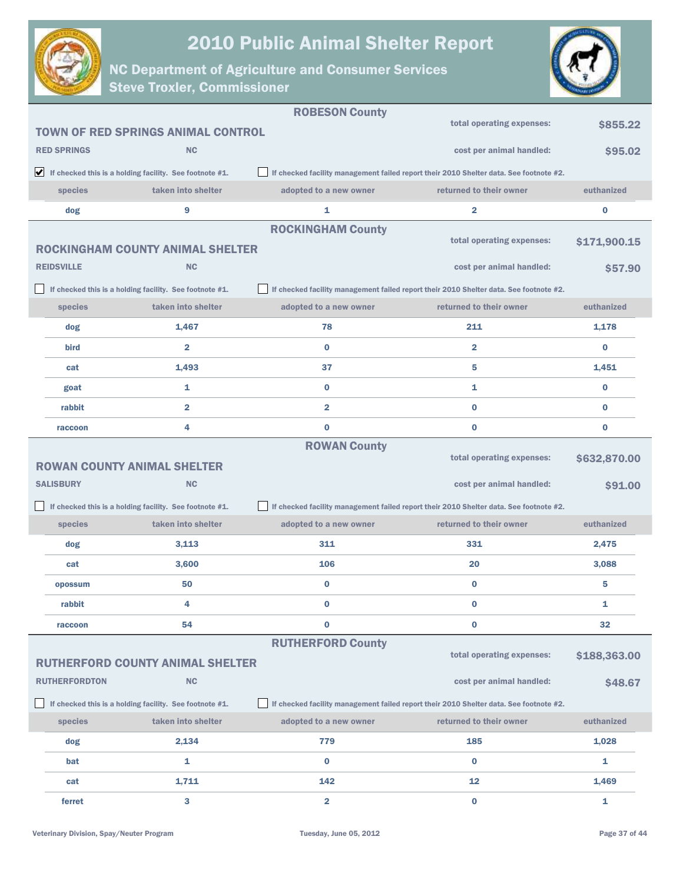



|                      |                                                                               | <b>ROBESON County</b>    |                                                                                        |              |
|----------------------|-------------------------------------------------------------------------------|--------------------------|----------------------------------------------------------------------------------------|--------------|
|                      | <b>TOWN OF RED SPRINGS ANIMAL CONTROL</b>                                     |                          | total operating expenses:                                                              | \$855.22     |
| <b>RED SPRINGS</b>   | <b>NC</b>                                                                     |                          | cost per animal handled:                                                               | \$95.02      |
|                      | $\blacktriangleright$ If checked this is a holding facility. See footnote #1. |                          | If checked facility management failed report their 2010 Shelter data. See footnote #2. |              |
| species              | taken into shelter                                                            | adopted to a new owner   | returned to their owner                                                                | euthanized   |
| dog                  | 9                                                                             | 1                        | 2                                                                                      | 0            |
|                      |                                                                               | <b>ROCKINGHAM County</b> |                                                                                        |              |
|                      | <b>ROCKINGHAM COUNTY ANIMAL SHELTER</b>                                       |                          | total operating expenses:                                                              | \$171,900.15 |
| <b>REIDSVILLE</b>    | <b>NC</b>                                                                     |                          | cost per animal handled:                                                               | \$57.90      |
|                      | If checked this is a holding facility. See footnote #1.                       |                          | If checked facility management failed report their 2010 Shelter data. See footnote #2. |              |
| species              | taken into shelter                                                            | adopted to a new owner   | returned to their owner                                                                | euthanized   |
| dog                  | 1,467                                                                         | 78                       | 211                                                                                    | 1,178        |
| bird                 | $\overline{2}$                                                                | $\bf{0}$                 | $\overline{2}$                                                                         | $\bf{0}$     |
| cat                  | 1,493                                                                         | 37                       | 5                                                                                      | 1,451        |
| goat                 | 1                                                                             | $\bf{0}$                 | 1                                                                                      | $\bf{0}$     |
| rabbit               | $\overline{2}$                                                                | $\overline{\mathbf{2}}$  | $\bf{0}$                                                                               | $\bf{0}$     |
| raccoon              | 4                                                                             | $\bf{0}$                 | $\bf{0}$                                                                               | $\bf{0}$     |
|                      |                                                                               | <b>ROWAN County</b>      |                                                                                        |              |
|                      | <b>ROWAN COUNTY ANIMAL SHELTER</b>                                            |                          | total operating expenses:                                                              | \$632,870.00 |
| <b>SALISBURY</b>     | <b>NC</b>                                                                     |                          | cost per animal handled:                                                               | \$91.00      |
|                      | If checked this is a holding facility. See footnote #1.                       |                          | If checked facility management failed report their 2010 Shelter data. See footnote #2. |              |
| species              | taken into shelter                                                            | adopted to a new owner   | returned to their owner                                                                | euthanized   |
| dog                  | 3,113                                                                         | 311                      | 331                                                                                    | 2,475        |
| cat                  | 3,600                                                                         | 106                      | 20                                                                                     | 3,088        |
| opossum              | 50                                                                            | $\bf{0}$                 | $\bf{0}$                                                                               | 5            |
| rabbit               | 4                                                                             | 0                        | $\bf{0}$                                                                               | 1            |
| raccoon              | 54                                                                            | $\bf{0}$                 | 0                                                                                      | 32           |
|                      |                                                                               | <b>RUTHERFORD County</b> | total operating expenses:                                                              |              |
|                      | <b>RUTHERFORD COUNTY ANIMAL SHELTER</b>                                       |                          |                                                                                        | \$188,363.00 |
| <b>RUTHERFORDTON</b> | <b>NC</b>                                                                     |                          | cost per animal handled:                                                               | \$48.67      |
|                      | If checked this is a holding facility. See footnote #1.                       |                          | If checked facility management failed report their 2010 Shelter data. See footnote #2. |              |
| species              | taken into shelter                                                            | adopted to a new owner   | returned to their owner                                                                | euthanized   |
| dog                  | 2,134                                                                         | 779                      | 185                                                                                    | 1,028        |
| bat                  | 1                                                                             | $\bf{0}$                 | $\bf{0}$                                                                               | 1            |
| cat                  | 1,711                                                                         | 142                      | 12                                                                                     | 1,469        |
| ferret               | 3                                                                             | $\overline{2}$           | $\bf{0}$                                                                               | 1            |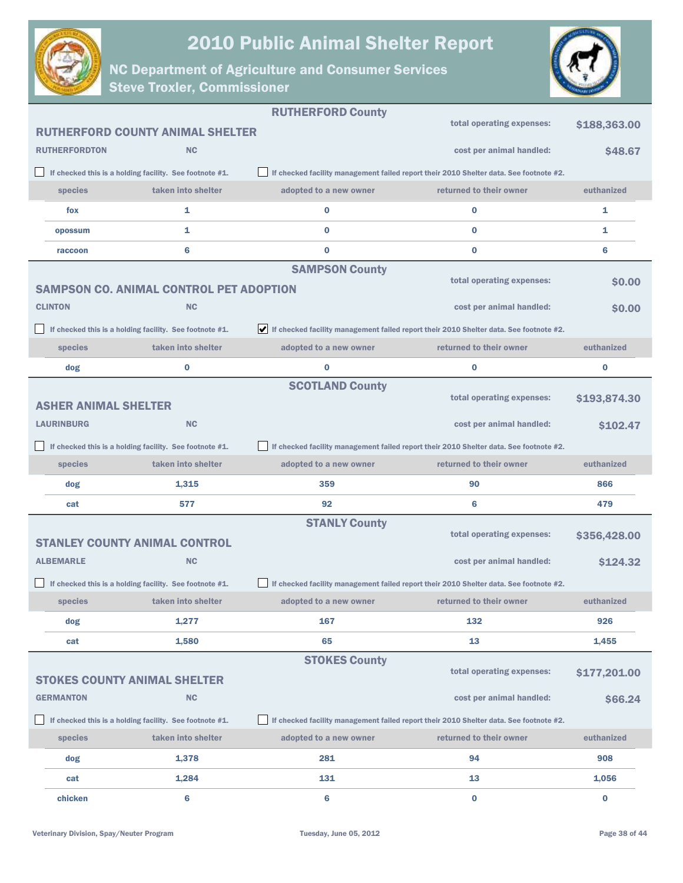



|                             |                                                         | <b>RUTHERFORD County</b>                                                                                     |                                                                                        |              |
|-----------------------------|---------------------------------------------------------|--------------------------------------------------------------------------------------------------------------|----------------------------------------------------------------------------------------|--------------|
|                             | <b>RUTHERFORD COUNTY ANIMAL SHELTER</b>                 |                                                                                                              | total operating expenses:                                                              | \$188,363.00 |
| <b>RUTHERFORDTON</b>        | <b>NC</b>                                               |                                                                                                              | cost per animal handled:                                                               | \$48.67      |
|                             | If checked this is a holding facility. See footnote #1. |                                                                                                              | If checked facility management failed report their 2010 Shelter data. See footnote #2. |              |
| species                     | taken into shelter                                      | adopted to a new owner                                                                                       | returned to their owner                                                                | euthanized   |
| fox                         | 1                                                       | $\bf{0}$                                                                                                     | $\bf{0}$                                                                               | 1            |
| opossum                     | 1                                                       | $\bf{0}$                                                                                                     | $\bf{0}$                                                                               | 1            |
| raccoon                     | 6                                                       | $\bf{0}$                                                                                                     | 0                                                                                      | 6            |
|                             |                                                         | <b>SAMPSON County</b>                                                                                        |                                                                                        |              |
|                             | <b>SAMPSON CO. ANIMAL CONTROL PET ADOPTION</b>          |                                                                                                              | total operating expenses:                                                              | <b>SO.00</b> |
| <b>CLINTON</b>              | <b>NC</b>                                               |                                                                                                              | cost per animal handled:                                                               | \$0.00       |
|                             | If checked this is a holding facility. See footnote #1. | $\blacktriangleright$ If checked facility management failed report their 2010 Shelter data. See footnote #2. |                                                                                        |              |
| species                     | taken into shelter                                      | adopted to a new owner                                                                                       | returned to their owner                                                                | euthanized   |
| dog                         | 0                                                       | $\bf{0}$                                                                                                     | $\bf{0}$                                                                               | 0            |
|                             |                                                         | <b>SCOTLAND County</b>                                                                                       |                                                                                        |              |
| <b>ASHER ANIMAL SHELTER</b> |                                                         |                                                                                                              | total operating expenses:                                                              | \$193,874.30 |
| <b>LAURINBURG</b>           | <b>NC</b>                                               |                                                                                                              | cost per animal handled:                                                               | \$102.47     |
|                             | If checked this is a holding facility. See footnote #1. |                                                                                                              | If checked facility management failed report their 2010 Shelter data. See footnote #2. |              |
|                             |                                                         |                                                                                                              |                                                                                        |              |
| species                     | taken into shelter                                      | adopted to a new owner                                                                                       | returned to their owner                                                                | euthanized   |
| dog                         | 1,315                                                   | 359                                                                                                          | 90                                                                                     | 866          |
| cat                         | 577                                                     | 92                                                                                                           | 6                                                                                      | 479          |
|                             |                                                         | <b>STANLY County</b>                                                                                         |                                                                                        |              |
|                             | <b>STANLEY COUNTY ANIMAL CONTROL</b>                    |                                                                                                              | total operating expenses:                                                              | \$356,428.00 |
| <b>ALBEMARLE</b>            | <b>NC</b>                                               |                                                                                                              | cost per animal handled:                                                               | \$124.32     |
|                             | If checked this is a holding facility. See footnote #1. |                                                                                                              | If checked facility management failed report their 2010 Shelter data. See footnote #2. |              |
| species                     | taken into shelter                                      | adopted to a new owner                                                                                       | returned to their owner                                                                | euthanized   |
| dog                         | 1,277                                                   | 167                                                                                                          | 132                                                                                    | 926          |
| cat                         | 1,580                                                   | 65                                                                                                           | 13                                                                                     | 1,455        |
|                             |                                                         | <b>STOKES County</b>                                                                                         |                                                                                        |              |
|                             | <b>STOKES COUNTY ANIMAL SHELTER</b>                     |                                                                                                              | total operating expenses:                                                              | \$177,201.00 |
| <b>GERMANTON</b>            | <b>NC</b>                                               |                                                                                                              | cost per animal handled:                                                               | \$66.24      |
|                             | If checked this is a holding facility. See footnote #1. |                                                                                                              | If checked facility management failed report their 2010 Shelter data. See footnote #2. |              |
| species                     | taken into shelter                                      | adopted to a new owner                                                                                       | returned to their owner                                                                | euthanized   |
| dog                         | 1,378                                                   | 281                                                                                                          | 94                                                                                     | 908          |
| cat                         | 1,284                                                   | 131                                                                                                          | 13                                                                                     | 1,056        |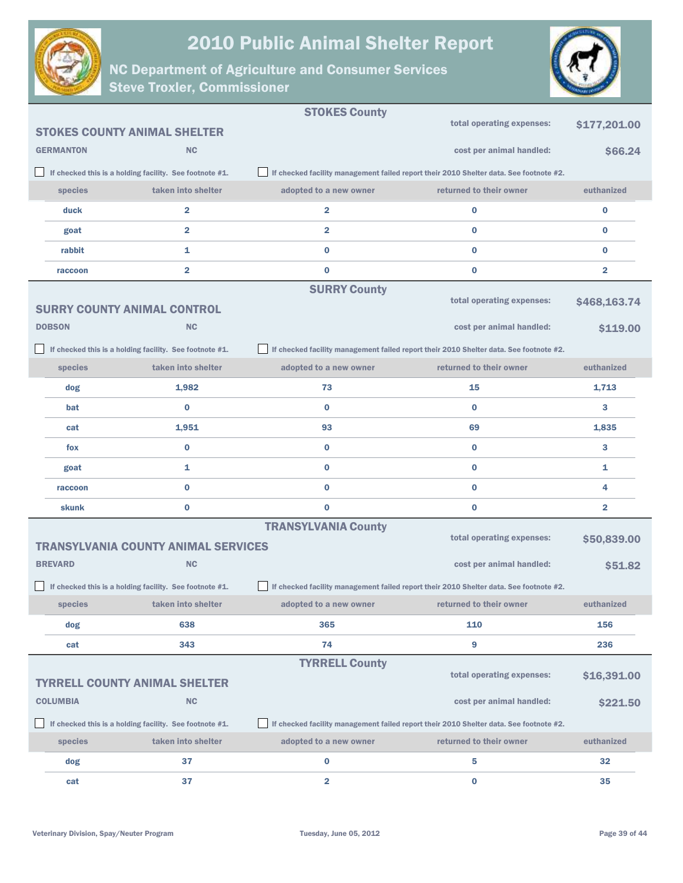



|                  |                                                         | <b>STOKES County</b>       |                                                                                        |                |
|------------------|---------------------------------------------------------|----------------------------|----------------------------------------------------------------------------------------|----------------|
|                  | <b>STOKES COUNTY ANIMAL SHELTER</b>                     |                            | total operating expenses:                                                              | \$177,201.00   |
| <b>GERMANTON</b> | <b>NC</b>                                               |                            | cost per animal handled:                                                               | \$66.24        |
|                  | If checked this is a holding facility. See footnote #1. |                            | If checked facility management failed report their 2010 Shelter data. See footnote #2. |                |
| species          | taken into shelter                                      | adopted to a new owner     | returned to their owner                                                                | euthanized     |
| duck             | $\overline{2}$                                          | $\overline{\mathbf{2}}$    | $\bf{0}$                                                                               | $\bf{0}$       |
| goat             | $\overline{\mathbf{2}}$                                 | $\overline{\mathbf{2}}$    | $\bf{0}$                                                                               | $\bf{0}$       |
| rabbit           | 1                                                       | $\bf{0}$                   | $\bf{0}$                                                                               | $\bf{0}$       |
| raccoon          | $\overline{2}$                                          | $\bf{0}$                   | $\bf{0}$                                                                               | $\overline{a}$ |
|                  |                                                         | <b>SURRY County</b>        |                                                                                        |                |
|                  | <b>SURRY COUNTY ANIMAL CONTROL</b>                      |                            | total operating expenses:                                                              | \$468,163.74   |
| <b>DOBSON</b>    | <b>NC</b>                                               |                            | cost per animal handled:                                                               | \$119.00       |
|                  | If checked this is a holding facility. See footnote #1. |                            | If checked facility management failed report their 2010 Shelter data. See footnote #2. |                |
| species          | taken into shelter                                      | adopted to a new owner     | returned to their owner                                                                | euthanized     |
| dog              | 1,982                                                   | 73                         | 15                                                                                     | 1,713          |
| bat              | $\bf{0}$                                                | $\bf{0}$                   | $\bf{0}$                                                                               | 3              |
| cat              | 1,951                                                   | 93                         | 69                                                                                     | 1,835          |
| fox              | $\bf{0}$                                                | $\bf{0}$                   | $\bf{0}$                                                                               | 3              |
| goat             | 1                                                       | $\bf{0}$                   | $\bf{0}$                                                                               | 1              |
| raccoon          | $\bf{0}$                                                | $\bf{0}$                   | $\bf{0}$                                                                               | 4              |
| skunk            | $\bf{0}$                                                | $\bf{0}$                   | $\bf{0}$                                                                               | 2              |
|                  |                                                         | <b>TRANSYLVANIA County</b> |                                                                                        |                |
|                  | <b>TRANSYLVANIA COUNTY ANIMAL SERVICES</b>              |                            | total operating expenses:                                                              | \$50,839.00    |
| <b>BREVARD</b>   | <b>NC</b>                                               |                            | cost per animal handled:                                                               | \$51.82        |
|                  | If checked this is a holding facility. See footnote #1. |                            | If checked facility management failed report their 2010 Shelter data. See footnote #2. |                |
| species          | taken into shelter                                      | adopted to a new owner     | returned to their owner                                                                | euthanized     |
| dog              | 638                                                     | 365                        | 110                                                                                    | 156            |
| cat              | 343                                                     | 74                         | 9                                                                                      | 236            |
|                  |                                                         | <b>TYRRELL County</b>      |                                                                                        |                |
|                  | <b>TYRRELL COUNTY ANIMAL SHELTER</b>                    |                            | total operating expenses:                                                              | \$16,391.00    |
| <b>COLUMBIA</b>  | <b>NC</b>                                               |                            | cost per animal handled:                                                               | \$221.50       |
|                  | If checked this is a holding facility. See footnote #1. |                            | If checked facility management failed report their 2010 Shelter data. See footnote #2. |                |
| species          | taken into shelter                                      | adopted to a new owner     | returned to their owner                                                                | euthanized     |
| dog              | 37                                                      | $\bf{0}$                   | 5                                                                                      | 32             |
| cat              | 37                                                      | $\overline{\mathbf{2}}$    | 0                                                                                      | 35             |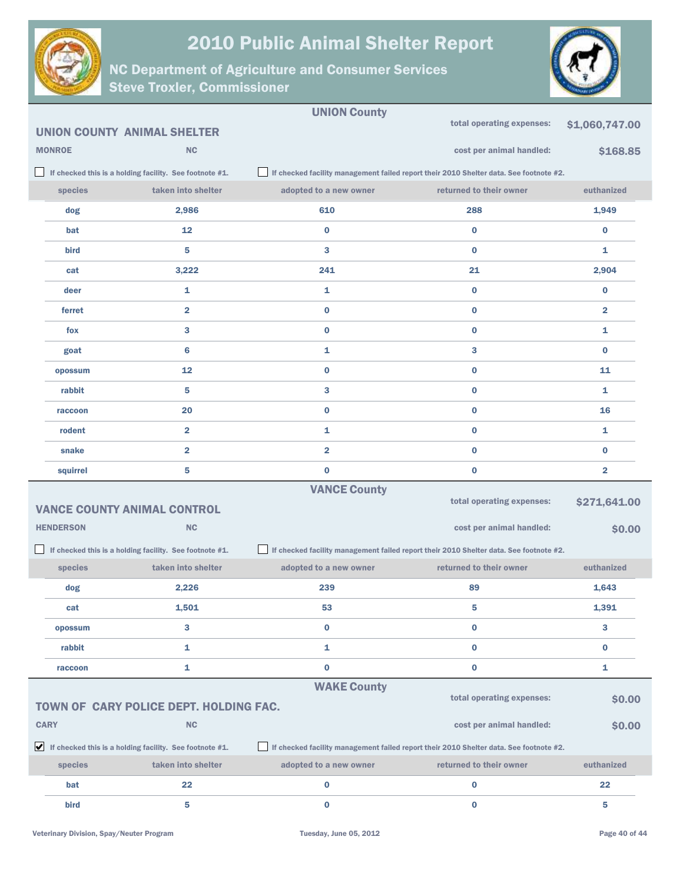



|                  |                                                                               | <b>UNION County</b>     |                                                                                        |                         |
|------------------|-------------------------------------------------------------------------------|-------------------------|----------------------------------------------------------------------------------------|-------------------------|
|                  | <b>UNION COUNTY ANIMAL SHELTER</b>                                            |                         | total operating expenses:                                                              | \$1,060,747.00          |
| <b>MONROE</b>    | NC                                                                            |                         | cost per animal handled:                                                               | \$168.85                |
|                  | If checked this is a holding facility. See footnote #1.                       |                         | If checked facility management failed report their 2010 Shelter data. See footnote #2. |                         |
| species          | taken into shelter                                                            | adopted to a new owner  | returned to their owner                                                                | euthanized              |
| dog              | 2,986                                                                         | 610                     | 288                                                                                    | 1,949                   |
| bat              | 12                                                                            | 0                       | $\bf{0}$                                                                               | $\bf{0}$                |
| bird             | 5                                                                             | 3                       | $\bf{0}$                                                                               | 1                       |
| cat              | 3,222                                                                         | 241                     | 21                                                                                     | 2,904                   |
| deer             | 1                                                                             | 1                       | $\bf{0}$                                                                               | $\bf{0}$                |
| ferret           | $\overline{\mathbf{2}}$                                                       | 0                       | $\bf{0}$                                                                               | $\overline{\mathbf{2}}$ |
| fox              | 3                                                                             | 0                       | $\bf{0}$                                                                               | 1                       |
| goat             | $6\phantom{1}6$                                                               | 1                       | 3                                                                                      | $\bf{0}$                |
| opossum          | 12                                                                            | 0                       | $\bf{0}$                                                                               | 11                      |
| rabbit           | 5                                                                             | 3                       | $\bf{0}$                                                                               | 1                       |
| raccoon          | 20                                                                            | 0                       | $\bf{0}$                                                                               | 16                      |
| rodent           | $\overline{\mathbf{2}}$                                                       | 1                       | $\bf{0}$                                                                               | 1                       |
| snake            | $\overline{\mathbf{2}}$                                                       | $\overline{\mathbf{2}}$ | $\bf{0}$                                                                               | $\bf{0}$                |
| squirrel         | 5                                                                             | $\bf{0}$                | $\bf{0}$                                                                               | $\overline{\mathbf{2}}$ |
|                  |                                                                               | <b>VANCE County</b>     |                                                                                        |                         |
|                  | <b>VANCE COUNTY ANIMAL CONTROL</b>                                            |                         | total operating expenses:                                                              | \$271,641.00            |
| <b>HENDERSON</b> | <b>NC</b>                                                                     |                         | cost per animal handled:                                                               | \$0.00                  |
|                  | If checked this is a holding facility. See footnote #1.                       |                         | If checked facility management failed report their 2010 Shelter data. See footnote #2. |                         |
| species          | taken into shelter                                                            | adopted to a new owner  | returned to their owner                                                                | euthanized              |
| dog              | 2,226                                                                         | 239                     | 89                                                                                     | 1,643                   |
| cat              | 1,501                                                                         | 53                      |                                                                                        | 1,391                   |
| opossum          | 3                                                                             | $\bf{0}$                | $\bf{0}$                                                                               | 3                       |
| rabbit           | $\mathbf{1}$                                                                  | 1                       | $\bf{0}$                                                                               | $\bf{0}$                |
| raccoon          | 1                                                                             | 0                       | $\bf{0}$                                                                               | 1                       |
|                  |                                                                               | <b>WAKE County</b>      |                                                                                        |                         |
|                  | TOWN OF CARY POLICE DEPT. HOLDING FAC.                                        |                         | total operating expenses:                                                              | \$0.00                  |
| <b>CARY</b>      | NC                                                                            |                         | cost per animal handled:                                                               | \$0.00                  |
|                  | $\blacktriangleright$ If checked this is a holding facility. See footnote #1. |                         | If checked facility management failed report their 2010 Shelter data. See footnote #2. |                         |
| <b>species</b>   | taken into shelter                                                            | adopted to a new owner  | returned to their owner                                                                | euthanized              |
| bat              | 22                                                                            | 0                       | $\bf{0}$                                                                               | 22                      |
| bird             | 5                                                                             | $\bf{0}$                | $\bf{0}$                                                                               | 5                       |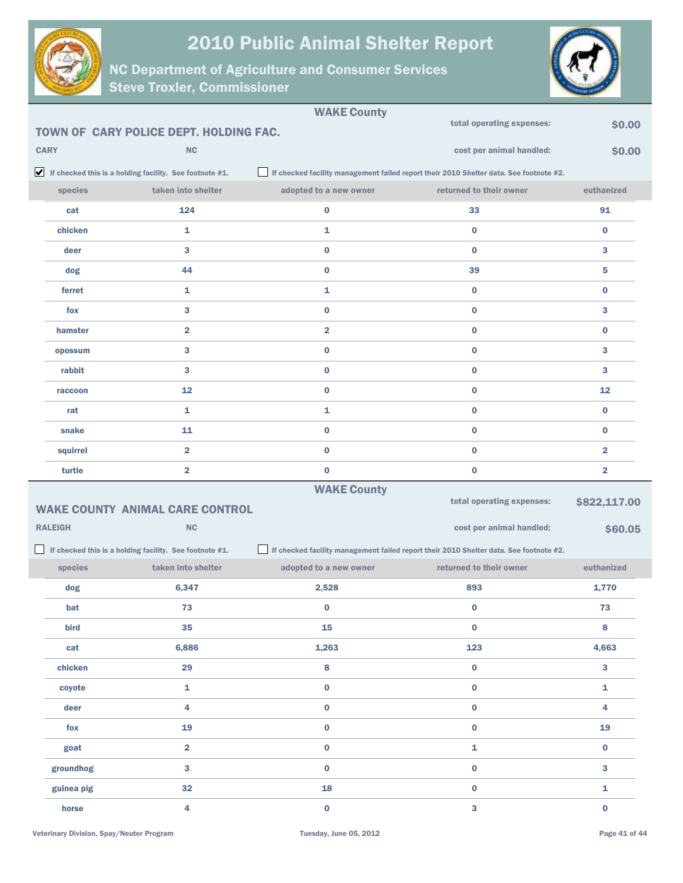



| <b>WAKE County</b> |                                                                               |                         |                                                                                        |                         |  |
|--------------------|-------------------------------------------------------------------------------|-------------------------|----------------------------------------------------------------------------------------|-------------------------|--|
|                    | TOWN OF CARY POLICE DEPT. HOLDING FAC.                                        |                         | total operating expenses:                                                              | \$0.00                  |  |
| <b>CARY</b>        | <b>NC</b>                                                                     |                         | cost per animal handled:                                                               | \$0.00                  |  |
|                    | $\blacktriangleright$ If checked this is a holding facility. See footnote #1. |                         | If checked facility management failed report their 2010 Shelter data. See footnote #2. |                         |  |
| species            | taken into shelter                                                            | adopted to a new owner  | returned to their owner                                                                | euthanized              |  |
| cat                | 124                                                                           | 0                       | 33                                                                                     | 91                      |  |
| chicken            | 1                                                                             | 1                       | $\bf{0}$                                                                               | $\bf{0}$                |  |
| deer               | 3                                                                             | $\bf{0}$                | $\bf{0}$                                                                               | 3                       |  |
| dog                | 44                                                                            | $\bf{0}$                | 39                                                                                     | 5                       |  |
| ferret             | 1                                                                             | 1                       | $\bf{0}$                                                                               | $\bf{0}$                |  |
| fox                | 3                                                                             | $\bf{0}$                | $\bf{0}$                                                                               | 3                       |  |
| hamster            | $\overline{\mathbf{2}}$                                                       | $\overline{\mathbf{2}}$ | $\bf{0}$                                                                               | $\bf{0}$                |  |
| opossum            | 3                                                                             | $\bf{0}$                | $\bf{0}$                                                                               | 3                       |  |
| rabbit             | 3                                                                             | $\bf{0}$                | $\bf{0}$                                                                               | 3                       |  |
| raccoon            | 12                                                                            | $\bf{0}$                | $\bf{0}$                                                                               | 12                      |  |
| rat                | 1                                                                             | 1                       | $\bf{0}$                                                                               | $\bf{0}$                |  |
| snake              | 11                                                                            | $\bf{0}$                | $\bf{0}$                                                                               | $\bf{0}$                |  |
| squirrel           | $\overline{\mathbf{2}}$                                                       | $\bf{0}$                | $\bf{0}$                                                                               | $\overline{\mathbf{2}}$ |  |
|                    |                                                                               |                         |                                                                                        |                         |  |
| turtle             | $\overline{\mathbf{2}}$                                                       | $\bf{0}$                | 0                                                                                      | $\overline{\mathbf{2}}$ |  |
|                    |                                                                               | <b>WAKE County</b>      |                                                                                        |                         |  |
|                    | <b>WAKE COUNTY ANIMAL CARE CONTROL</b>                                        |                         | total operating expenses:                                                              | \$822,117.00            |  |
| <b>RALEIGH</b>     | <b>NC</b>                                                                     |                         | cost per animal handled:                                                               | \$60.05                 |  |
|                    | If checked this is a holding facility. See footnote #1.                       |                         | If checked facility management failed report their 2010 Shelter data. See footnote #2. |                         |  |
| species            | taken into shelter                                                            | adopted to a new owner  | returned to their owner                                                                | euthanized              |  |
| dog                | 6,347                                                                         | 2,528                   | 893                                                                                    | 1,770                   |  |
| bat                | 73                                                                            | $\bf{0}$                | 0                                                                                      | 73                      |  |
| bird               | 35                                                                            | 15                      | $\mathbf 0$                                                                            | $\bf8$                  |  |
| cat                | 6,886                                                                         | 1,263                   | 123                                                                                    | 4,663                   |  |
| chicken            | 29                                                                            | 8                       | $\pmb{0}$                                                                              | $\mathbf{3}$            |  |
| coyote             | $\mathbf{1}$                                                                  | $\pmb{0}$               | $\pmb{0}$                                                                              | $\mathbf{1}$            |  |
| deer               | 4                                                                             | $\pmb{0}$               | $\mathbf 0$                                                                            | 4                       |  |
| fox                | 19                                                                            | $\pmb{0}$               | $\mathbf 0$                                                                            | 19                      |  |
| goat               | $\overline{\mathbf{2}}$                                                       | $\pmb{0}$               | 1                                                                                      | $\mathbf 0$             |  |
| groundhog          | 3                                                                             | $\pmb{0}$               | $\pmb{0}$                                                                              | $\mathbf{3}$            |  |
| guinea pig         | 32                                                                            | 18                      | $\pmb{0}$                                                                              | 1                       |  |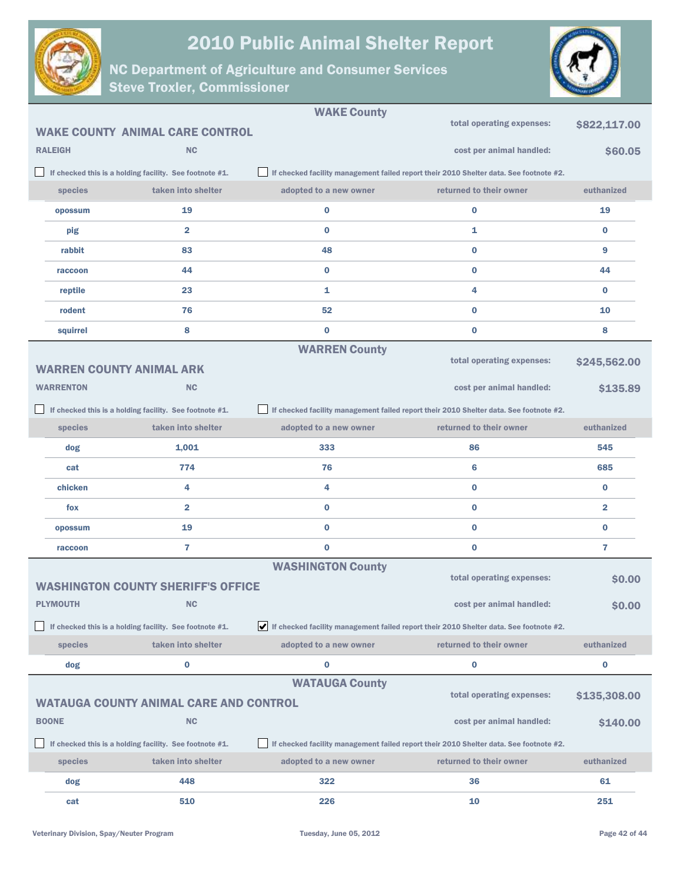



|                  |                                                         | <b>WAKE County</b>       |                                                                                        |                |
|------------------|---------------------------------------------------------|--------------------------|----------------------------------------------------------------------------------------|----------------|
|                  | <b>WAKE COUNTY ANIMAL CARE CONTROL</b>                  |                          | total operating expenses:                                                              | \$822,117.00   |
| <b>RALEIGH</b>   | <b>NC</b>                                               |                          | cost per animal handled:                                                               | \$60.05        |
|                  | If checked this is a holding facility. See footnote #1. |                          | If checked facility management failed report their 2010 Shelter data. See footnote #2. |                |
| species          | taken into shelter                                      | adopted to a new owner   | returned to their owner                                                                | euthanized     |
| opossum          | 19                                                      | $\bf{0}$                 | 0                                                                                      | 19             |
| pig              | 2                                                       | $\bf{0}$                 | 1                                                                                      | $\bf{0}$       |
| rabbit           | 83                                                      | 48                       | $\bf{0}$                                                                               | 9              |
| raccoon          | 44                                                      | $\bf{0}$                 | $\bf{0}$                                                                               | 44             |
| reptile          | 23                                                      | 1                        | 4                                                                                      | $\bf{0}$       |
| rodent           | 76                                                      | 52                       | $\bf{0}$                                                                               | 10             |
| squirrel         | 8                                                       | $\bf{0}$                 | $\bf{0}$                                                                               | 8              |
|                  |                                                         | <b>WARREN County</b>     |                                                                                        |                |
|                  | <b>WARREN COUNTY ANIMAL ARK</b>                         |                          | total operating expenses:                                                              | \$245,562.00   |
| <b>WARRENTON</b> | NC                                                      |                          | cost per animal handled:                                                               | \$135.89       |
|                  | If checked this is a holding facility. See footnote #1. |                          | If checked facility management failed report their 2010 Shelter data. See footnote #2. |                |
| species          | taken into shelter                                      | adopted to a new owner   | returned to their owner                                                                | euthanized     |
| dog              | 1,001                                                   | 333                      | 86                                                                                     | 545            |
| cat              | 774                                                     | 76                       | $6\phantom{1}6$                                                                        | 685            |
| chicken          | 4                                                       | 4                        | $\bf{0}$                                                                               | $\bf{0}$       |
| fox              | $\overline{2}$                                          | $\bf{0}$                 | $\bf{0}$                                                                               | $\overline{2}$ |
| opossum          | 19                                                      | $\bf{0}$                 | $\bf{0}$                                                                               | $\bf{0}$       |
| raccoon          | $\overline{7}$                                          | $\bf{0}$                 | $\bf{0}$                                                                               | 7              |
|                  |                                                         | <b>WASHINGTON County</b> |                                                                                        |                |
|                  | <b>WASHINGTON COUNTY SHERIFF'S OFFICE</b>               |                          | total operating expenses:                                                              | \$0.00         |
| <b>PLYMOUTH</b>  | <b>NC</b>                                               |                          | cost per animal handled:                                                               | \$0.00         |
|                  | If checked this is a holding facility. See footnote #1. |                          | If checked facility management failed report their 2010 Shelter data. See footnote #2. |                |
| species          | taken into shelter                                      | adopted to a new owner   | returned to their owner                                                                | euthanized     |
| dog              | 0                                                       | $\bf{0}$                 | 0                                                                                      | 0              |
|                  |                                                         | <b>WATAUGA County</b>    | total operating expenses:                                                              |                |
|                  | <b>WATAUGA COUNTY ANIMAL CARE AND CONTROL</b>           |                          |                                                                                        | \$135,308.00   |
| <b>BOONE</b>     | <b>NC</b>                                               |                          | cost per animal handled:                                                               | \$140.00       |
|                  | If checked this is a holding facility. See footnote #1. |                          | If checked facility management failed report their 2010 Shelter data. See footnote #2. |                |
| species          | taken into shelter                                      | adopted to a new owner   | returned to their owner                                                                | euthanized     |
| dog              | 448                                                     | 322                      | 36                                                                                     | 61             |
| cat              | 510                                                     | 226                      | 10                                                                                     | 251            |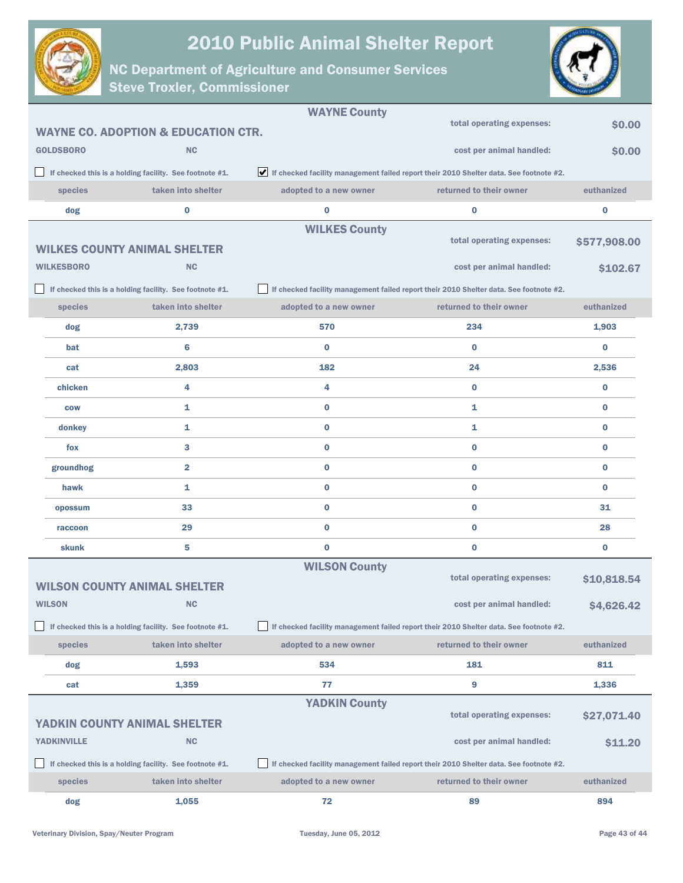



|                    |                                                         | <b>WAYNE County</b>    |                                                                                        |              |
|--------------------|---------------------------------------------------------|------------------------|----------------------------------------------------------------------------------------|--------------|
|                    | <b>WAYNE CO. ADOPTION &amp; EDUCATION CTR.</b>          |                        | total operating expenses:                                                              | \$0.00       |
| <b>GOLDSBORO</b>   | <b>NC</b>                                               |                        | cost per animal handled:                                                               | \$0.00       |
|                    | If checked this is a holding facility. See footnote #1. |                        | If checked facility management failed report their 2010 Shelter data. See footnote #2. |              |
| species            | taken into shelter                                      | adopted to a new owner | returned to their owner                                                                | euthanized   |
| dog                | 0                                                       | $\bf{0}$               | $\bf{0}$                                                                               | $\bf{0}$     |
|                    |                                                         | <b>WILKES County</b>   |                                                                                        |              |
|                    | <b>WILKES COUNTY ANIMAL SHELTER</b>                     |                        | total operating expenses:                                                              | \$577,908.00 |
| <b>WILKESBORO</b>  | <b>NC</b>                                               |                        | cost per animal handled:                                                               | \$102.67     |
|                    | If checked this is a holding facility. See footnote #1. |                        | If checked facility management failed report their 2010 Shelter data. See footnote #2. |              |
| species            | taken into shelter                                      | adopted to a new owner | returned to their owner                                                                | euthanized   |
| dog                | 2,739                                                   | 570                    | 234                                                                                    | 1,903        |
| bat                | $6\phantom{1}6$                                         | $\bf{0}$               | $\bf{0}$                                                                               | $\bf{0}$     |
| cat                | 2,803                                                   | 182                    | 24                                                                                     | 2,536        |
| chicken            | 4                                                       | 4                      | $\bf{0}$                                                                               | $\bf{0}$     |
| <b>COW</b>         | 1                                                       | $\bf{0}$               | 1                                                                                      | $\bf{0}$     |
| donkey             | 1                                                       | $\bf{0}$               | $\mathbf{1}$                                                                           | $\bf{0}$     |
| fox                | 3                                                       | $\bf{0}$               | $\bf{0}$                                                                               | $\bf{0}$     |
| groundhog          | $\overline{\mathbf{2}}$                                 | $\bf{0}$               | $\bf{0}$                                                                               | $\bf{0}$     |
| hawk               | 1                                                       | $\bf{0}$               | $\bf{0}$                                                                               | $\bf{0}$     |
| opossum            | 33                                                      | $\bf{0}$               | $\bf{0}$                                                                               | 31           |
| raccoon            | 29                                                      | $\bf{0}$               | $\bf{0}$                                                                               | 28           |
| skunk              | 5                                                       | $\bf{0}$               | $\bf{0}$                                                                               | $\bf{0}$     |
|                    |                                                         | <b>WILSON County</b>   |                                                                                        |              |
|                    | <b>WILSON COUNTY ANIMAL SHELTER</b>                     |                        | total operating expenses:                                                              | \$10,818.54  |
| <b>WILSON</b>      | <b>NC</b>                                               |                        | cost per animal handled:                                                               | \$4,626.42   |
|                    | If checked this is a holding facility. See footnote #1. |                        | If checked facility management failed report their 2010 Shelter data. See footnote #2. |              |
| species            | taken into shelter                                      | adopted to a new owner | returned to their owner                                                                | euthanized   |
| dog                | 1,593                                                   | 534                    | 181                                                                                    | 811          |
| cat                | 1,359                                                   | 77                     | 9                                                                                      | 1,336        |
|                    |                                                         | <b>YADKIN County</b>   |                                                                                        |              |
|                    | YADKIN COUNTY ANIMAL SHELTER                            |                        | total operating expenses:                                                              | \$27,071.40  |
| <b>YADKINVILLE</b> | <b>NC</b>                                               |                        | cost per animal handled:                                                               | \$11.20      |
|                    | If checked this is a holding facility. See footnote #1. |                        | If checked facility management failed report their 2010 Shelter data. See footnote #2. |              |
| species            | taken into shelter                                      | adopted to a new owner | returned to their owner                                                                | euthanized   |
| dog                | 1,055                                                   | 72                     | 89                                                                                     | 894          |